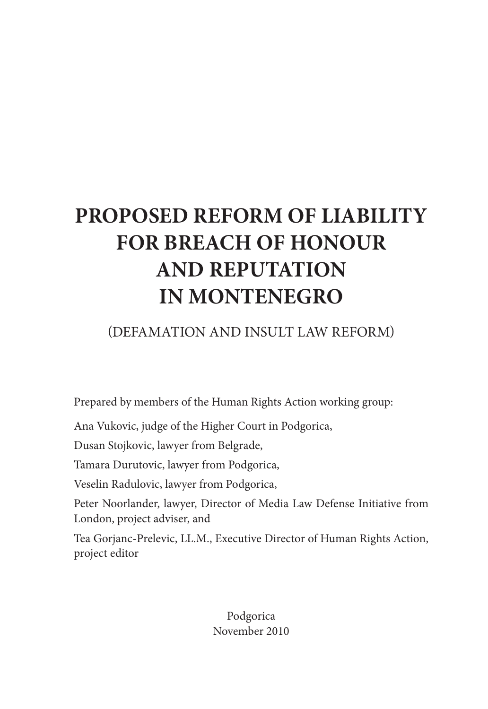# **PROPOSED REFORM OF LIABILITY FOR BREACH OF HONOUR AND REPUTATION IN MONTENEGRO**

# (DEFAMATION AND INSULT LAW REFORM)

Prepared by members of the Human Rights Action working group:

Ana Vukovic, judge of the Higher Court in Podgorica,

Dusan Stojkovic, lawyer from Belgrade,

Tamara Durutovic, lawyer from Podgorica,

Veselin Radulovic, lawyer from Podgorica,

Peter Noorlander, lawyer, Director of Media Law Defense Initiative from London, project adviser, and

Tea Gorjanc-Prelevic, LL.M., Executive Director of Human Rights Action, project editor

> Podgorica November 2010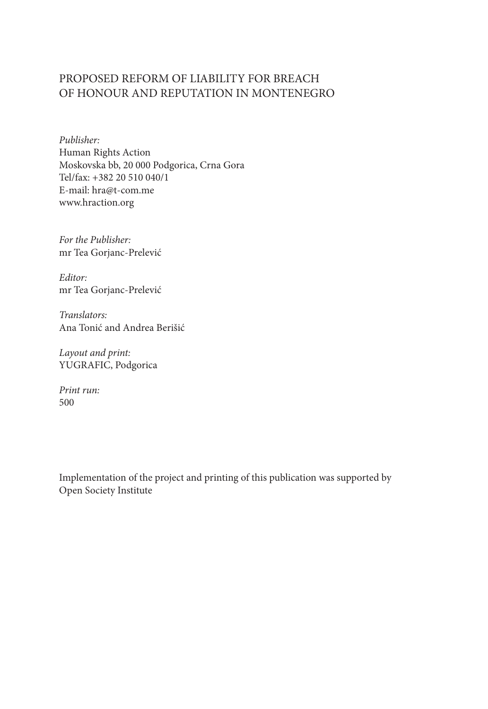#### PROPOSED REFORM OF LIABILITY FOR BREACH OF HONOUR AND REPUTATION IN MONTENEGRO

*Publisher:* Human Rights Action Moskovska bb, 20 000 Podgorica, Crna Gora Tel/fax: +382 20 510 040/1 E-mail: hra@t-com.me www.hraction.org

*For the Publisher:* mr Tea Gorjanc-Prelević

*Editor:* mr Tea Gorjanc-Prelević

*Translators:* Ana Tonić and Andrea Berišić

*Layout and print:* YUGRAFIC, Podgorica

*Print run:* 500

Implementation of the project and printing of this publication was supported by Open Society Institute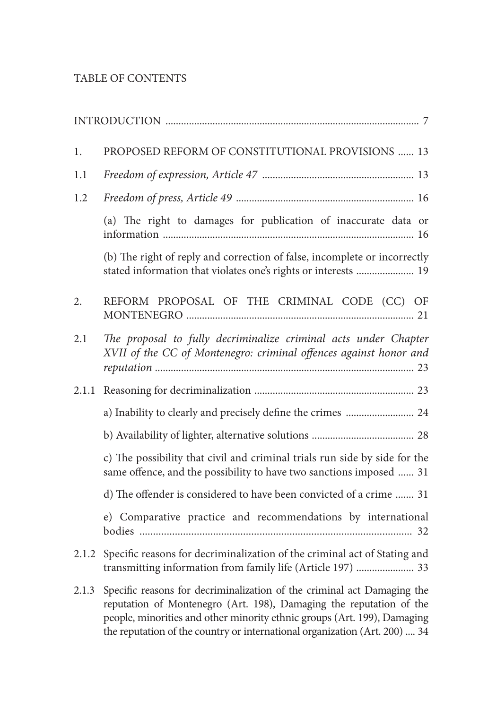### TABLE OF CONTENTS

| 1.    | PROPOSED REFORM OF CONSTITUTIONAL PROVISIONS  13                                                                                                                                                                                                                                                         |
|-------|----------------------------------------------------------------------------------------------------------------------------------------------------------------------------------------------------------------------------------------------------------------------------------------------------------|
| 1.1   |                                                                                                                                                                                                                                                                                                          |
| 1.2   |                                                                                                                                                                                                                                                                                                          |
|       | (a) The right to damages for publication of inaccurate data or                                                                                                                                                                                                                                           |
|       | (b) The right of reply and correction of false, incomplete or incorrectly<br>stated information that violates one's rights or interests  19                                                                                                                                                              |
| 2.    | REFORM PROPOSAL OF THE CRIMINAL CODE (CC) OF                                                                                                                                                                                                                                                             |
| 2.1   | The proposal to fully decriminalize criminal acts under Chapter<br>XVII of the CC of Montenegro: criminal offences against honor and                                                                                                                                                                     |
| 2.1.1 |                                                                                                                                                                                                                                                                                                          |
|       | a) Inability to clearly and precisely define the crimes  24                                                                                                                                                                                                                                              |
|       |                                                                                                                                                                                                                                                                                                          |
|       | c) The possibility that civil and criminal trials run side by side for the<br>same offence, and the possibility to have two sanctions imposed  31                                                                                                                                                        |
|       | d) The offender is considered to have been convicted of a crime  31                                                                                                                                                                                                                                      |
|       | e) Comparative practice and recommendations by international                                                                                                                                                                                                                                             |
| 2.1.2 | Specific reasons for decriminalization of the criminal act of Stating and<br>transmitting information from family life (Article 197)  33                                                                                                                                                                 |
| 2.1.3 | Specific reasons for decriminalization of the criminal act Damaging the<br>reputation of Montenegro (Art. 198), Damaging the reputation of the<br>people, minorities and other minority ethnic groups (Art. 199), Damaging<br>the reputation of the country or international organization (Art. 200)  34 |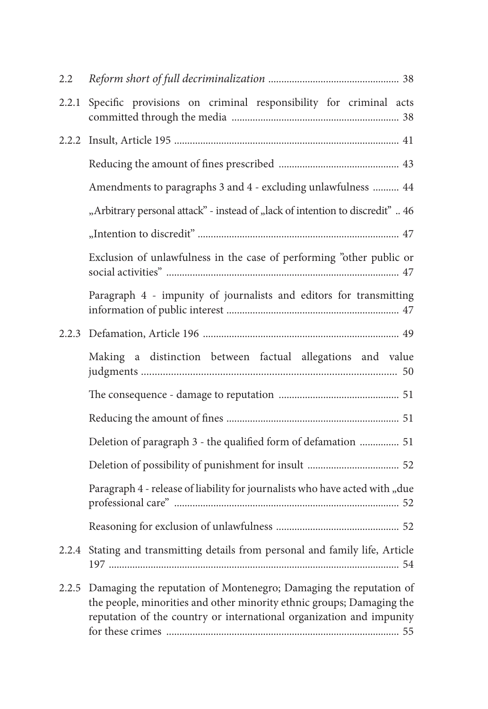| 2.2   |                                                                                                                                                                                                                    |
|-------|--------------------------------------------------------------------------------------------------------------------------------------------------------------------------------------------------------------------|
| 2.2.1 | Specific provisions on criminal responsibility for criminal acts                                                                                                                                                   |
|       |                                                                                                                                                                                                                    |
|       |                                                                                                                                                                                                                    |
|       | Amendments to paragraphs 3 and 4 - excluding unlawfulness  44                                                                                                                                                      |
|       | "Arbitrary personal attack" - instead of "lack of intention to discredit"  46                                                                                                                                      |
|       |                                                                                                                                                                                                                    |
|       | Exclusion of unlawfulness in the case of performing "other public or                                                                                                                                               |
|       | Paragraph 4 - impunity of journalists and editors for transmitting                                                                                                                                                 |
|       |                                                                                                                                                                                                                    |
|       | Making a distinction between factual allegations and value                                                                                                                                                         |
|       |                                                                                                                                                                                                                    |
|       |                                                                                                                                                                                                                    |
|       | Deletion of paragraph 3 - the qualified form of defamation  51                                                                                                                                                     |
|       |                                                                                                                                                                                                                    |
|       | Paragraph 4 - release of liability for journalists who have acted with "due                                                                                                                                        |
|       |                                                                                                                                                                                                                    |
|       | 2.2.4 Stating and transmitting details from personal and family life, Article                                                                                                                                      |
| 2.2.5 | Damaging the reputation of Montenegro; Damaging the reputation of<br>the people, minorities and other minority ethnic groups; Damaging the<br>reputation of the country or international organization and impunity |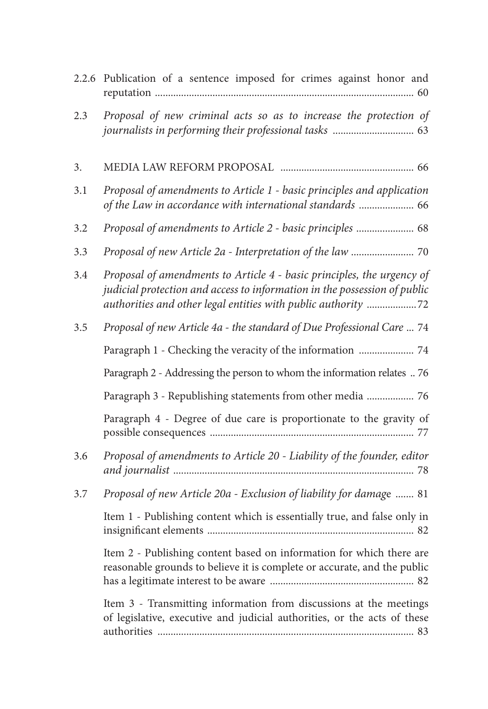|     | 2.2.6 Publication of a sentence imposed for crimes against honor and                                                                                                                                                 |
|-----|----------------------------------------------------------------------------------------------------------------------------------------------------------------------------------------------------------------------|
| 2.3 | Proposal of new criminal acts so as to increase the protection of                                                                                                                                                    |
| 3.  |                                                                                                                                                                                                                      |
| 3.1 | Proposal of amendments to Article 1 - basic principles and application<br>of the Law in accordance with international standards  66                                                                                  |
| 3.2 | Proposal of amendments to Article 2 - basic principles  68                                                                                                                                                           |
| 3.3 |                                                                                                                                                                                                                      |
| 3.4 | Proposal of amendments to Article 4 - basic principles, the urgency of<br>judicial protection and access to information in the possession of public<br>authorities and other legal entities with public authority 72 |
| 3.5 | Proposal of new Article 4a - the standard of Due Professional Care  74                                                                                                                                               |
|     | Paragraph 1 - Checking the veracity of the information  74                                                                                                                                                           |
|     | Paragraph 2 - Addressing the person to whom the information relates  76                                                                                                                                              |
|     | Paragraph 3 - Republishing statements from other media  76                                                                                                                                                           |
|     | Paragraph 4 - Degree of due care is proportionate to the gravity of                                                                                                                                                  |
| 3.6 | Proposal of amendments to Article 20 - Liability of the founder, editor                                                                                                                                              |
| 3.7 | Proposal of new Article 20a - Exclusion of liability for damage  81                                                                                                                                                  |
|     | Item 1 - Publishing content which is essentially true, and false only in                                                                                                                                             |
|     | Item 2 - Publishing content based on information for which there are<br>reasonable grounds to believe it is complete or accurate, and the public                                                                     |
|     | Item 3 - Transmitting information from discussions at the meetings<br>of legislative, executive and judicial authorities, or the acts of these                                                                       |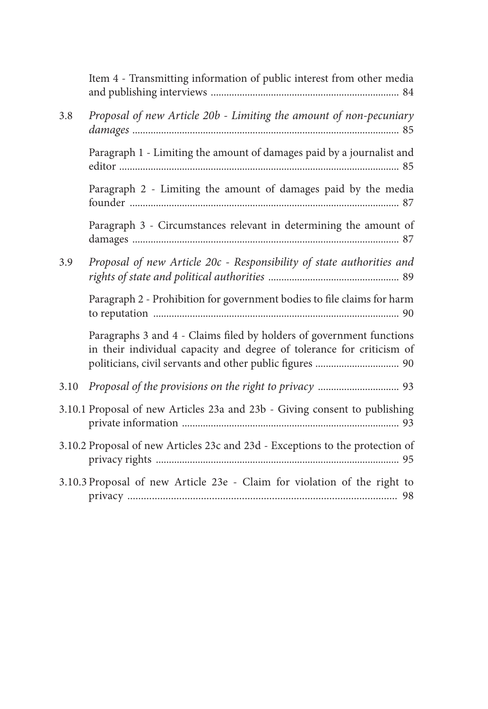|      | Item 4 - Transmitting information of public interest from other media                                                                         |
|------|-----------------------------------------------------------------------------------------------------------------------------------------------|
| 3.8  | Proposal of new Article 20b - Limiting the amount of non-pecuniary                                                                            |
|      | Paragraph 1 - Limiting the amount of damages paid by a journalist and                                                                         |
|      | Paragraph 2 - Limiting the amount of damages paid by the media                                                                                |
|      | Paragraph 3 - Circumstances relevant in determining the amount of                                                                             |
| 3.9  | Proposal of new Article 20c - Responsibility of state authorities and                                                                         |
|      | Paragraph 2 - Prohibition for government bodies to file claims for harm                                                                       |
|      | Paragraphs 3 and 4 - Claims filed by holders of government functions<br>in their individual capacity and degree of tolerance for criticism of |
| 3.10 |                                                                                                                                               |
|      | 3.10.1 Proposal of new Articles 23a and 23b - Giving consent to publishing                                                                    |
|      | 3.10.2 Proposal of new Articles 23c and 23d - Exceptions to the protection of                                                                 |
|      | 3.10.3 Proposal of new Article 23e - Claim for violation of the right to                                                                      |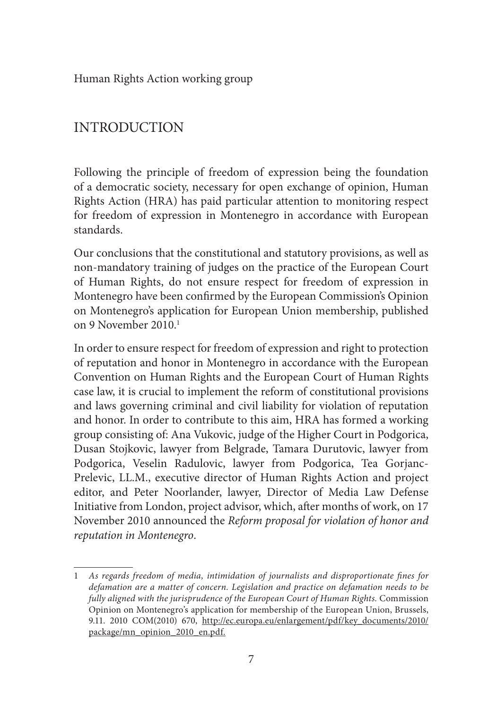Human Rights Action working group

# INTRODUCTION

Following the principle of freedom of expression being the foundation of a democratic society, necessary for open exchange of opinion, Human Rights Action (HRA) has paid particular attention to monitoring respect for freedom of expression in Montenegro in accordance with European standards.

Our conclusions that the constitutional and statutory provisions, as well as non-mandatory training of judges on the practice of the European Court of Human Rights, do not ensure respect for freedom of expression in Montenegro have been confirmed by the European Commission's Opinion on Montenegro's application for European Union membership, published on 9 November 2010<sup>1</sup>

In order to ensure respect for freedom of expression and right to protection of reputation and honor in Montenegro in accordance with the European Convention on Human Rights and the European Court of Human Rights case law, it is crucial to implement the reform of constitutional provisions and laws governing criminal and civil liability for violation of reputation and honor. In order to contribute to this aim, HRA has formed a working group consisting of: Ana Vukovic, judge of the Higher Court in Podgorica, Dusan Stojkovic, lawyer from Belgrade, Tamara Durutovic, lawyer from Podgorica, Veselin Radulovic, lawyer from Podgorica, Tea Gorjanc-Prelevic, LL.M., executive director of Human Rights Action and project editor, and Peter Noorlander, lawyer, Director of Media Law Defense Initiative from London, project advisor, which, after months of work, on 17 November 2010 announced the *Reform proposal for violation of honor and reputation in Montenegro*.

<sup>1</sup> *As regards freedom of media, intimidation of journalists and disproportionate fines for defamation are a matter of concern. Legislation and practice on defamation needs to be fully aligned with the jurisprudence of the European Court of Human Rights.* Commission Opinion on Montenegro's application for membership of the European Union, Brussels, 9.11. 2010 COM(2010) 670, http://ec.europa.eu/enlargement/pdf/key\_documents/2010/ package/mn\_opinion\_2010\_en.pdf.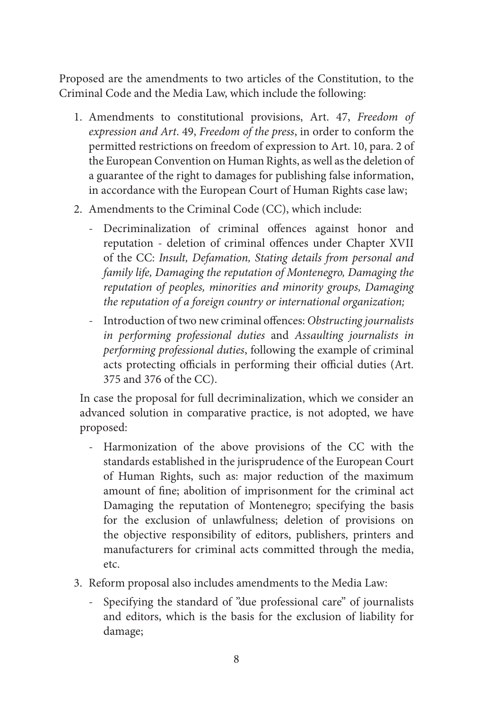Proposed are the amendments to two articles of the Constitution, to the Criminal Code and the Media Law, which include the following:

- 1. Amendments to constitutional provisions, Art. 47, *Freedom of expression and Art*. 49, *Freedom of the press*, in order to conform the permitted restrictions on freedom of expression to Art. 10, para. 2 of the European Convention on Human Rights, as well as the deletion of a guarantee of the right to damages for publishing false information, in accordance with the European Court of Human Rights case law;
- 2. Amendments to the Criminal Code (CC), which include:
	- Decriminalization of criminal offences against honor and reputation - deletion of criminal offences under Chapter XVII of the CC: *Insult, Defamation, Stating details from personal and family life, Damaging the reputation of Montenegro, Damaging the reputation of peoples, minorities and minority groups, Damaging the reputation of a foreign country or international organization;*
	- Introduction of two new criminal offences: *Obstructing journalists in performing professional duties* and *Assaulting journalists in performing professional duties*, following the example of criminal acts protecting officials in performing their official duties (Art. 375 and 376 of the CC).

In case the proposal for full decriminalization, which we consider an advanced solution in comparative practice, is not adopted, we have proposed:

- Harmonization of the above provisions of the CC with the standards established in the jurisprudence of the European Court of Human Rights, such as: major reduction of the maximum amount of fine; abolition of imprisonment for the criminal act Damaging the reputation of Montenegro; specifying the basis for the exclusion of unlawfulness; deletion of provisions on the objective responsibility of editors, publishers, printers and manufacturers for criminal acts committed through the media, etc.
- 3. Reform proposal also includes amendments to the Media Law:
	- Specifying the standard of "due professional care" of journalists and editors, which is the basis for the exclusion of liability for damage;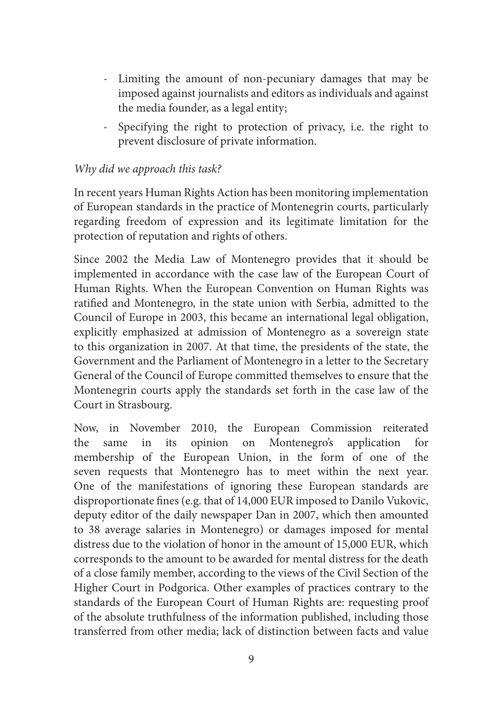- Limiting the amount of non-pecuniary damages that may be imposed against journalists and editors as individuals and against the media founder, as a legal entity;
- Specifying the right to protection of privacy, i.e. the right to prevent disclosure of private information.

#### *Why did we approach this task?*

In recent years Human Rights Action has been monitoring implementation of European standards in the practice of Montenegrin courts, particularly regarding freedom of expression and its legitimate limitation for the protection of reputation and rights of others.

Since 2002 the Media Law of Montenegro provides that it should be implemented in accordance with the case law of the European Court of Human Rights. When the European Convention on Human Rights was ratified and Montenegro, in the state union with Serbia, admitted to the Council of Europe in 2003, this became an international legal obligation, explicitly emphasized at admission of Montenegro as a sovereign state to this organization in 2007. At that time, the presidents of the state, the Government and the Parliament of Montenegro in a letter to the Secretary General of the Council of Europe committed themselves to ensure that the Montenegrin courts apply the standards set forth in the case law of the Court in Strasbourg.

Now, in November 2010, the European Commission reiterated the same in its opinion on Montenegro's application for membership of the European Union, in the form of one of the seven requests that Montenegro has to meet within the next year. One of the manifestations of ignoring these European standards are disproportionate fines (e.g. that of 14,000 EUR imposed to Danilo Vukovic, deputy editor of the daily newspaper Dan in 2007, which then amounted to 38 average salaries in Montenegro) or damages imposed for mental distress due to the violation of honor in the amount of 15,000 EUR, which corresponds to the amount to be awarded for mental distress for the death of a close family member, according to the views of the Civil Section of the Higher Court in Podgorica. Other examples of practices contrary to the standards of the European Court of Human Rights are: requesting proof of the absolute truthfulness of the information published, including those transferred from other media; lack of distinction between facts and value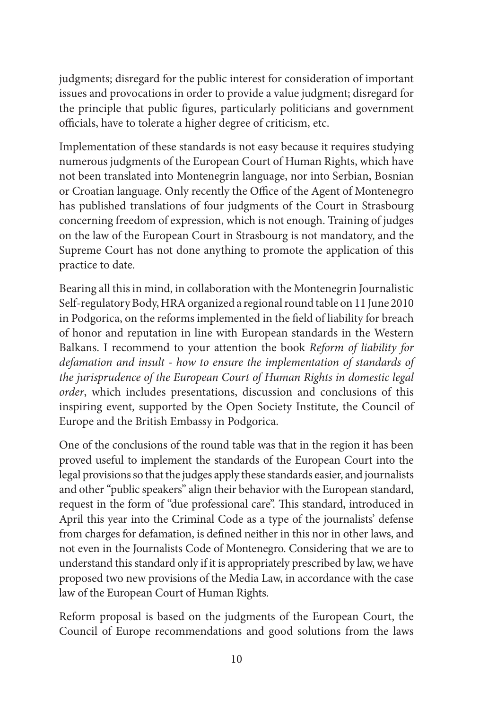judgments; disregard for the public interest for consideration of important issues and provocations in order to provide a value judgment; disregard for the principle that public figures, particularly politicians and government officials, have to tolerate a higher degree of criticism, etc.

Implementation of these standards is not easy because it requires studying numerous judgments of the European Court of Human Rights, which have not been translated into Montenegrin language, nor into Serbian, Bosnian or Croatian language. Only recently the Office of the Agent of Montenegro has published translations of four judgments of the Court in Strasbourg concerning freedom of expression, which is not enough. Training of judges on the law of the European Court in Strasbourg is not mandatory, and the Supreme Court has not done anything to promote the application of this practice to date.

Bearing all this in mind, in collaboration with the Montenegrin Journalistic Self-regulatory Body, HRA organized a regional round table on 11 June 2010 in Podgorica, on the reforms implemented in the field of liability for breach of honor and reputation in line with European standards in the Western Balkans. I recommend to your attention the book *Reform of liability for defamation and insult - how to ensure the implementation of standards of the jurisprudence of the European Court of Human Rights in domestic legal order*, which includes presentations, discussion and conclusions of this inspiring event, supported by the Open Society Institute, the Council of Europe and the British Embassy in Podgorica.

One of the conclusions of the round table was that in the region it has been proved useful to implement the standards of the European Court into the legal provisions so that the judges apply these standards easier, and journalists and other "public speakers" align their behavior with the European standard, request in the form of "due professional care". This standard, introduced in April this year into the Criminal Code as a type of the journalists' defense from charges for defamation, is defined neither in this nor in other laws, and not even in the Journalists Code of Montenegro. Considering that we are to understand this standard only if it is appropriately prescribed by law, we have proposed two new provisions of the Media Law, in accordance with the case law of the European Court of Human Rights.

Reform proposal is based on the judgments of the European Court, the Council of Europe recommendations and good solutions from the laws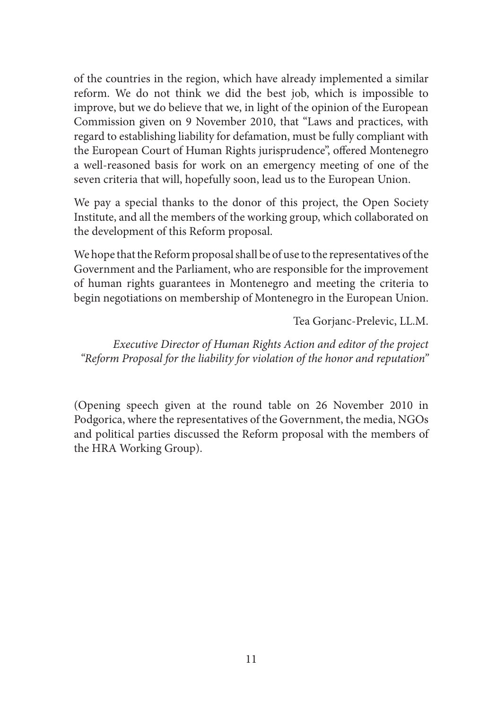of the countries in the region, which have already implemented a similar reform. We do not think we did the best job, which is impossible to improve, but we do believe that we, in light of the opinion of the European Commission given on 9 November 2010, that "Laws and practices, with regard to establishing liability for defamation, must be fully compliant with the European Court of Human Rights jurisprudence", offered Montenegro a well-reasoned basis for work on an emergency meeting of one of the seven criteria that will, hopefully soon, lead us to the European Union.

We pay a special thanks to the donor of this project, the Open Society Institute, and all the members of the working group, which collaborated on the development of this Reform proposal.

We hope that the Reform proposal shall be of use to the representatives of the Government and the Parliament, who are responsible for the improvement of human rights guarantees in Montenegro and meeting the criteria to begin negotiations on membership of Montenegro in the European Union.

Tea Gorjanc-Prelevic, LL.M.

*Executive Director of Human Rights Action and editor of the project "Reform Proposal for the liability for violation of the honor and reputation"* 

(Opening speech given at the round table on 26 November 2010 in Podgorica, where the representatives of the Government, the media, NGOs and political parties discussed the Reform proposal with the members of the HRA Working Group).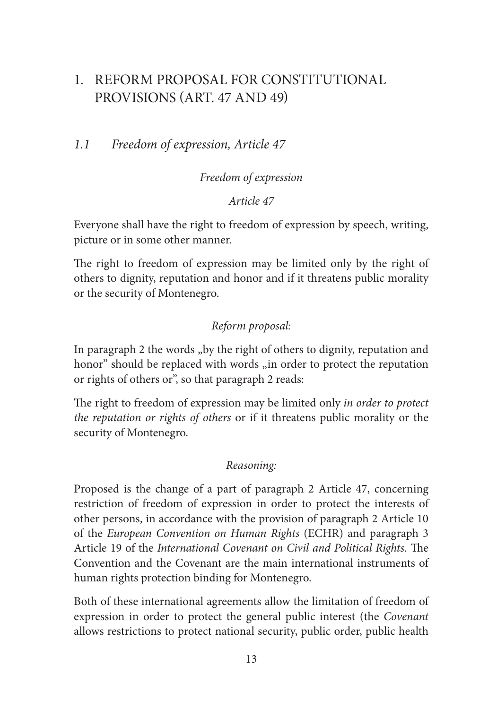# 1. REFORM PROPOSAL FOR CONSTITUTIONAL PROVISIONS (ART. 47 AND 49)

## *1.1 Freedom of expression, Article 47*

#### *Freedom of expression*

#### *Article 47*

Everyone shall have the right to freedom of expression by speech, writing, picture or in some other manner.

The right to freedom of expression may be limited only by the right of others to dignity, reputation and honor and if it threatens public morality or the security of Montenegro.

#### *Reform proposal:*

In paragraph 2 the words "by the right of others to dignity, reputation and honor" should be replaced with words "in order to protect the reputation or rights of others or", so that paragraph 2 reads:

The right to freedom of expression may be limited only *in order to protect the reputation or rights of others* or if it threatens public morality or the security of Montenegro.

#### *Reasoning:*

Proposed is the change of a part of paragraph 2 Article 47, concerning restriction of freedom of expression in order to protect the interests of other persons, in accordance with the provision of paragraph 2 Article 10 of the *European Convention on Human Rights* (ECHR) and paragraph 3 Article 19 of the *International Covenant on Civil and Political Rights*. The Convention and the Covenant are the main international instruments of human rights protection binding for Montenegro.

Both of these international agreements allow the limitation of freedom of expression in order to protect the general public interest (the *Covenant* allows restrictions to protect national security, public order, public health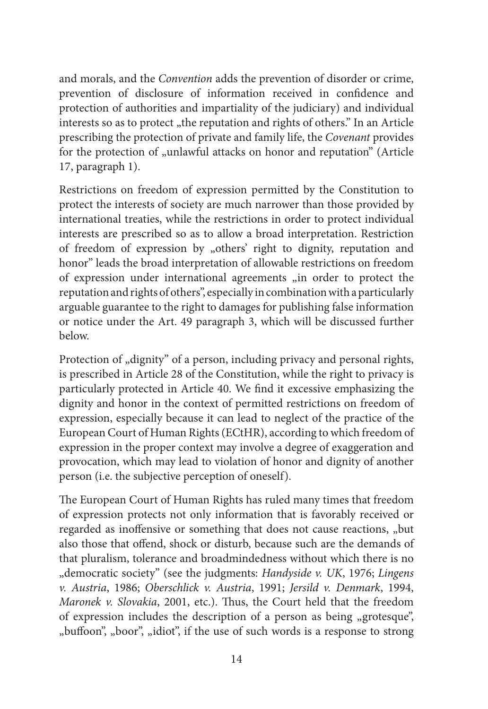and morals, and the *Convention* adds the prevention of disorder or crime, prevention of disclosure of information received in confidence and protection of authorities and impartiality of the judiciary) and individual interests so as to protect "the reputation and rights of others." In an Article prescribing the protection of private and family life, the *Covenant* provides for the protection of "unlawful attacks on honor and reputation" (Article 17, paragraph 1).

Restrictions on freedom of expression permitted by the Constitution to protect the interests of society are much narrower than those provided by international treaties, while the restrictions in order to protect individual interests are prescribed so as to allow a broad interpretation. Restriction of freedom of expression by "others' right to dignity, reputation and honor" leads the broad interpretation of allowable restrictions on freedom of expression under international agreements "in order to protect the reputation and rights of others", especially in combination with a particularly arguable guarantee to the right to damages for publishing false information or notice under the Art. 49 paragraph 3, which will be discussed further below.

Protection of "dignity" of a person, including privacy and personal rights, is prescribed in Article 28 of the Constitution, while the right to privacy is particularly protected in Article 40. We find it excessive emphasizing the dignity and honor in the context of permitted restrictions on freedom of expression, especially because it can lead to neglect of the practice of the European Court of Human Rights (ECtHR), according to which freedom of expression in the proper context may involve a degree of exaggeration and provocation, which may lead to violation of honor and dignity of another person (i.e. the subjective perception of oneself).

The European Court of Human Rights has ruled many times that freedom of expression protects not only information that is favorably received or regarded as inoffensive or something that does not cause reactions, "but also those that offend, shock or disturb, because such are the demands of that pluralism, tolerance and broadmindedness without which there is no "democratic society" (see the judgments: *Handyside v. UK*, 1976; *Lingens v. Austria*, 1986; *Oberschlick v. Austria*, 1991; *Jersild v. Denmark*, 1994, *Maronek v. Slovakia*, 2001, etc.). Thus, the Court held that the freedom of expression includes the description of a person as being "grotesque", "buffoon", "boor", "idiot", if the use of such words is a response to strong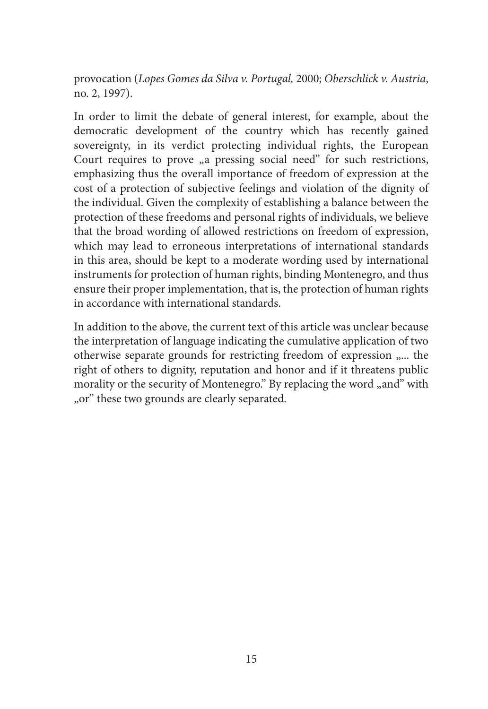provocation (*Lopes Gomes da Silva v. Portugal,* 2000; *Oberschlick v. Austria*, no. 2, 1997).

In order to limit the debate of general interest, for example, about the democratic development of the country which has recently gained sovereignty, in its verdict protecting individual rights, the European Court requires to prove <sub>n</sub>a pressing social need" for such restrictions, emphasizing thus the overall importance of freedom of expression at the cost of a protection of subjective feelings and violation of the dignity of the individual. Given the complexity of establishing a balance between the protection of these freedoms and personal rights of individuals, we believe that the broad wording of allowed restrictions on freedom of expression, which may lead to erroneous interpretations of international standards in this area, should be kept to a moderate wording used by international instruments for protection of human rights, binding Montenegro, and thus ensure their proper implementation, that is, the protection of human rights in accordance with international standards.

In addition to the above, the current text of this article was unclear because the interpretation of language indicating the cumulative application of two otherwise separate grounds for restricting freedom of expression "... the right of others to dignity, reputation and honor and if it threatens public morality or the security of Montenegro." By replacing the word "and" with "or" these two grounds are clearly separated.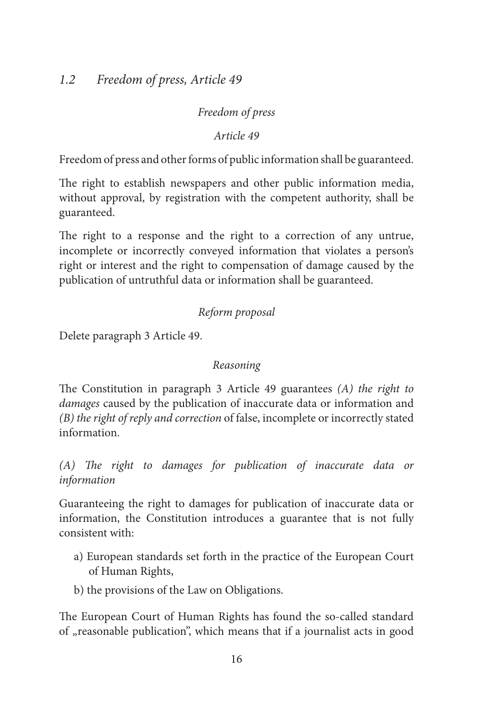#### *Freedom of press*

*Article 49*

Freedom of press and other forms of public information shall be guaranteed.

The right to establish newspapers and other public information media, without approval, by registration with the competent authority, shall be guaranteed.

The right to a response and the right to a correction of any untrue, incomplete or incorrectly conveyed information that violates a person's right or interest and the right to compensation of damage caused by the publication of untruthful data or information shall be guaranteed.

#### *Reform proposal*

Delete paragraph 3 Article 49.

#### *Reasoning*

The Constitution in paragraph 3 Article 49 guarantees *(A) the right to damages* caused by the publication of inaccurate data or information and *(B) the right of reply and correction* of false, incomplete or incorrectly stated information.

*(A) The right to damages for publication of inaccurate data or information* 

Guaranteeing the right to damages for publication of inaccurate data or information, the Constitution introduces a guarantee that is not fully consistent with:

- a) European standards set forth in the practice of the European Court of Human Rights,
- b) the provisions of the Law on Obligations.

The European Court of Human Rights has found the so-called standard of "reasonable publication", which means that if a journalist acts in good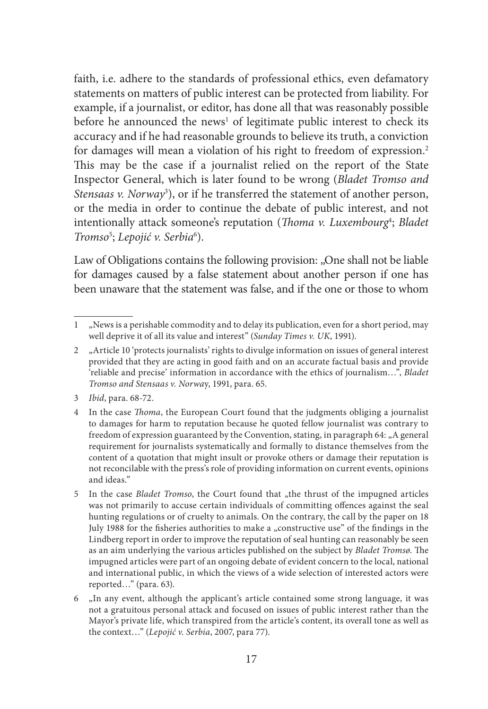faith, i.e. adhere to the standards of professional ethics, even defamatory statements on matters of public interest can be protected from liability. For example, if a journalist, or editor, has done all that was reasonably possible before he announced the news<sup>1</sup> of legitimate public interest to check its accuracy and if he had reasonable grounds to believe its truth, a conviction for damages will mean a violation of his right to freedom of expression.2 This may be the case if a journalist relied on the report of the State Inspector General, which is later found to be wrong (*Bladet Tromso and Stensaas v. Norway*<sup>3</sup> ), or if he transferred the statement of another person, or the media in order to continue the debate of public interest, and not intentionally attack someone's reputation (*Thoma v. Luxembourg*<sup>4</sup> ; *Bladet*  Tromso<sup>5</sup>; Lepojić v. Serbia<sup>6</sup>).

Law of Obligations contains the following provision: "One shall not be liable for damages caused by a false statement about another person if one has been unaware that the statement was false, and if the one or those to whom

3 *Ibid*, para. 68-72.

<sup>1</sup> "News is a perishable commodity and to delay its publication, even for a short period, may well deprive it of all its value and interest" (*Sunday Times v. UK*, 1991).

<sup>2</sup> "Article 10 'protects journalists' rights to divulge information on issues of general interest provided that they are acting in good faith and on an accurate factual basis and provide 'reliable and precise' information in accordance with the ethics of journalism…", *Bladet Tromso and Stensaas v. Norwa*y, 1991, para. 65.

<sup>4</sup> In the case *Thoma*, the European Court found that the judgments obliging a journalist to damages for harm to reputation because he quoted fellow journalist was contrary to freedom of expression guaranteed by the Convention, stating, in paragraph  $64:$  "A general requirement for journalists systematically and formally to distance themselves from the content of a quotation that might insult or provoke others or damage their reputation is not reconcilable with the press's role of providing information on current events, opinions and ideas."

<sup>5</sup> In the case *Bladet Tromso*, the Court found that "the thrust of the impugned articles was not primarily to accuse certain individuals of committing offences against the seal hunting regulations or of cruelty to animals. On the contrary, the call by the paper on 18 July 1988 for the fisheries authorities to make a "constructive use" of the findings in the Lindberg report in order to improve the reputation of seal hunting can reasonably be seen as an aim underlying the various articles published on the subject by *Bladet Tromsø*. The impugned articles were part of an ongoing debate of evident concern to the local, national and international public, in which the views of a wide selection of interested actors were reported…" (para. 63).

<sup>6</sup> "In any event, although the applicant's article contained some strong language, it was not a gratuitous personal attack and focused on issues of public interest rather than the Mayor's private life, which transpired from the article's content, its overall tone as well as the context…" (*Lepojić v. Serbia*, 2007, para 77).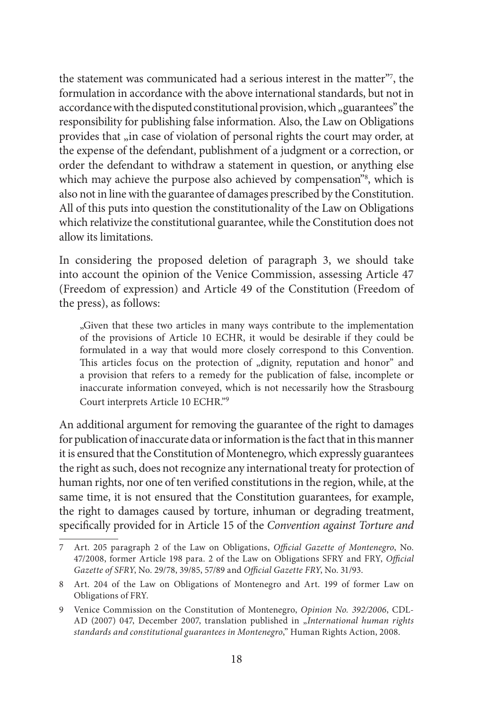the statement was communicated had a serious interest in the matter"7 , the formulation in accordance with the above international standards, but not in accordance with the disputed constitutional provision, which "guarantees" the responsibility for publishing false information. Also, the Law on Obligations provides that "in case of violation of personal rights the court may order, at the expense of the defendant, publishment of a judgment or a correction, or order the defendant to withdraw a statement in question, or anything else which may achieve the purpose also achieved by compensation"8 , which is also not in line with the guarantee of damages prescribed by the Constitution. All of this puts into question the constitutionality of the Law on Obligations which relativize the constitutional guarantee, while the Constitution does not allow its limitations.

In considering the proposed deletion of paragraph 3, we should take into account the opinion of the Venice Commission, assessing Article 47 (Freedom of expression) and Article 49 of the Constitution (Freedom of the press), as follows:

"Given that these two articles in many ways contribute to the implementation of the provisions of Article 10 ECHR, it would be desirable if they could be formulated in a way that would more closely correspond to this Convention. This articles focus on the protection of "dignity, reputation and honor" and a provision that refers to a remedy for the publication of false, incomplete or inaccurate information conveyed, which is not necessarily how the Strasbourg Court interprets Article 10 ECHR."9

An additional argument for removing the guarantee of the right to damages for publication of inaccurate data or information is the fact that in this manner it is ensured that the Constitution of Montenegro, which expressly guarantees the right as such, does not recognize any international treaty for protection of human rights, nor one of ten verified constitutions in the region, while, at the same time, it is not ensured that the Constitution guarantees, for example, the right to damages caused by torture, inhuman or degrading treatment, specifically provided for in Article 15 of the *Convention against Torture and* 

<sup>7</sup> Art. 205 paragraph 2 of the Law on Obligations, *Official Gazette of Montenegro*, No. 47/2008, former Article 198 para. 2 of the Law on Obligations SFRY and FRY, *Official Gazette of SFRY*, No. 29/78, 39/85, 57/89 and *Official Gazette FRY*, No. 31/93.

<sup>8</sup> Art. 204 of the Law on Obligations of Montenegro and Art. 199 of former Law on Obligations of FRY.

<sup>9</sup> Venice Commission on the Constitution of Montenegro, *Opinion No. 392/2006*, CDL-AD (2007) 047, December 2007, translation published in "International human rights *standards and constitutional guarantees in Montenegro*," Human Rights Action, 2008.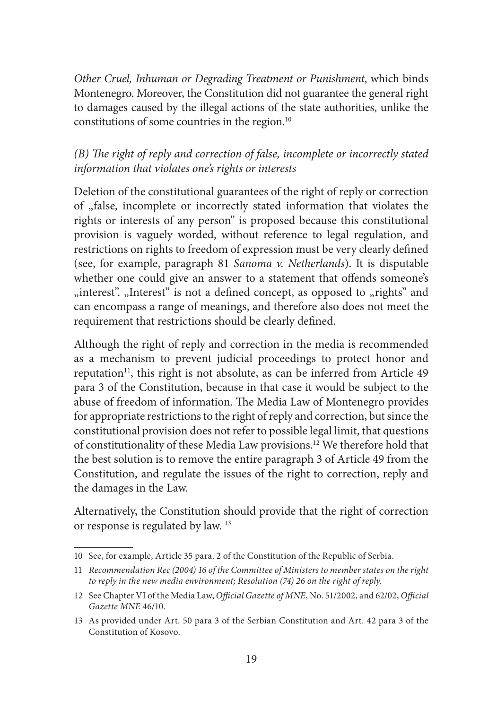*Other Cruel, Inhuman or Degrading Treatment or Punishment*, which binds Montenegro. Moreover, the Constitution did not guarantee the general right to damages caused by the illegal actions of the state authorities, unlike the constitutions of some countries in the region.10

#### *(B) The right of reply and correction of false, incomplete or incorrectly stated information that violates one's rights or interests*

Deletion of the constitutional guarantees of the right of reply or correction of "false, incomplete or incorrectly stated information that violates the rights or interests of any person" is proposed because this constitutional provision is vaguely worded, without reference to legal regulation, and restrictions on rights to freedom of expression must be very clearly defined (see, for example, paragraph 81 *Sanoma v. Netherlands*). It is disputable whether one could give an answer to a statement that offends someone's "interest". "Interest" is not a defined concept, as opposed to "rights" and can encompass a range of meanings, and therefore also does not meet the requirement that restrictions should be clearly defined.

Although the right of reply and correction in the media is recommended as a mechanism to prevent judicial proceedings to protect honor and reputation<sup>11</sup>, this right is not absolute, as can be inferred from Article 49 para 3 of the Constitution, because in that case it would be subject to the abuse of freedom of information. The Media Law of Montenegro provides for appropriate restrictions to the right of reply and correction, but since the constitutional provision does not refer to possible legal limit, that questions of constitutionality of these Media Law provisions.12 We therefore hold that the best solution is to remove the entire paragraph 3 of Article 49 from the Constitution, and regulate the issues of the right to correction, reply and the damages in the Law.

Alternatively, the Constitution should provide that the right of correction or response is regulated by law. 13

<sup>10</sup> See, for example, Article 35 para. 2 of the Constitution of the Republic of Serbia.

<sup>11</sup> *Recommendation Rec (2004) 16 of the Committee of Ministers to member states on the right to reply in the new media environment; Resolution (74) 26 on the right of reply.*

<sup>12</sup> See Chapter VI of the Media Law, *Official Gazette of MNE*, No. 51/2002, and 62/02, *Official Gazette MNE* 46/10.

<sup>13</sup> As provided under Art. 50 para 3 of the Serbian Constitution and Art. 42 para 3 of the Constitution of Kosovo.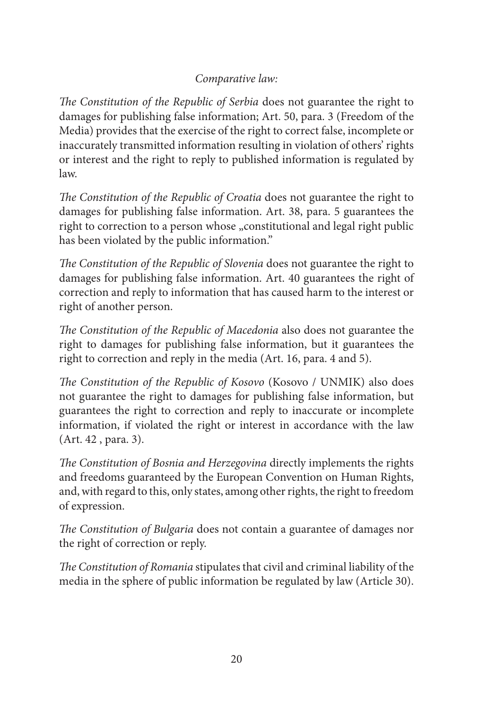## *Comparative law:*

*The Constitution of the Republic of Serbia* does not guarantee the right to damages for publishing false information; Art. 50, para. 3 (Freedom of the Media) provides that the exercise of the right to correct false, incomplete or inaccurately transmitted information resulting in violation of others' rights or interest and the right to reply to published information is regulated by law.

*The Constitution of the Republic of Croatia* does not guarantee the right to damages for publishing false information. Art. 38, para. 5 guarantees the right to correction to a person whose "constitutional and legal right public has been violated by the public information."

*The Constitution of the Republic of Slovenia* does not guarantee the right to damages for publishing false information. Art. 40 guarantees the right of correction and reply to information that has caused harm to the interest or right of another person.

*The Constitution of the Republic of Macedonia* also does not guarantee the right to damages for publishing false information, but it guarantees the right to correction and reply in the media (Art. 16, para. 4 and 5).

*The Constitution of the Republic of Kosovo* (Kosovo / UNMIK) also does not guarantee the right to damages for publishing false information, but guarantees the right to correction and reply to inaccurate or incomplete information, if violated the right or interest in accordance with the law (Art. 42 , para. 3).

*The Constitution of Bosnia and Herzegovina* directly implements the rights and freedoms guaranteed by the European Convention on Human Rights, and, with regard to this, only states, among other rights, the right to freedom of expression.

*The Constitution of Bulgaria* does not contain a guarantee of damages nor the right of correction or reply.

*The Constitution of Romania* stipulates that civil and criminal liability of the media in the sphere of public information be regulated by law (Article 30).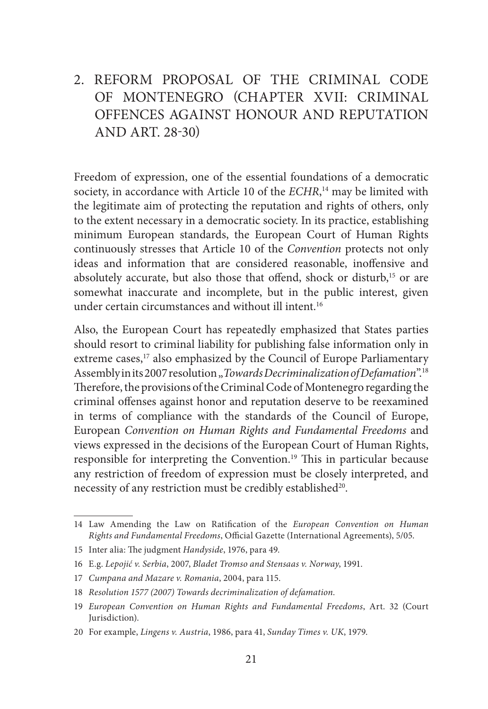# 2. REFORM PROPOSAL OF THE CRIMINAL CODE OF MONTENEGRO (CHAPTER XVII: CRIMINAL OFFENCES AGAINST HONOUR AND REPUTATION AND ART. 28-30)

Freedom of expression, one of the essential foundations of a democratic society, in accordance with Article 10 of the *ECHR*, 14 may be limited with the legitimate aim of protecting the reputation and rights of others, only to the extent necessary in a democratic society. In its practice, establishing minimum European standards, the European Court of Human Rights continuously stresses that Article 10 of the *Convention* protects not only ideas and information that are considered reasonable, inoffensive and absolutely accurate, but also those that offend, shock or disturb,<sup>15</sup> or are somewhat inaccurate and incomplete, but in the public interest, given under certain circumstances and without ill intent.<sup>16</sup>

Also, the European Court has repeatedly emphasized that States parties should resort to criminal liability for publishing false information only in extreme cases,<sup>17</sup> also emphasized by the Council of Europe Parliamentary Assembly in its 2007 resolution "*Towards Decriminalization of Defamation*".<sup>18</sup> Therefore, the provisions of the Criminal Code of Montenegro regarding the criminal offenses against honor and reputation deserve to be reexamined in terms of compliance with the standards of the Council of Europe, European *Convention on Human Rights and Fundamental Freedoms* and views expressed in the decisions of the European Court of Human Rights, responsible for interpreting the Convention.19 This in particular because any restriction of freedom of expression must be closely interpreted, and necessity of any restriction must be credibly established<sup>20</sup>.

<sup>14</sup> Law Amending the Law on Ratification of the *European Convention on Human Rights and Fundamental Freedoms*, Official Gazette (International Agreements), 5/05.

<sup>15</sup> Inter alia: The judgment *Handyside*, 1976, para 49.

<sup>16</sup> E.g. *Lepojić v. Serbia*, 2007, *Bladet Tromso and Stensaas v. Norway*, 1991.

<sup>17</sup> *Cumpana and Mazare v. Romania*, 2004, para 115.

<sup>18</sup> *Resolution 1577 (2007) Towards decriminalization of defamation.*

<sup>19</sup> *European Convention on Human Rights and Fundamental Freedoms*, Art. 32 (Court Jurisdiction).

<sup>20</sup> For example, *Lingens v. Austria*, 1986, para 41, *Sunday Times v. UK*, 1979.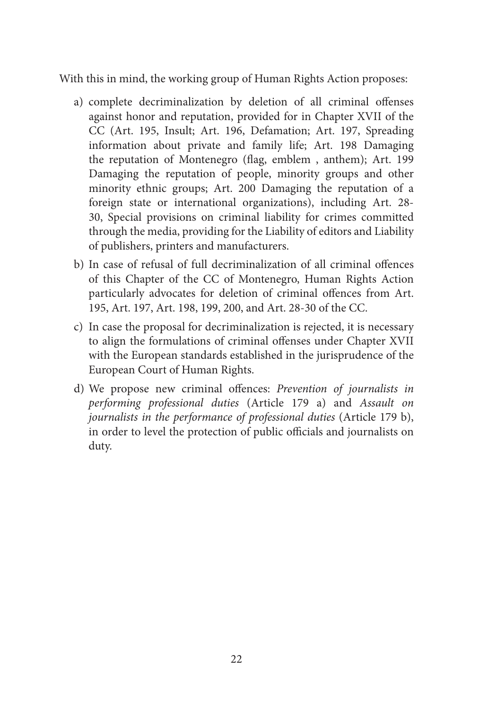With this in mind, the working group of Human Rights Action proposes:

- a) complete decriminalization by deletion of all criminal offenses against honor and reputation, provided for in Chapter XVII of the CC (Art. 195, Insult; Art. 196, Defamation; Art. 197, Spreading information about private and family life; Art. 198 Damaging the reputation of Montenegro (flag, emblem , anthem); Art. 199 Damaging the reputation of people, minority groups and other minority ethnic groups; Art. 200 Damaging the reputation of a foreign state or international organizations), including Art. 28- 30, Special provisions on criminal liability for crimes committed through the media, providing for the Liability of editors and Liability of publishers, printers and manufacturers.
- b) In case of refusal of full decriminalization of all criminal offences of this Chapter of the CC of Montenegro, Human Rights Action particularly advocates for deletion of criminal offences from Art. 195, Art. 197, Art. 198, 199, 200, and Art. 28-30 of the CC.
- c) In case the proposal for decriminalization is rejected, it is necessary to align the formulations of criminal offenses under Chapter XVII with the European standards established in the jurisprudence of the European Court of Human Rights.
- d) We propose new criminal offences: *Prevention of journalists in performing professional duties* (Article 179 a) and *Assault on journalists in the performance of professional duties* (Article 179 b), in order to level the protection of public officials and journalists on duty.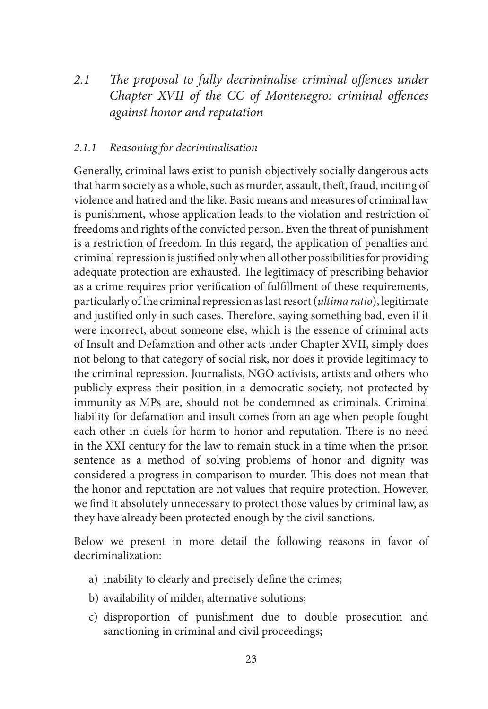*2.1 The proposal to fully decriminalise criminal offences under Chapter XVII of the CC of Montenegro: criminal offences against honor and reputation*

#### *2.1.1 Reasoning for decriminalisation*

Generally, criminal laws exist to punish objectively socially dangerous acts that harm society as a whole, such as murder, assault, theft, fraud, inciting of violence and hatred and the like. Basic means and measures of criminal law is punishment, whose application leads to the violation and restriction of freedoms and rights of the convicted person. Even the threat of punishment is a restriction of freedom. In this regard, the application of penalties and criminal repression is justified only when all other possibilities for providing adequate protection are exhausted. The legitimacy of prescribing behavior as a crime requires prior verification of fulfillment of these requirements, particularly of the criminal repression as last resort (*ultima ratio*), legitimate and justified only in such cases. Therefore, saying something bad, even if it were incorrect, about someone else, which is the essence of criminal acts of Insult and Defamation and other acts under Chapter XVII, simply does not belong to that category of social risk, nor does it provide legitimacy to the criminal repression. Journalists, NGO activists, artists and others who publicly express their position in a democratic society, not protected by immunity as MPs are, should not be condemned as criminals. Criminal liability for defamation and insult comes from an age when people fought each other in duels for harm to honor and reputation. There is no need in the XXI century for the law to remain stuck in a time when the prison sentence as a method of solving problems of honor and dignity was considered a progress in comparison to murder. This does not mean that the honor and reputation are not values that require protection. However, we find it absolutely unnecessary to protect those values by criminal law, as they have already been protected enough by the civil sanctions.

Below we present in more detail the following reasons in favor of decriminalization:

- a) inability to clearly and precisely define the crimes;
- b) availability of milder, alternative solutions;
- c) disproportion of punishment due to double prosecution and sanctioning in criminal and civil proceedings;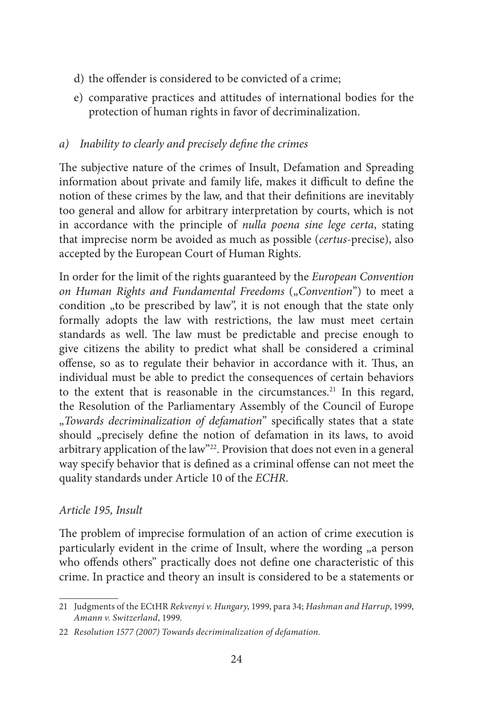- d) the offender is considered to be convicted of a crime;
- e) comparative practices and attitudes of international bodies for the protection of human rights in favor of decriminalization.

## *a) Inability to clearly and precisely define the crimes*

The subjective nature of the crimes of Insult, Defamation and Spreading information about private and family life, makes it difficult to define the notion of these crimes by the law, and that their definitions are inevitably too general and allow for arbitrary interpretation by courts, which is not in accordance with the principle of *nulla poena sine lege certa*, stating that imprecise norm be avoided as much as possible (*certus*-precise), also accepted by the European Court of Human Rights.

In order for the limit of the rights guaranteed by the *European Convention on Human Rights and Fundamental Freedoms* ("*Convention*") to meet a condition "to be prescribed by law", it is not enough that the state only formally adopts the law with restrictions, the law must meet certain standards as well. The law must be predictable and precise enough to give citizens the ability to predict what shall be considered a criminal offense, so as to regulate their behavior in accordance with it. Thus, an individual must be able to predict the consequences of certain behaviors to the extent that is reasonable in the circumstances.<sup>21</sup> In this regard, the Resolution of the Parliamentary Assembly of the Council of Europe "*Towards decriminalization of defamation*'' specifically states that a state should "precisely define the notion of defamation in its laws, to avoid arbitrary application of the law''22. Provision that does not even in a general way specify behavior that is defined as a criminal offense can not meet the quality standards under Article 10 of the *ECHR*.

## *Article 195, Insult*

The problem of imprecise formulation of an action of crime execution is particularly evident in the crime of Insult, where the wording <sub>n</sub>a person who offends others'' practically does not define one characteristic of this crime. In practice and theory an insult is considered to be a statements or

<sup>21</sup> Judgments of the ECtHR *Rekvenyi v. Hungary*, 1999, para 34; *Hashman and Harrup*, 1999, *Amann v. Switzerland*, 1999.

<sup>22</sup> *Resolution 1577 (2007) Towards decriminalization of defamation.*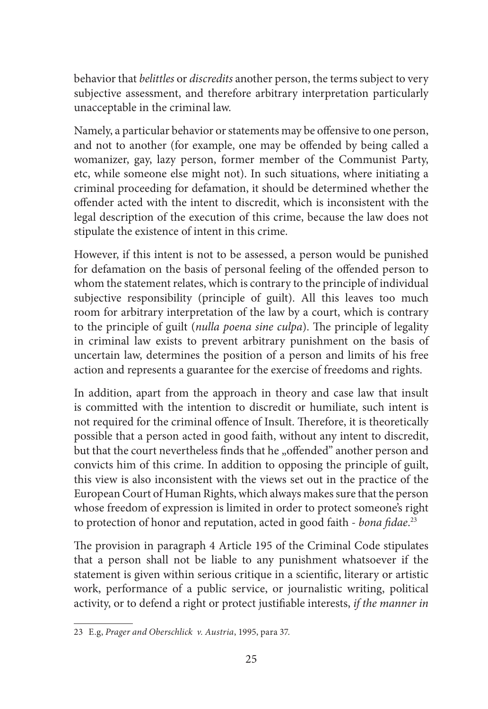behavior that *belittles* or *discredits* another person, the terms subject to very subjective assessment, and therefore arbitrary interpretation particularly unacceptable in the criminal law.

Namely, a particular behavior or statements may be offensive to one person, and not to another (for example, one may be offended by being called a womanizer, gay, lazy person, former member of the Communist Party, etc, while someone else might not). In such situations, where initiating a criminal proceeding for defamation, it should be determined whether the offender acted with the intent to discredit, which is inconsistent with the legal description of the execution of this crime, because the law does not stipulate the existence of intent in this crime.

However, if this intent is not to be assessed, a person would be punished for defamation on the basis of personal feeling of the offended person to whom the statement relates, which is contrary to the principle of individual subjective responsibility (principle of guilt). All this leaves too much room for arbitrary interpretation of the law by a court, which is contrary to the principle of guilt (*nulla poena sine culpa*). The principle of legality in criminal law exists to prevent arbitrary punishment on the basis of uncertain law, determines the position of a person and limits of his free action and represents a guarantee for the exercise of freedoms and rights.

In addition, apart from the approach in theory and case law that insult is committed with the intention to discredit or humiliate, such intent is not required for the criminal offence of Insult. Therefore, it is theoretically possible that a person acted in good faith, without any intent to discredit, but that the court nevertheless finds that he "offended" another person and convicts him of this crime. In addition to opposing the principle of guilt, this view is also inconsistent with the views set out in the practice of the European Court of Human Rights, which always makes sure that the person whose freedom of expression is limited in order to protect someone's right to protection of honor and reputation, acted in good faith - *bona fidae*. 23

The provision in paragraph 4 Article 195 of the Criminal Code stipulates that a person shall not be liable to any punishment whatsoever if the statement is given within serious critique in a scientific, literary or artistic work, performance of a public service, or journalistic writing, political activity, or to defend a right or protect justifiable interests, *if the manner in* 

<sup>23</sup> E.g, *Prager and Oberschlick v. Austria*, 1995, para 37.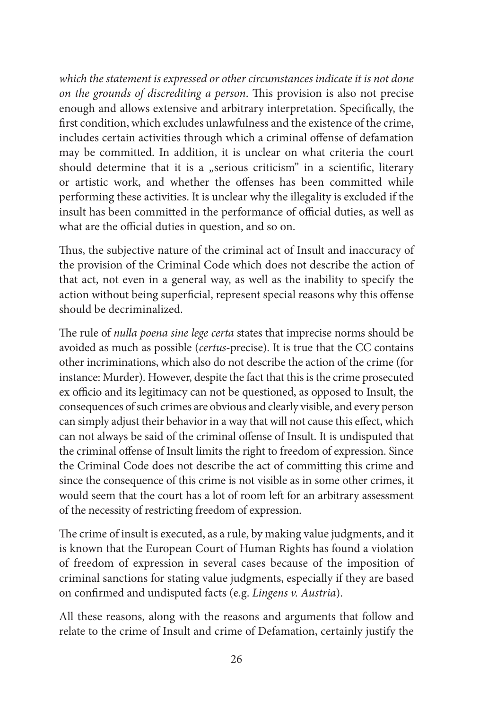*which the statement is expressed or other circumstances indicate it is not done on the grounds of discrediting a person*. This provision is also not precise enough and allows extensive and arbitrary interpretation. Specifically, the first condition, which excludes unlawfulness and the existence of the crime, includes certain activities through which a criminal offense of defamation may be committed. In addition, it is unclear on what criteria the court should determine that it is a "serious criticism" in a scientific, literary or artistic work, and whether the offenses has been committed while performing these activities. It is unclear why the illegality is excluded if the insult has been committed in the performance of official duties, as well as what are the official duties in question, and so on.

Thus, the subjective nature of the criminal act of Insult and inaccuracy of the provision of the Criminal Code which does not describe the action of that act, not even in a general way, as well as the inability to specify the action without being superficial, represent special reasons why this offense should be decriminalized.

The rule of *nulla poena sine lege certa* states that imprecise norms should be avoided as much as possible (*certus*-precise). It is true that the CC contains other incriminations, which also do not describe the action of the crime (for instance: Murder). However, despite the fact that this is the crime prosecuted ex officio and its legitimacy can not be questioned, as opposed to Insult, the consequences of such crimes are obvious and clearly visible, and every person can simply adjust their behavior in a way that will not cause this effect, which can not always be said of the criminal offense of Insult. It is undisputed that the criminal offense of Insult limits the right to freedom of expression. Since the Criminal Code does not describe the act of committing this crime and since the consequence of this crime is not visible as in some other crimes, it would seem that the court has a lot of room left for an arbitrary assessment of the necessity of restricting freedom of expression.

The crime of insult is executed, as a rule, by making value judgments, and it is known that the European Court of Human Rights has found a violation of freedom of expression in several cases because of the imposition of criminal sanctions for stating value judgments, especially if they are based on confirmed and undisputed facts (e.g. *Lingens v. Austria*).

All these reasons, along with the reasons and arguments that follow and relate to the crime of Insult and crime of Defamation, certainly justify the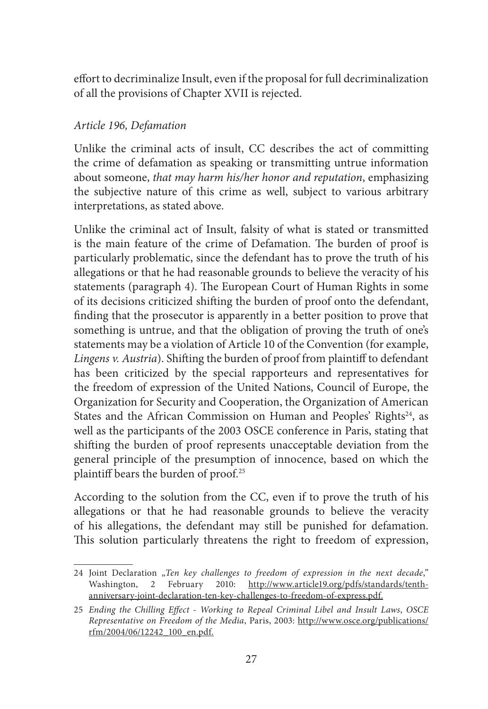effort to decriminalize Insult, even if the proposal for full decriminalization of all the provisions of Chapter XVII is rejected.

#### *Article 196, Defamation*

Unlike the criminal acts of insult, CC describes the act of committing the crime of defamation as speaking or transmitting untrue information about someone, *that may harm his/her honor and reputation*, emphasizing the subjective nature of this crime as well, subject to various arbitrary interpretations, as stated above.

Unlike the criminal act of Insult, falsity of what is stated or transmitted is the main feature of the crime of Defamation. The burden of proof is particularly problematic, since the defendant has to prove the truth of his allegations or that he had reasonable grounds to believe the veracity of his statements (paragraph 4). The European Court of Human Rights in some of its decisions criticized shifting the burden of proof onto the defendant, finding that the prosecutor is apparently in a better position to prove that something is untrue, and that the obligation of proving the truth of one's statements may be a violation of Article 10 of the Convention (for example, *Lingens v. Austria*). Shifting the burden of proof from plaintiff to defendant has been criticized by the special rapporteurs and representatives for the freedom of expression of the United Nations, Council of Europe, the Organization for Security and Cooperation, the Organization of American States and the African Commission on Human and Peoples' Rights<sup>24</sup>, as well as the participants of the 2003 OSCE conference in Paris, stating that shifting the burden of proof represents unacceptable deviation from the general principle of the presumption of innocence, based on which the plaintiff bears the burden of proof.25

According to the solution from the CC, even if to prove the truth of his allegations or that he had reasonable grounds to believe the veracity of his allegations, the defendant may still be punished for defamation. This solution particularly threatens the right to freedom of expression,

<sup>24</sup> Joint Declaration "Ten key challenges to freedom of expression in the next decade," Washington, 2 February 2010: http://www.article19.org/pdfs/standards/tenthanniversary-joint-declaration-ten-key-challenges-to-freedom-of-express.pdf.

<sup>25</sup> *Ending the Chilling Effect - Working to Repeal Criminal Libel and Insult Laws*, *OSCE Representative on Freedom of the Media*, Paris, 2003: http://www.osce.org/publications/ rfm/2004/06/12242\_100\_en.pdf.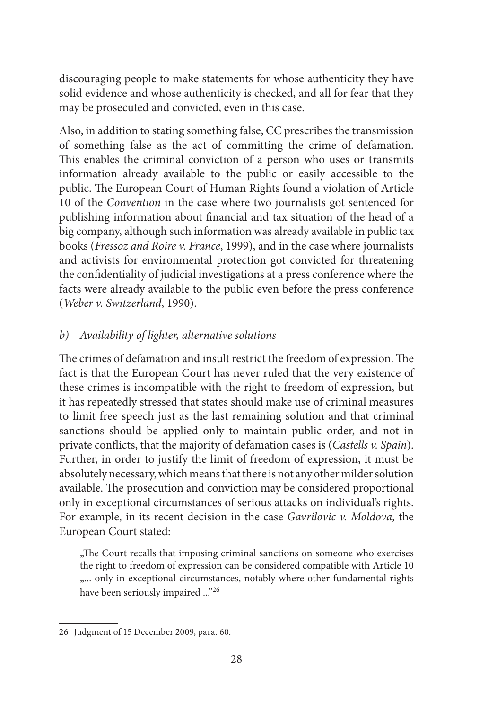discouraging people to make statements for whose authenticity they have solid evidence and whose authenticity is checked, and all for fear that they may be prosecuted and convicted, even in this case.

Also, in addition to stating something false, CC prescribes the transmission of something false as the act of committing the crime of defamation. This enables the criminal conviction of a person who uses or transmits information already available to the public or easily accessible to the public. The European Court of Human Rights found a violation of Article 10 of the *Convention* in the case where two journalists got sentenced for publishing information about financial and tax situation of the head of a big company, although such information was already available in public tax books (*Fressoz and Roire v. France*, 1999), and in the case where journalists and activists for environmental protection got convicted for threatening the confidentiality of judicial investigations at a press conference where the facts were already available to the public even before the press conference (*Weber v. Switzerland*, 1990).

#### *b) Availability of lighter, alternative solutions*

The crimes of defamation and insult restrict the freedom of expression. The fact is that the European Court has never ruled that the very existence of these crimes is incompatible with the right to freedom of expression, but it has repeatedly stressed that states should make use of criminal measures to limit free speech just as the last remaining solution and that criminal sanctions should be applied only to maintain public order, and not in private conflicts, that the majority of defamation cases is (*Castells v. Spain*). Further, in order to justify the limit of freedom of expression, it must be absolutely necessary, which means that there is not any other milder solution available. The prosecution and conviction may be considered proportional only in exceptional circumstances of serious attacks on individual's rights. For example, in its recent decision in the case *Gavrilovic v. Moldova*, the European Court stated:

"The Court recalls that imposing criminal sanctions on someone who exercises the right to freedom of expression can be considered compatible with Article 10 ".... only in exceptional circumstances, notably where other fundamental rights have been seriously impaired ..."<sup>26</sup>

<sup>26</sup> Judgment of 15 December 2009, para. 60.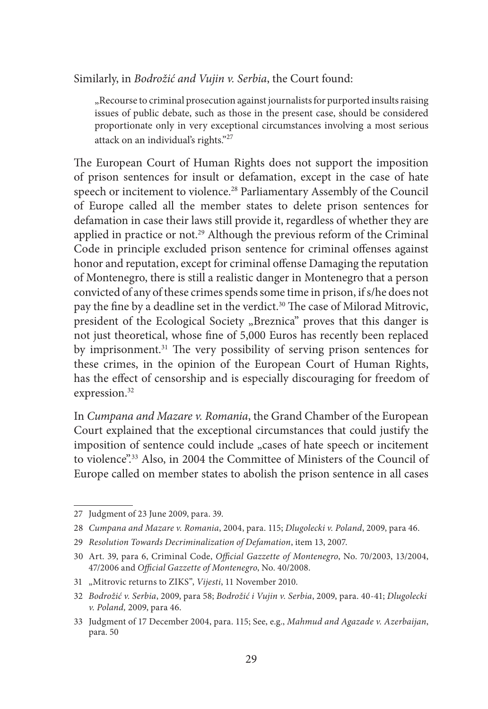Similarly, in *Bodrožić and Vujin v. Serbia*, the Court found:

"Recourse to criminal prosecution against journalists for purported insults raising issues of public debate, such as those in the present case, should be considered proportionate only in very exceptional circumstances involving a most serious attack on an individual's rights."27

The European Court of Human Rights does not support the imposition of prison sentences for insult or defamation, except in the case of hate speech or incitement to violence.<sup>28</sup> Parliamentary Assembly of the Council of Europe called all the member states to delete prison sentences for defamation in case their laws still provide it, regardless of whether they are applied in practice or not.<sup>29</sup> Although the previous reform of the Criminal Code in principle excluded prison sentence for criminal offenses against honor and reputation, except for criminal offense Damaging the reputation of Montenegro, there is still a realistic danger in Montenegro that a person convicted of any of these crimes spends some time in prison, if s/he does not pay the fine by a deadline set in the verdict.<sup>30</sup> The case of Milorad Mitrovic, president of the Ecological Society "Breznica" proves that this danger is not just theoretical, whose fine of 5,000 Euros has recently been replaced by imprisonment.<sup>31</sup> The very possibility of serving prison sentences for these crimes, in the opinion of the European Court of Human Rights, has the effect of censorship and is especially discouraging for freedom of expression.<sup>32</sup>

In *Cumpana and Mazare v. Romania*, the Grand Chamber of the European Court explained that the exceptional circumstances that could justify the imposition of sentence could include "cases of hate speech or incitement to violence".33 Also, in 2004 the Committee of Ministers of the Council of Europe called on member states to abolish the prison sentence in all cases

<sup>27</sup> Judgment of 23 June 2009, para. 39.

<sup>28</sup> *Cumpana and Mazare v. Romania*, 2004, para. 115; *Dlugolecki v. Poland*, 2009, para 46.

<sup>29</sup> *Resolution Towards Decriminalization of Defamation*, item 13, 2007.

<sup>30</sup> Art. 39, para 6, Criminal Code, *Official Gazzette of Montenegro*, No. 70/2003, 13/2004, 47/2006 and *Official Gazzette of Montenegro*, No. 40/2008.

<sup>31</sup> "Mitrovic returns to ZIKS", *Vijesti*, 11 November 2010.

<sup>32</sup> *Bodrožić v. Serbia*, 2009, para 58; *Bodrožić i Vujin v. Serbia*, 2009, para. 40-41; *Dlugolecki v. Poland,* 2009, para 46.

<sup>33</sup> Judgment of 17 December 2004, para. 115; See, e.g., *Mahmud and Agazade v. Azerbaijan*, para. 50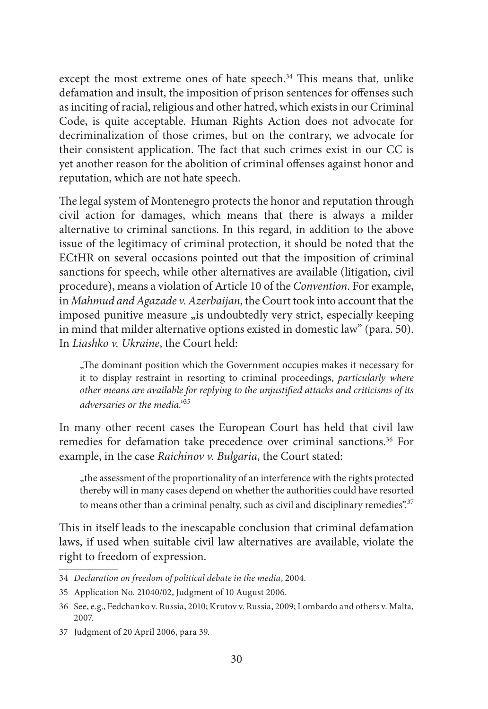except the most extreme ones of hate speech.<sup>34</sup> This means that, unlike defamation and insult, the imposition of prison sentences for offenses such as inciting of racial, religious and other hatred, which exists in our Criminal Code, is quite acceptable. Human Rights Action does not advocate for decriminalization of those crimes, but on the contrary, we advocate for their consistent application. The fact that such crimes exist in our CC is yet another reason for the abolition of criminal offenses against honor and reputation, which are not hate speech.

The legal system of Montenegro protects the honor and reputation through civil action for damages, which means that there is always a milder alternative to criminal sanctions. In this regard, in addition to the above issue of the legitimacy of criminal protection, it should be noted that the ECtHR on several occasions pointed out that the imposition of criminal sanctions for speech, while other alternatives are available (litigation, civil procedure), means a violation of Article 10 of the *Convention*. For example, in *Mahmud and Agazade v. Azerbaijan*, the Court took into account that the imposed punitive measure "is undoubtedly very strict, especially keeping in mind that milder alternative options existed in domestic law" (para. 50). In *Liashko v. Ukraine*, the Court held:

"The dominant position which the Government occupies makes it necessary for it to display restraint in resorting to criminal proceedings, *particularly where other means are available for replying to the unjustified attacks and criticisms of its adversaries or the media."*<sup>35</sup>

In many other recent cases the European Court has held that civil law remedies for defamation take precedence over criminal sanctions.<sup>36</sup> For example, in the case *Raichinov v. Bulgaria*, the Court stated:

"the assessment of the proportionality of an interference with the rights protected thereby will in many cases depend on whether the authorities could have resorted to means other than a criminal penalty, such as civil and disciplinary remedies".<sup>37</sup>

This in itself leads to the inescapable conclusion that criminal defamation laws, if used when suitable civil law alternatives are available, violate the right to freedom of expression.

<sup>34</sup> *Declaration on freedom of political debate in the media*, 2004.

<sup>35</sup> Application No. 21040/02, Judgment of 10 August 2006.

<sup>36</sup> See, e.g., Fedchanko v. Russia, 2010; Krutov v. Russia, 2009; Lombardo and others v. Malta, 2007.

<sup>37</sup> Judgment of 20 April 2006, para 39.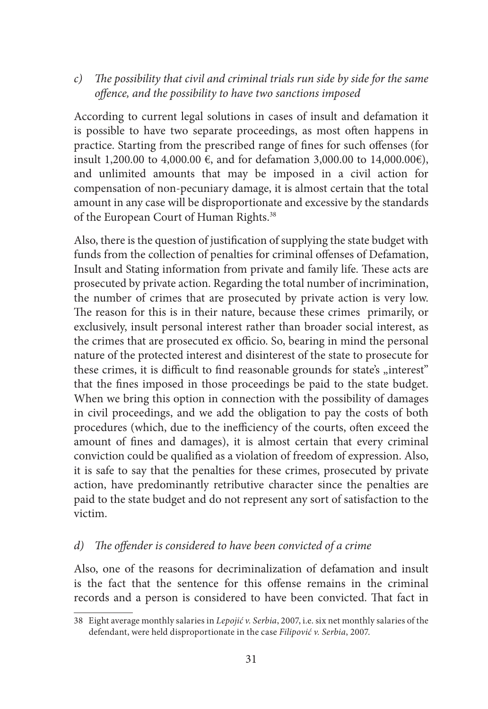#### *c) The possibility that civil and criminal trials run side by side for the same offence, and the possibility to have two sanctions imposed*

According to current legal solutions in cases of insult and defamation it is possible to have two separate proceedings, as most often happens in practice. Starting from the prescribed range of fines for such offenses (for insult 1,200.00 to 4,000.00 €, and for defamation 3,000.00 to 14,000.00€), and unlimited amounts that may be imposed in a civil action for compensation of non-pecuniary damage, it is almost certain that the total amount in any case will be disproportionate and excessive by the standards of the European Court of Human Rights.<sup>38</sup>

Also, there is the question of justification of supplying the state budget with funds from the collection of penalties for criminal offenses of Defamation, Insult and Stating information from private and family life. These acts are prosecuted by private action. Regarding the total number of incrimination, the number of crimes that are prosecuted by private action is very low. The reason for this is in their nature, because these crimes primarily, or exclusively, insult personal interest rather than broader social interest, as the crimes that are prosecuted ex officio. So, bearing in mind the personal nature of the protected interest and disinterest of the state to prosecute for these crimes, it is difficult to find reasonable grounds for state's "interest" that the fines imposed in those proceedings be paid to the state budget. When we bring this option in connection with the possibility of damages in civil proceedings, and we add the obligation to pay the costs of both procedures (which, due to the inefficiency of the courts, often exceed the amount of fines and damages), it is almost certain that every criminal conviction could be qualified as a violation of freedom of expression. Also, it is safe to say that the penalties for these crimes, prosecuted by private action, have predominantly retributive character since the penalties are paid to the state budget and do not represent any sort of satisfaction to the victim.

#### *d) The offender is considered to have been convicted of a crime*

Also, one of the reasons for decriminalization of defamation and insult is the fact that the sentence for this offense remains in the criminal records and a person is considered to have been convicted. That fact in

<sup>38</sup> Eight average monthly salaries in *Lepojić v. Serbia*, 2007, i.e. six net monthly salaries of the defendant, were held disproportionate in the case *Filipović v. Serbia*, 2007.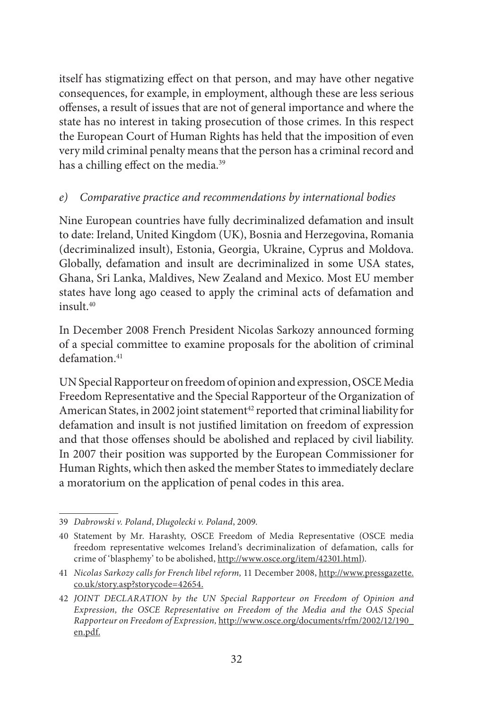itself has stigmatizing effect on that person, and may have other negative consequences, for example, in employment, although these are less serious offenses, a result of issues that are not of general importance and where the state has no interest in taking prosecution of those crimes. In this respect the European Court of Human Rights has held that the imposition of even very mild criminal penalty means that the person has a criminal record and has a chilling effect on the media.<sup>39</sup>

#### *e) Comparative practice and recommendations by international bodies*

Nine European countries have fully decriminalized defamation and insult to date: Ireland, United Kingdom (UK), Bosnia and Herzegovina, Romania (decriminalized insult), Estonia, Georgia, Ukraine, Cyprus and Moldova. Globally, defamation and insult are decriminalized in some USA states, Ghana, Sri Lanka, Maldives, New Zealand and Mexico. Most EU member states have long ago ceased to apply the criminal acts of defamation and insult.40

In December 2008 French President Nicolas Sarkozy announced forming of a special committee to examine proposals for the abolition of criminal defamation.<sup>41</sup>

UN Special Rapporteur on freedom of opinion and expression, OSCE Media Freedom Representative and the Special Rapporteur of the Organization of American States, in 2002 joint statement<sup>42</sup> reported that criminal liability for defamation and insult is not justified limitation on freedom of expression and that those offenses should be abolished and replaced by civil liability. In 2007 their position was supported by the European Commissioner for Human Rights, which then asked the member States to immediately declare a moratorium on the application of penal codes in this area.

<sup>39</sup> *Dabrowski v. Poland*, *Dlugolecki v. Poland*, 2009.

<sup>40</sup> Statement by Mr. Harashty, OSCE Freedom of Media Representative (OSCE media freedom representative welcomes Ireland's decriminalization of defamation, calls for crime of 'blasphemy' to be abolished, http://www.osce.org/item/42301.html).

<sup>41</sup> *Nicolas Sarkozy calls for French libel reform,* 11 December 2008, http://www.pressgazette. co.uk/story.asp?storycode=42654.

<sup>42</sup> *JOINT DECLARATION by the UN Special Rapporteur on Freedom of Opinion and Expression, the OSCE Representative on Freedom of the Media and the OAS Special Rapporteur on Freedom of Expression,* http://www.osce.org/documents/rfm/2002/12/190\_ en.pdf.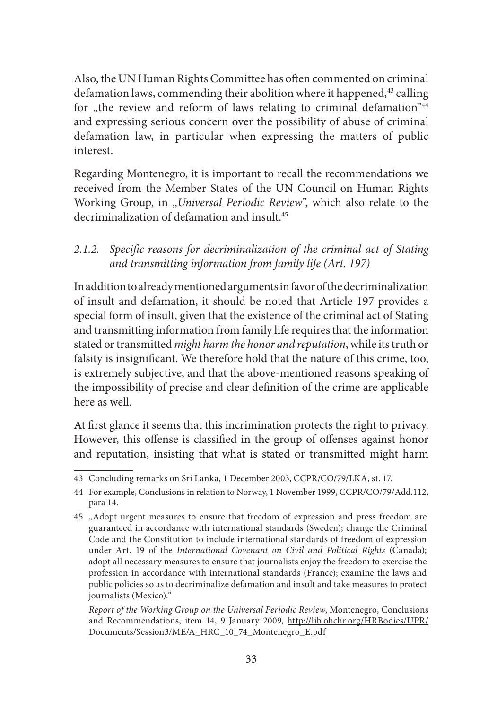Also, the UN Human Rights Committee has often commented on criminal defamation laws, commending their abolition where it happened,<sup>43</sup> calling for "the review and reform of laws relating to criminal defamation"<sup>44</sup> and expressing serious concern over the possibility of abuse of criminal defamation law, in particular when expressing the matters of public interest.

Regarding Montenegro, it is important to recall the recommendations we received from the Member States of the UN Council on Human Rights Working Group, in "*Universal Periodic Review*", which also relate to the decriminalization of defamation and insult.45

*2.1.2. Specific reasons for decriminalization of the criminal act of Stating and transmitting information from family life (Art. 197)*

In addition to already mentioned arguments in favor of the decriminalization of insult and defamation, it should be noted that Article 197 provides a special form of insult, given that the existence of the criminal act of Stating and transmitting information from family life requires that the information stated or transmitted *might harm the honor and reputation*, while its truth or falsity is insignificant. We therefore hold that the nature of this crime, too, is extremely subjective, and that the above-mentioned reasons speaking of the impossibility of precise and clear definition of the crime are applicable here as well.

At first glance it seems that this incrimination protects the right to privacy. However, this offense is classified in the group of offenses against honor and reputation, insisting that what is stated or transmitted might harm

<sup>43</sup> Concluding remarks on Sri Lanka, 1 December 2003, CCPR/CO/79/LKA, st. 17.

<sup>44</sup> For example, Conclusions in relation to Norway, 1 November 1999, CCPR/CO/79/Add.112, para 14.

<sup>45</sup> "Adopt urgent measures to ensure that freedom of expression and press freedom are guaranteed in accordance with international standards (Sweden); change the Criminal Code and the Constitution to include international standards of freedom of expression under Art. 19 of the *International Covenant on Civil and Political Rights* (Canada); adopt all necessary measures to ensure that journalists enjoy the freedom to exercise the profession in accordance with international standards (France); examine the laws and public policies so as to decriminalize defamation and insult and take measures to protect journalists (Mexico)."

*Report of the Working Group on the Universal Periodic Review*, Montenegro, Conclusions and Recommendations, item 14, 9 January 2009, http://lib.ohchr.org/HRBodies/UPR/ Documents/Session3/ME/A\_HRC\_10\_74\_Montenegro\_E.pdf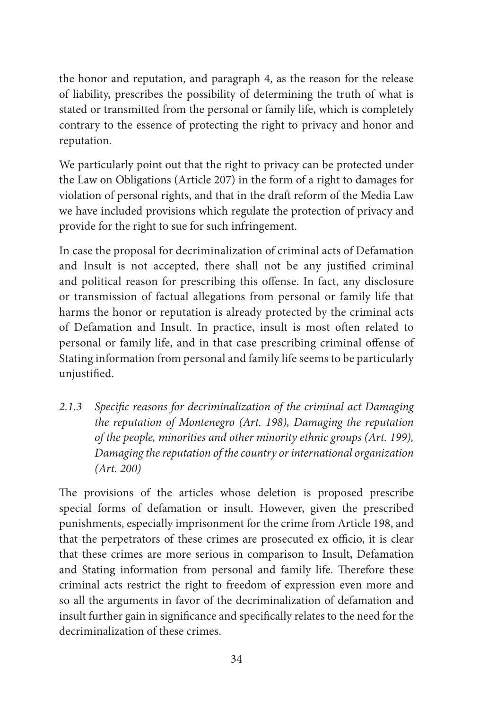the honor and reputation, and paragraph 4, as the reason for the release of liability, prescribes the possibility of determining the truth of what is stated or transmitted from the personal or family life, which is completely contrary to the essence of protecting the right to privacy and honor and reputation.

We particularly point out that the right to privacy can be protected under the Law on Obligations (Article 207) in the form of a right to damages for violation of personal rights, and that in the draft reform of the Media Law we have included provisions which regulate the protection of privacy and provide for the right to sue for such infringement.

In case the proposal for decriminalization of criminal acts of Defamation and Insult is not accepted, there shall not be any justified criminal and political reason for prescribing this offense. In fact, any disclosure or transmission of factual allegations from personal or family life that harms the honor or reputation is already protected by the criminal acts of Defamation and Insult. In practice, insult is most often related to personal or family life, and in that case prescribing criminal offense of Stating information from personal and family life seems to be particularly unjustified.

*2.1.3 Specific reasons for decriminalization of the criminal act Damaging the reputation of Montenegro (Art. 198), Damaging the reputation of the people, minorities and other minority ethnic groups (Art. 199), Damaging the reputation of the country or international organization (Art. 200)*

The provisions of the articles whose deletion is proposed prescribe special forms of defamation or insult. However, given the prescribed punishments, especially imprisonment for the crime from Article 198, and that the perpetrators of these crimes are prosecuted ex officio, it is clear that these crimes are more serious in comparison to Insult, Defamation and Stating information from personal and family life. Therefore these criminal acts restrict the right to freedom of expression even more and so all the arguments in favor of the decriminalization of defamation and insult further gain in significance and specifically relates to the need for the decriminalization of these crimes.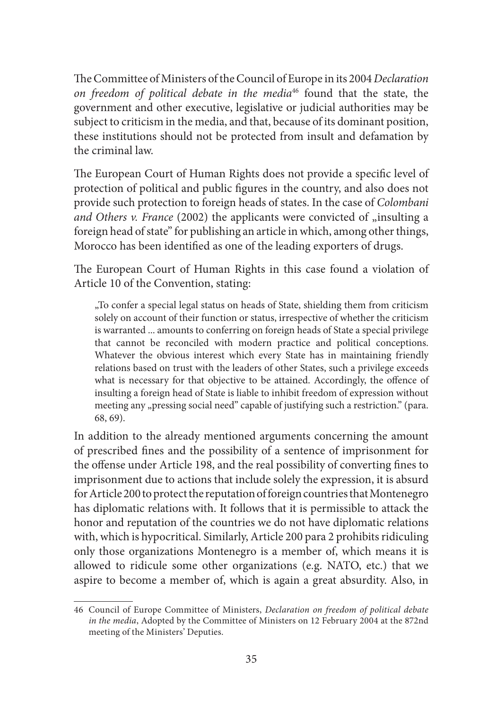The Committee of Ministers of the Council of Europe in its 2004 *Declaration on freedom of political debate in the media*46 found that the state, the government and other executive, legislative or judicial authorities may be subject to criticism in the media, and that, because of its dominant position, these institutions should not be protected from insult and defamation by the criminal law.

The European Court of Human Rights does not provide a specific level of protection of political and public figures in the country, and also does not provide such protection to foreign heads of states. In the case of *Colombani*  and Others v. France (2002) the applicants were convicted of "insulting a foreign head of state'' for publishing an article in which, among other things, Morocco has been identified as one of the leading exporters of drugs.

The European Court of Human Rights in this case found a violation of Article 10 of the Convention, stating:

"To confer a special legal status on heads of State, shielding them from criticism solely on account of their function or status, irrespective of whether the criticism is warranted ... amounts to conferring on foreign heads of State a special privilege that cannot be reconciled with modern practice and political conceptions. Whatever the obvious interest which every State has in maintaining friendly relations based on trust with the leaders of other States, such a privilege exceeds what is necessary for that objective to be attained. Accordingly, the offence of insulting a foreign head of State is liable to inhibit freedom of expression without meeting any "pressing social need" capable of justifying such a restriction." (para. 68, 69).

In addition to the already mentioned arguments concerning the amount of prescribed fines and the possibility of a sentence of imprisonment for the offense under Article 198, and the real possibility of converting fines to imprisonment due to actions that include solely the expression, it is absurd for Article 200 to protect the reputation of foreign countries that Montenegro has diplomatic relations with. It follows that it is permissible to attack the honor and reputation of the countries we do not have diplomatic relations with, which is hypocritical. Similarly, Article 200 para 2 prohibits ridiculing only those organizations Montenegro is a member of, which means it is allowed to ridicule some other organizations (e.g. NATO, etc.) that we aspire to become a member of, which is again a great absurdity. Also, in

<sup>46</sup> Council of Europe Committee of Ministers, *Declaration on freedom of political debate in the media*, Adopted by the Committee of Ministers on 12 February 2004 at the 872nd meeting of the Ministers' Deputies.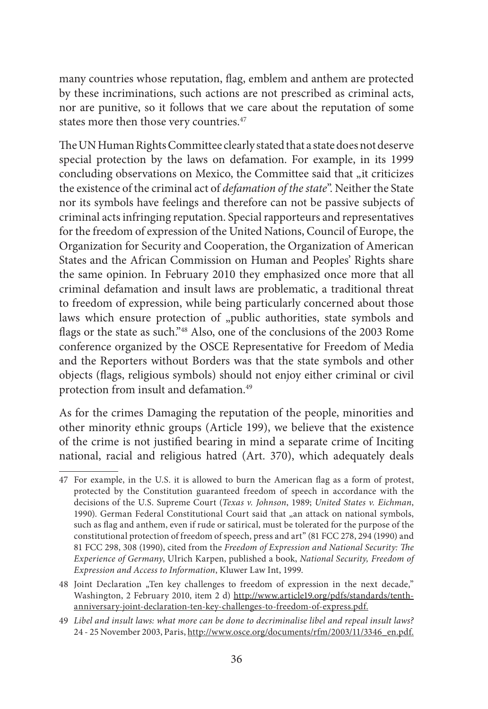many countries whose reputation, flag, emblem and anthem are protected by these incriminations, such actions are not prescribed as criminal acts, nor are punitive, so it follows that we care about the reputation of some states more then those very countries.<sup>47</sup>

The UN Human Rights Committee clearly stated that a state does not deserve special protection by the laws on defamation. For example, in its 1999 concluding observations on Mexico, the Committee said that "it criticizes the existence of the criminal act of *defamation of the state*''. Neither the State nor its symbols have feelings and therefore can not be passive subjects of criminal acts infringing reputation. Special rapporteurs and representatives for the freedom of expression of the United Nations, Council of Europe, the Organization for Security and Cooperation, the Organization of American States and the African Commission on Human and Peoples' Rights share the same opinion. In February 2010 they emphasized once more that all criminal defamation and insult laws are problematic, a traditional threat to freedom of expression, while being particularly concerned about those laws which ensure protection of "public authorities, state symbols and flags or the state as such."48 Also, one of the conclusions of the 2003 Rome conference organized by the OSCE Representative for Freedom of Media and the Reporters without Borders was that the state symbols and other objects (flags, religious symbols) should not enjoy either criminal or civil protection from insult and defamation.49

As for the crimes Damaging the reputation of the people, minorities and other minority ethnic groups (Article 199), we believe that the existence of the crime is not justified bearing in mind a separate crime of Inciting national, racial and religious hatred (Art. 370), which adequately deals

<sup>47</sup> For example, in the U.S. it is allowed to burn the American flag as a form of protest, protected by the Constitution guaranteed freedom of speech in accordance with the decisions of the U.S. Supreme Court (*Texas v. Johnson*, 1989; *United States v. Eichman*, 1990). German Federal Constitutional Court said that "an attack on national symbols, such as flag and anthem, even if rude or satirical, must be tolerated for the purpose of the constitutional protection of freedom of speech, press and art" (81 FCC 278, 294 (1990) and 81 FCC 298, 308 (1990), cited from the *Freedom of Expression and National Security: The Experience of Germany*, Ulrich Karpen, published a book, *National Security, Freedom of Expression and Access to Information*, Kluwer Law Int, 1999.

<sup>48</sup> Joint Declaration "Ten key challenges to freedom of expression in the next decade," Washington, 2 February 2010, item 2 d) http://www.article19.org/pdfs/standards/tenthanniversary-joint-declaration-ten-key-challenges-to-freedom-of-express.pdf.

<sup>49</sup> *Libel and insult laws: what more can be done to decriminalise libel and repeal insult laws?*  24 - 25 November 2003, Paris, http://www.osce.org/documents/rfm/2003/11/3346\_en.pdf.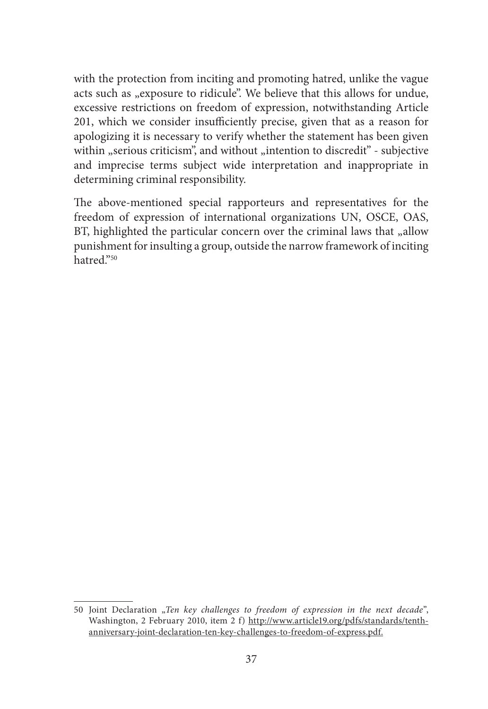with the protection from inciting and promoting hatred, unlike the vague acts such as "exposure to ridicule". We believe that this allows for undue, excessive restrictions on freedom of expression, notwithstanding Article 201, which we consider insufficiently precise, given that as a reason for apologizing it is necessary to verify whether the statement has been given within "serious criticism", and without "intention to discredit" - subjective and imprecise terms subject wide interpretation and inappropriate in determining criminal responsibility.

The above-mentioned special rapporteurs and representatives for the freedom of expression of international organizations UN, OSCE, OAS, BT, highlighted the particular concern over the criminal laws that "allow punishment for insulting a group, outside the narrow framework of inciting hatred."50

<sup>50</sup> Joint Declaration "Ten key challenges to freedom of expression in the next decade", Washington, 2 February 2010, item 2 f) http://www.article19.org/pdfs/standards/tenthanniversary-joint-declaration-ten-key-challenges-to-freedom-of-express.pdf.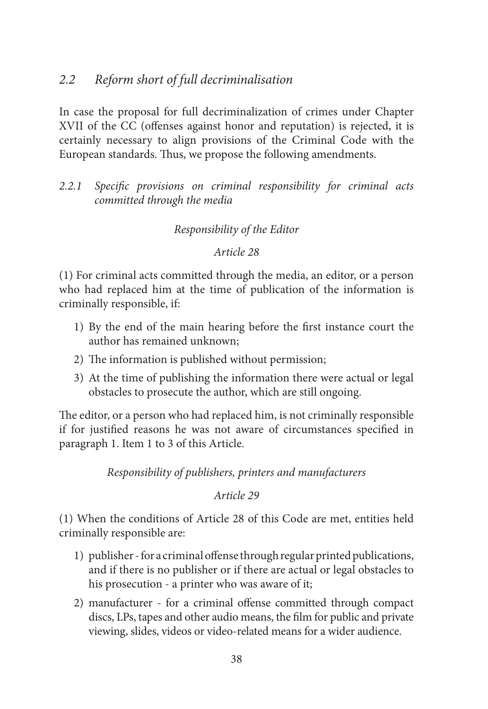# *2.2 Reform short of full decriminalisation*

In case the proposal for full decriminalization of crimes under Chapter XVII of the CC (offenses against honor and reputation) is rejected, it is certainly necessary to align provisions of the Criminal Code with the European standards. Thus, we propose the following amendments.

*2.2.1 Specific provisions on criminal responsibility for criminal acts committed through the media*

#### *Responsibility of the Editor*

*Article 28*

(1) For criminal acts committed through the media, an editor, or a person who had replaced him at the time of publication of the information is criminally responsible, if:

- 1) By the end of the main hearing before the first instance court the author has remained unknown;
- 2) The information is published without permission;
- 3) At the time of publishing the information there were actual or legal obstacles to prosecute the author, which are still ongoing.

The editor, or a person who had replaced him, is not criminally responsible if for justified reasons he was not aware of circumstances specified in paragraph 1. Item 1 to 3 of this Article.

*Responsibility of publishers, printers and manufacturers* 

*Article 29*

(1) When the conditions of Article 28 of this Code are met, entities held criminally responsible are:

- 1) publisher for a criminal offense through regular printed publications, and if there is no publisher or if there are actual or legal obstacles to his prosecution - a printer who was aware of it;
- 2) manufacturer for a criminal offense committed through compact discs, LPs, tapes and other audio means, the film for public and private viewing, slides, videos or video-related means for a wider audience.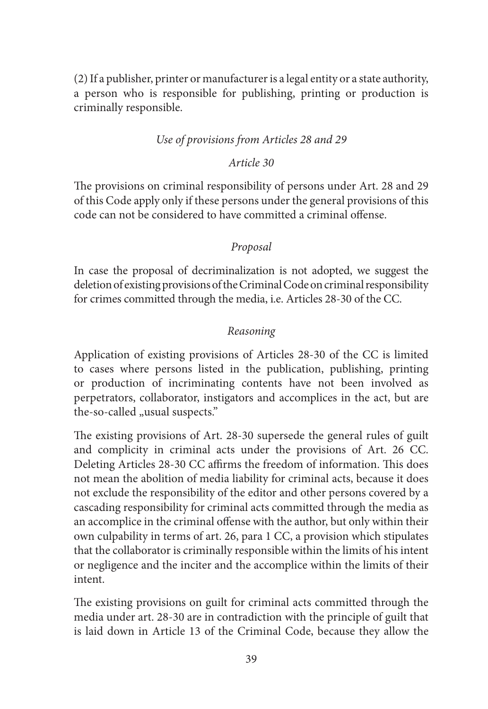(2) If a publisher, printer or manufacturer is a legal entity or a state authority, a person who is responsible for publishing, printing or production is criminally responsible.

#### *Use of provisions from Articles 28 and 29*

#### *Article 30*

The provisions on criminal responsibility of persons under Art. 28 and 29 of this Code apply only if these persons under the general provisions of this code can not be considered to have committed a criminal offense.

#### *Proposal*

In case the proposal of decriminalization is not adopted, we suggest the deletion of existing provisions of the Criminal Code on criminal responsibility for crimes committed through the media, i.e. Articles 28-30 of the CC.

#### *Reasoning*

Application of existing provisions of Articles 28-30 of the CC is limited to cases where persons listed in the publication, publishing, printing or production of incriminating contents have not been involved as perpetrators, collaborator, instigators and accomplices in the act, but are the-so-called "usual suspects."

The existing provisions of Art. 28-30 supersede the general rules of guilt and complicity in criminal acts under the provisions of Art. 26 CC. Deleting Articles 28-30 CC affirms the freedom of information. This does not mean the abolition of media liability for criminal acts, because it does not exclude the responsibility of the editor and other persons covered by a cascading responsibility for criminal acts committed through the media as an accomplice in the criminal offense with the author, but only within their own culpability in terms of art. 26, para 1 CC, a provision which stipulates that the collaborator is criminally responsible within the limits of his intent or negligence and the inciter and the accomplice within the limits of their intent.

The existing provisions on guilt for criminal acts committed through the media under art. 28-30 are in contradiction with the principle of guilt that is laid down in Article 13 of the Criminal Code, because they allow the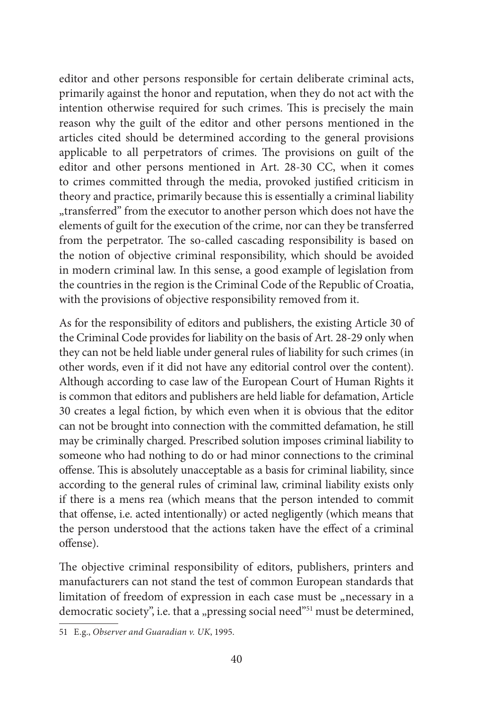editor and other persons responsible for certain deliberate criminal acts, primarily against the honor and reputation, when they do not act with the intention otherwise required for such crimes. This is precisely the main reason why the guilt of the editor and other persons mentioned in the articles cited should be determined according to the general provisions applicable to all perpetrators of crimes. The provisions on guilt of the editor and other persons mentioned in Art. 28-30 CC, when it comes to crimes committed through the media, provoked justified criticism in theory and practice, primarily because this is essentially a criminal liability "transferred" from the executor to another person which does not have the elements of guilt for the execution of the crime, nor can they be transferred from the perpetrator. The so-called cascading responsibility is based on the notion of objective criminal responsibility, which should be avoided in modern criminal law. In this sense, a good example of legislation from the countries in the region is the Criminal Code of the Republic of Croatia, with the provisions of objective responsibility removed from it.

As for the responsibility of editors and publishers, the existing Article 30 of the Criminal Code provides for liability on the basis of Art. 28-29 only when they can not be held liable under general rules of liability for such crimes (in other words, even if it did not have any editorial control over the content). Although according to case law of the European Court of Human Rights it is common that editors and publishers are held liable for defamation, Article 30 creates a legal fiction, by which even when it is obvious that the editor can not be brought into connection with the committed defamation, he still may be criminally charged. Prescribed solution imposes criminal liability to someone who had nothing to do or had minor connections to the criminal offense. This is absolutely unacceptable as a basis for criminal liability, since according to the general rules of criminal law, criminal liability exists only if there is a mens rea (which means that the person intended to commit that offense, i.e. acted intentionally) or acted negligently (which means that the person understood that the actions taken have the effect of a criminal offense).

The objective criminal responsibility of editors, publishers, printers and manufacturers can not stand the test of common European standards that limitation of freedom of expression in each case must be "necessary in a democratic society", i.e. that a "pressing social need"<sup>51</sup> must be determined,

<sup>51</sup> E.g., *Observer and Guaradian v. UK*, 1995.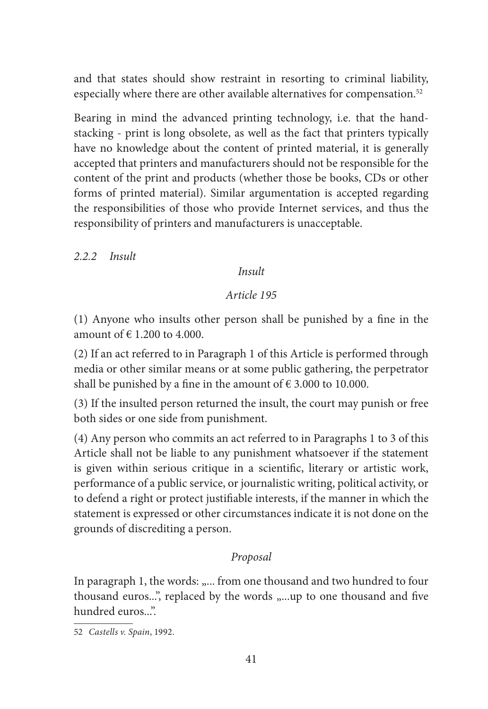and that states should show restraint in resorting to criminal liability, especially where there are other available alternatives for compensation.<sup>52</sup>

Bearing in mind the advanced printing technology, i.e. that the handstacking - print is long obsolete, as well as the fact that printers typically have no knowledge about the content of printed material, it is generally accepted that printers and manufacturers should not be responsible for the content of the print and products (whether those be books, CDs or other forms of printed material). Similar argumentation is accepted regarding the responsibilities of those who provide Internet services, and thus the responsibility of printers and manufacturers is unacceptable.

*2.2.2 Insult*

*Insult*

#### *Article 195*

(1) Anyone who insults other person shall be punished by a fine in the amount of  $\in$  1.200 to 4.000.

(2) If an act referred to in Paragraph 1 of this Article is performed through media or other similar means or at some public gathering, the perpetrator shall be punished by a fine in the amount of  $\epsilon$  3.000 to 10.000.

(3) If the insulted person returned the insult, the court may punish or free both sides or one side from punishment.

(4) Any person who commits an act referred to in Paragraphs 1 to 3 of this Article shall not be liable to any punishment whatsoever if the statement is given within serious critique in a scientific, literary or artistic work, performance of a public service, or journalistic writing, political activity, or to defend a right or protect justifiable interests, if the manner in which the statement is expressed or other circumstances indicate it is not done on the grounds of discrediting a person.

## *Proposal*

In paragraph 1, the words: "... from one thousand and two hundred to four thousand euros...", replaced by the words "....up to one thousand and five hundred euros...".

<sup>52</sup> *Castells v. Spain*, 1992.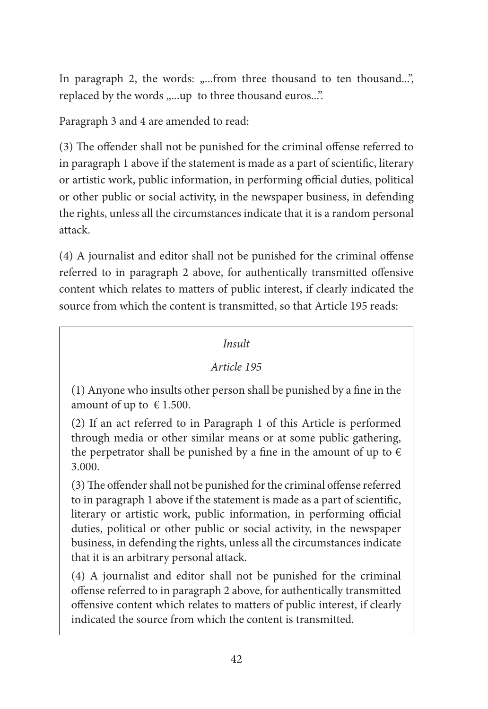In paragraph 2, the words: "...from three thousand to ten thousand...", replaced by the words "....up to three thousand euros...".

Paragraph 3 and 4 are amended to read:

(3) The offender shall not be punished for the criminal offense referred to in paragraph 1 above if the statement is made as a part of scientific, literary or artistic work, public information, in performing official duties, political or other public or social activity, in the newspaper business, in defending the rights, unless all the circumstances indicate that it is a random personal attack.

(4) A journalist and editor shall not be punished for the criminal offense referred to in paragraph 2 above, for authentically transmitted offensive content which relates to matters of public interest, if clearly indicated the source from which the content is transmitted, so that Article 195 reads:

# *Insult*

# *Article 195*

(1) Anyone who insults other person shall be punished by a fine in the amount of up to  $\epsilon$  1.500.

(2) If an act referred to in Paragraph 1 of this Article is performed through media or other similar means or at some public gathering, the perpetrator shall be punished by a fine in the amount of up to  $\epsilon$ 3.000.

(3) The offender shall not be punished for the criminal offense referred to in paragraph 1 above if the statement is made as a part of scientific, literary or artistic work, public information, in performing official duties, political or other public or social activity, in the newspaper business, in defending the rights, unless all the circumstances indicate that it is an arbitrary personal attack.

(4) A journalist and editor shall not be punished for the criminal offense referred to in paragraph 2 above, for authentically transmitted offensive content which relates to matters of public interest, if clearly indicated the source from which the content is transmitted.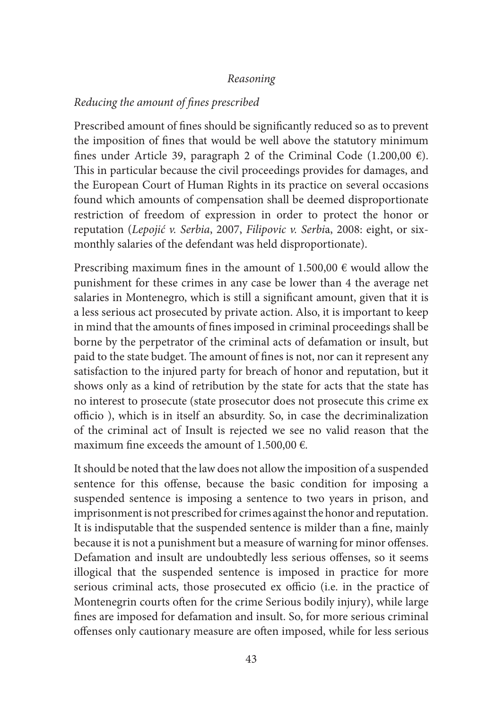#### *Reasoning*

## *Reducing the amount of fines prescribed*

Prescribed amount of fines should be significantly reduced so as to prevent the imposition of fines that would be well above the statutory minimum fines under Article 39, paragraph 2 of the Criminal Code (1.200,00  $\epsilon$ ). This in particular because the civil proceedings provides for damages, and the European Court of Human Rights in its practice on several occasions found which amounts of compensation shall be deemed disproportionate restriction of freedom of expression in order to protect the honor or reputation (*Lepojić v. Serbia*, 2007, *Filipovic v. Serbi*a, 2008: eight, or sixmonthly salaries of the defendant was held disproportionate).

Prescribing maximum fines in the amount of  $1.500,00 \in \text{would allow the}$ punishment for these crimes in any case be lower than 4 the average net salaries in Montenegro, which is still a significant amount, given that it is a less serious act prosecuted by private action. Also, it is important to keep in mind that the amounts of fines imposed in criminal proceedings shall be borne by the perpetrator of the criminal acts of defamation or insult, but paid to the state budget. The amount of fines is not, nor can it represent any satisfaction to the injured party for breach of honor and reputation, but it shows only as a kind of retribution by the state for acts that the state has no interest to prosecute (state prosecutor does not prosecute this crime ex officio ), which is in itself an absurdity. So, in case the decriminalization of the criminal act of Insult is rejected we see no valid reason that the maximum fine exceeds the amount of 1.500,00  $\epsilon$ .

It should be noted that the law does not allow the imposition of a suspended sentence for this offense, because the basic condition for imposing a suspended sentence is imposing a sentence to two years in prison, and imprisonment is not prescribed for crimes against the honor and reputation. It is indisputable that the suspended sentence is milder than a fine, mainly because it is not a punishment but a measure of warning for minor offenses. Defamation and insult are undoubtedly less serious offenses, so it seems illogical that the suspended sentence is imposed in practice for more serious criminal acts, those prosecuted ex officio (i.e. in the practice of Montenegrin courts often for the crime Serious bodily injury), while large fines are imposed for defamation and insult. So, for more serious criminal offenses only cautionary measure are often imposed, while for less serious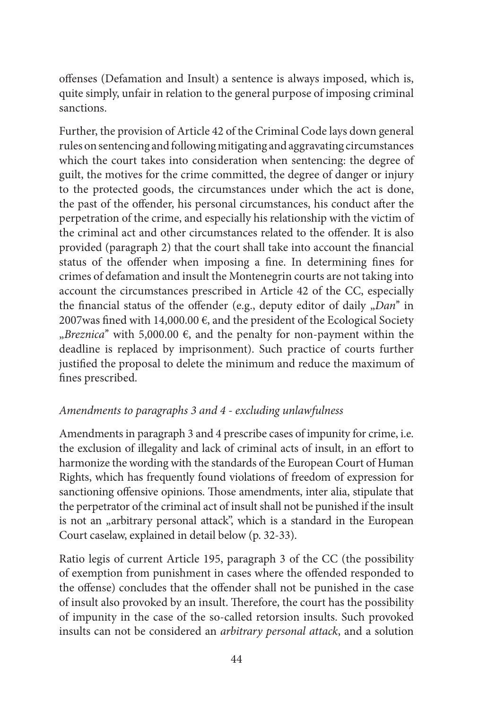offenses (Defamation and Insult) a sentence is always imposed, which is, quite simply, unfair in relation to the general purpose of imposing criminal sanctions.

Further, the provision of Article 42 of the Criminal Code lays down general rules on sentencing and following mitigating and aggravating circumstances which the court takes into consideration when sentencing: the degree of guilt, the motives for the crime committed, the degree of danger or injury to the protected goods, the circumstances under which the act is done, the past of the offender, his personal circumstances, his conduct after the perpetration of the crime, and especially his relationship with the victim of the criminal act and other circumstances related to the offender. It is also provided (paragraph 2) that the court shall take into account the financial status of the offender when imposing a fine. In determining fines for crimes of defamation and insult the Montenegrin courts are not taking into account the circumstances prescribed in Article 42 of the CC, especially the financial status of the offender (e.g., deputy editor of daily "*Dan*" in 2007was fined with 14,000.00  $\epsilon$ , and the president of the Ecological Society  $Breznica''$  with 5,000.00  $\epsilon$ , and the penalty for non-payment within the deadline is replaced by imprisonment). Such practice of courts further justified the proposal to delete the minimum and reduce the maximum of fines prescribed.

# *Amendments to paragraphs 3 and 4 - excluding unlawfulness*

Amendments in paragraph 3 and 4 prescribe cases of impunity for crime, i.e. the exclusion of illegality and lack of criminal acts of insult, in an effort to harmonize the wording with the standards of the European Court of Human Rights, which has frequently found violations of freedom of expression for sanctioning offensive opinions. Those amendments, inter alia, stipulate that the perpetrator of the criminal act of insult shall not be punished if the insult is not an "arbitrary personal attack", which is a standard in the European Court caselaw, explained in detail below (p. 32-33).

Ratio legis of current Article 195, paragraph 3 of the CC (the possibility of exemption from punishment in cases where the offended responded to the offense) concludes that the offender shall not be punished in the case of insult also provoked by an insult. Therefore, the court has the possibility of impunity in the case of the so-called retorsion insults. Such provoked insults can not be considered an *arbitrary personal attack*, and a solution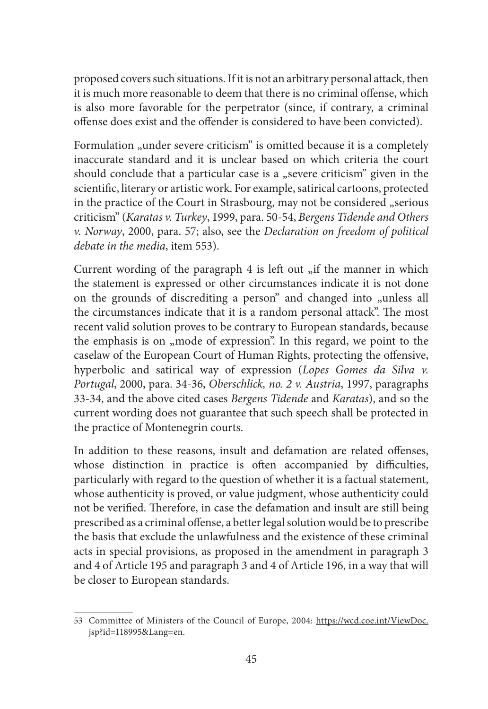proposed covers such situations. If it is not an arbitrary personal attack, then it is much more reasonable to deem that there is no criminal offense, which is also more favorable for the perpetrator (since, if contrary, a criminal offense does exist and the offender is considered to have been convicted).

Formulation "under severe criticism" is omitted because it is a completely inaccurate standard and it is unclear based on which criteria the court should conclude that a particular case is a "severe criticism" given in the scientific, literary or artistic work. For example, satirical cartoons, protected in the practice of the Court in Strasbourg, may not be considered "serious criticism" (*Karatas v. Turkey*, 1999, para. 50-54, *Bergens Tidende and Others v. Norway*, 2000, para. 57; also, see the *Declaration on freedom of political debate in the media*, item 553).

Current wording of the paragraph  $4$  is left out  $\overline{f}$  the manner in which the statement is expressed or other circumstances indicate it is not done on the grounds of discrediting a person" and changed into "unless all the circumstances indicate that it is a random personal attack". The most recent valid solution proves to be contrary to European standards, because the emphasis is on "mode of expression". In this regard, we point to the caselaw of the European Court of Human Rights, protecting the offensive, hyperbolic and satirical way of expression (*Lopes Gomes da Silva v. Portugal*, 2000, para. 34-36, *Oberschlick, no. 2 v. Austria*, 1997, paragraphs 33-34, and the above cited cases *Bergens Tidende* and *Karatas*), and so the current wording does not guarantee that such speech shall be protected in the practice of Montenegrin courts.

In addition to these reasons, insult and defamation are related offenses, whose distinction in practice is often accompanied by difficulties, particularly with regard to the question of whether it is a factual statement, whose authenticity is proved, or value judgment, whose authenticity could not be verified. Therefore, in case the defamation and insult are still being prescribed as a criminal offense, a better legal solution would be to prescribe the basis that exclude the unlawfulness and the existence of these criminal acts in special provisions, as proposed in the amendment in paragraph 3 and 4 of Article 195 and paragraph 3 and 4 of Article 196, in a way that will be closer to European standards.

<sup>53</sup> Committee of Ministers of the Council of Europe, 2004: https://wcd.coe.int/ViewDoc. jsp?id=118995&Lang=en.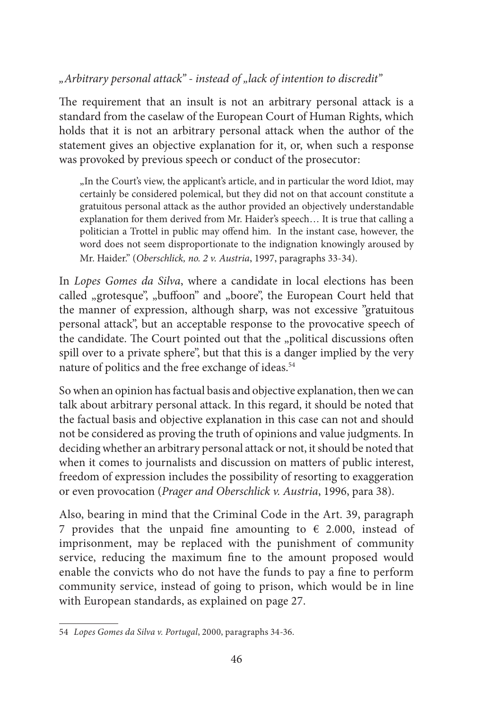*"Arbitrary personal attack'' - instead of "lack of intention to discredit''*

The requirement that an insult is not an arbitrary personal attack is a standard from the caselaw of the European Court of Human Rights, which holds that it is not an arbitrary personal attack when the author of the statement gives an objective explanation for it, or, when such a response was provoked by previous speech or conduct of the prosecutor:

"In the Court's view, the applicant's article, and in particular the word Idiot, may certainly be considered polemical, but they did not on that account constitute a gratuitous personal attack as the author provided an objectively understandable explanation for them derived from Mr. Haider's speech… It is true that calling a politician a Trottel in public may offend him. In the instant case, however, the word does not seem disproportionate to the indignation knowingly aroused by Mr. Haider." (*Oberschlick, no. 2 v. Austria*, 1997, paragraphs 33-34).

In *Lopes Gomes da Silva*, where a candidate in local elections has been called "grotesque", "buffoon" and "boore", the European Court held that the manner of expression, although sharp, was not excessive "gratuitous personal attack", but an acceptable response to the provocative speech of the candidate. The Court pointed out that the "political discussions often spill over to a private sphere", but that this is a danger implied by the very nature of politics and the free exchange of ideas.<sup>54</sup>

So when an opinion has factual basis and objective explanation, then we can talk about arbitrary personal attack. In this regard, it should be noted that the factual basis and objective explanation in this case can not and should not be considered as proving the truth of opinions and value judgments. In deciding whether an arbitrary personal attack or not, it should be noted that when it comes to journalists and discussion on matters of public interest, freedom of expression includes the possibility of resorting to exaggeration or even provocation (*Prager and Oberschlick v. Austria*, 1996, para 38).

Also, bearing in mind that the Criminal Code in the Art. 39, paragraph 7 provides that the unpaid fine amounting to  $\epsilon$  2.000, instead of imprisonment, may be replaced with the punishment of community service, reducing the maximum fine to the amount proposed would enable the convicts who do not have the funds to pay a fine to perform community service, instead of going to prison, which would be in line with European standards, as explained on page 27.

<sup>54</sup> *Lopes Gomes da Silva v. Portugal*, 2000, paragraphs 34-36.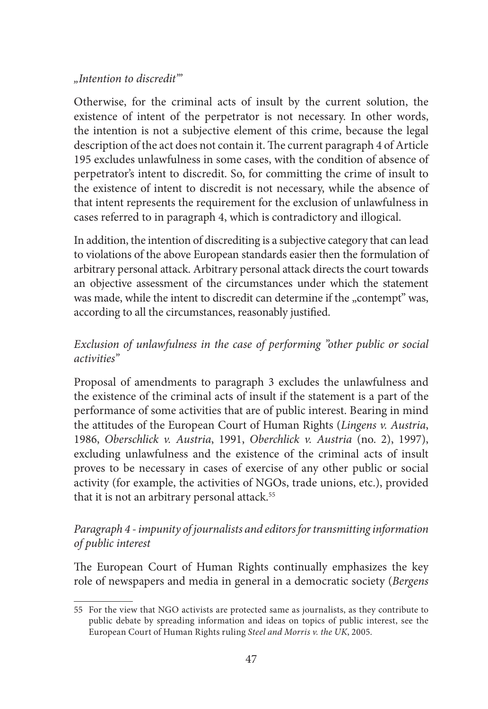#### *"Intention to discredit'''*

Otherwise, for the criminal acts of insult by the current solution, the existence of intent of the perpetrator is not necessary. In other words, the intention is not a subjective element of this crime, because the legal description of the act does not contain it. The current paragraph 4 of Article 195 excludes unlawfulness in some cases, with the condition of absence of perpetrator's intent to discredit. So, for committing the crime of insult to the existence of intent to discredit is not necessary, while the absence of that intent represents the requirement for the exclusion of unlawfulness in cases referred to in paragraph 4, which is contradictory and illogical.

In addition, the intention of discrediting is a subjective category that can lead to violations of the above European standards easier then the formulation of arbitrary personal attack. Arbitrary personal attack directs the court towards an objective assessment of the circumstances under which the statement was made, while the intent to discredit can determine if the "contempt" was, according to all the circumstances, reasonably justified.

# *Exclusion of unlawfulness in the case of performing "other public or social activities''*

Proposal of amendments to paragraph 3 excludes the unlawfulness and the existence of the criminal acts of insult if the statement is a part of the performance of some activities that are of public interest. Bearing in mind the attitudes of the European Court of Human Rights (*Lingens v. Austria*, 1986, *Oberschlick v. Austria*, 1991, *Oberchlick v. Austria* (no. 2), 1997), excluding unlawfulness and the existence of the criminal acts of insult proves to be necessary in cases of exercise of any other public or social activity (for example, the activities of NGOs, trade unions, etc.), provided that it is not an arbitrary personal attack.<sup>55</sup>

# *Paragraph 4 - impunity of journalists and editors for transmitting information of public interest*

The European Court of Human Rights continually emphasizes the key role of newspapers and media in general in a democratic society (*Bergens* 

<sup>55</sup> For the view that NGO activists are protected same as journalists, as they contribute to public debate by spreading information and ideas on topics of public interest, see the European Court of Human Rights ruling *Steel and Morris v. the UK*, 2005.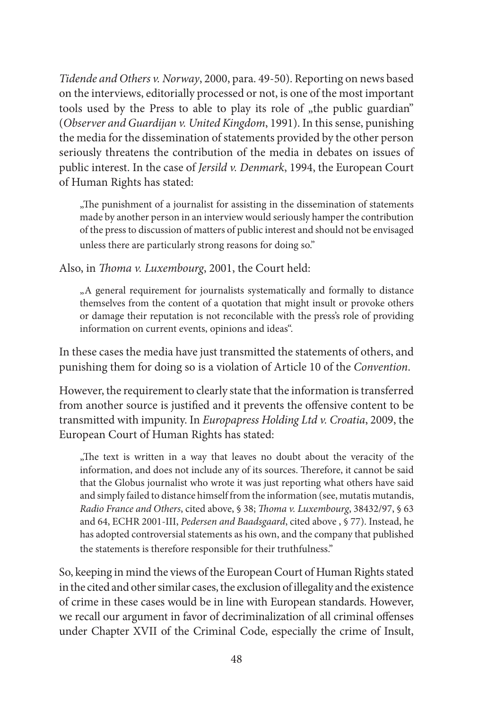*Tidende and Others v. Norway*, 2000, para. 49-50). Reporting on news based on the interviews, editorially processed or not, is one of the most important tools used by the Press to able to play its role of "the public guardian" (*Observer and Guardijan v. United Kingdom*, 1991). In this sense, punishing the media for the dissemination of statements provided by the other person seriously threatens the contribution of the media in debates on issues of public interest. In the case of *Jersild v. Denmark*, 1994, the European Court of Human Rights has stated:

.The punishment of a journalist for assisting in the dissemination of statements made by another person in an interview would seriously hamper the contribution of the press to discussion of matters of public interest and should not be envisaged unless there are particularly strong reasons for doing so.''

Also, in *Thoma v. Luxembourg*, 2001, the Court held:

"A general requirement for journalists systematically and formally to distance themselves from the content of a quotation that might insult or provoke others or damage their reputation is not reconcilable with the press's role of providing information on current events, opinions and ideas''.

In these cases the media have just transmitted the statements of others, and punishing them for doing so is a violation of Article 10 of the *Convention*.

However, the requirement to clearly state that the information is transferred from another source is justified and it prevents the offensive content to be transmitted with impunity. In *Europapress Holding Ltd v. Croatia*, 2009, the European Court of Human Rights has stated:

"The text is written in a way that leaves no doubt about the veracity of the information, and does not include any of its sources. Therefore, it cannot be said that the Globus journalist who wrote it was just reporting what others have said and simply failed to distance himself from the information (see, mutatis mutandis, *Radio France and Others*, cited above, § 38; *Thoma v. Luxembourg*, 38432/97, § 63 and 64, ECHR 2001-III, *Pedersen and Baadsgaard*, cited above , § 77). Instead, he has adopted controversial statements as his own, and the company that published the statements is therefore responsible for their truthfulness."

So, keeping in mind the views of the European Court of Human Rights stated in the cited and other similar cases, the exclusion of illegality and the existence of crime in these cases would be in line with European standards. However, we recall our argument in favor of decriminalization of all criminal offenses under Chapter XVII of the Criminal Code, especially the crime of Insult,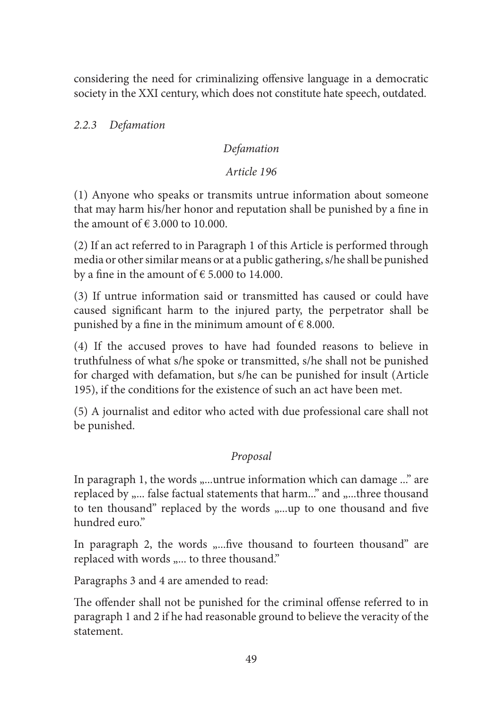considering the need for criminalizing offensive language in a democratic society in the XXI century, which does not constitute hate speech, outdated.

*2.2.3 Defamation*

## *Defamation*

#### *Article 196*

(1) Anyone who speaks or transmits untrue information about someone that may harm his/her honor and reputation shall be punished by a fine in the amount of  $\epsilon$  3.000 to 10.000.

(2) If an act referred to in Paragraph 1 of this Article is performed through media or other similar means or at a public gathering, s/he shall be punished by a fine in the amount of  $\epsilon$  5.000 to 14.000.

(3) If untrue information said or transmitted has caused or could have caused significant harm to the injured party, the perpetrator shall be punished by a fine in the minimum amount of  $\epsilon$  8.000.

(4) If the accused proves to have had founded reasons to believe in truthfulness of what s/he spoke or transmitted, s/he shall not be punished for charged with defamation, but s/he can be punished for insult (Article 195), if the conditions for the existence of such an act have been met.

(5) A journalist and editor who acted with due professional care shall not be punished.

## *Proposal*

In paragraph 1, the words "...untrue information which can damage ..." are replaced by "... false factual statements that harm..." and "...three thousand to ten thousand" replaced by the words "...up to one thousand and five hundred euro.''

In paragraph 2, the words "....five thousand to fourteen thousand" are replaced with words "... to three thousand."

Paragraphs 3 and 4 are amended to read:

The offender shall not be punished for the criminal offense referred to in paragraph 1 and 2 if he had reasonable ground to believe the veracity of the statement.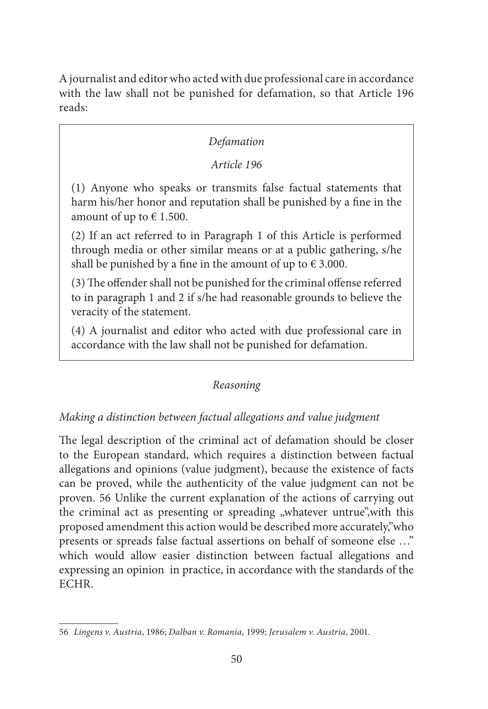A journalist and editor who acted with due professional care in accordance with the law shall not be punished for defamation, so that Article 196 reads:

## *Defamation*

#### *Article 196*

(1) Anyone who speaks or transmits false factual statements that harm his/her honor and reputation shall be punished by a fine in the amount of up to  $\epsilon$  1.500.

(2) If an act referred to in Paragraph 1 of this Article is performed through media or other similar means or at a public gathering, s/he shall be punished by a fine in the amount of up to  $\epsilon$  3.000.

(3) The offender shall not be punished for the criminal offense referred to in paragraph 1 and 2 if s/he had reasonable grounds to believe the veracity of the statement.

(4) A journalist and editor who acted with due professional care in accordance with the law shall not be punished for defamation.

## *Reasoning*

## *Making a distinction between factual allegations and value judgment*

The legal description of the criminal act of defamation should be closer to the European standard, which requires a distinction between factual allegations and opinions (value judgment), because the existence of facts can be proved, while the authenticity of the value judgment can not be proven. 56 Unlike the current explanation of the actions of carrying out the criminal act as presenting or spreading "whatever untrue", with this proposed amendment this action would be described more accurately,''who presents or spreads false factual assertions on behalf of someone else …'' which would allow easier distinction between factual allegations and expressing an opinion in practice, in accordance with the standards of the ECHR.

<sup>56</sup> *Lingens v. Austria*, 1986; *Dalban v. Romania,* 1999; *Jerusalem v. Austria*, 2001.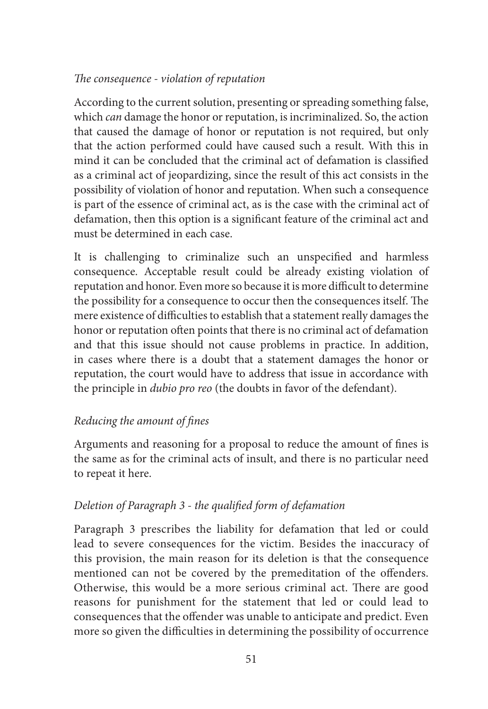## *The consequence - violation of reputation*

According to the current solution, presenting or spreading something false, which *can* damage the honor or reputation, is incriminalized. So, the action that caused the damage of honor or reputation is not required, but only that the action performed could have caused such a result. With this in mind it can be concluded that the criminal act of defamation is classified as a criminal act of jeopardizing, since the result of this act consists in the possibility of violation of honor and reputation. When such a consequence is part of the essence of criminal act, as is the case with the criminal act of defamation, then this option is a significant feature of the criminal act and must be determined in each case.

It is challenging to criminalize such an unspecified and harmless consequence. Acceptable result could be already existing violation of reputation and honor. Even more so because it is more difficult to determine the possibility for a consequence to occur then the consequences itself. The mere existence of difficulties to establish that a statement really damages the honor or reputation often points that there is no criminal act of defamation and that this issue should not cause problems in practice. In addition, in cases where there is a doubt that a statement damages the honor or reputation, the court would have to address that issue in accordance with the principle in *dubio pro reo* (the doubts in favor of the defendant).

## *Reducing the amount of fines*

Arguments and reasoning for a proposal to reduce the amount of fines is the same as for the criminal acts of insult, and there is no particular need to repeat it here.

## *Deletion of Paragraph 3 - the qualified form of defamation*

Paragraph 3 prescribes the liability for defamation that led or could lead to severe consequences for the victim. Besides the inaccuracy of this provision, the main reason for its deletion is that the consequence mentioned can not be covered by the premeditation of the offenders. Otherwise, this would be a more serious criminal act. There are good reasons for punishment for the statement that led or could lead to consequences that the offender was unable to anticipate and predict. Even more so given the difficulties in determining the possibility of occurrence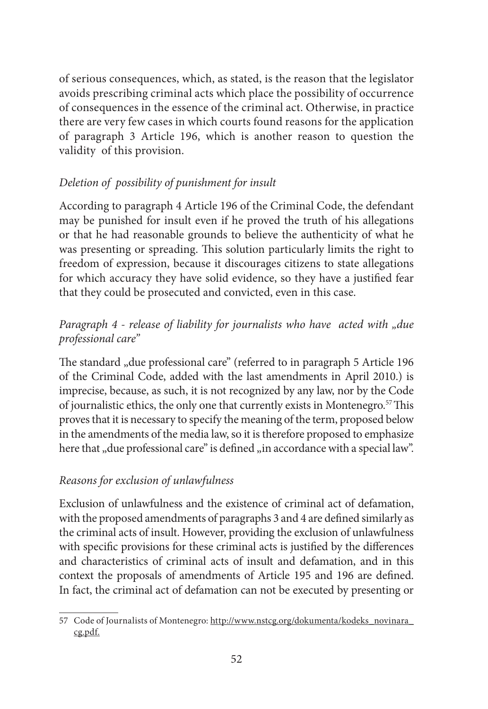of serious consequences, which, as stated, is the reason that the legislator avoids prescribing criminal acts which place the possibility of occurrence of consequences in the essence of the criminal act. Otherwise, in practice there are very few cases in which courts found reasons for the application of paragraph 3 Article 196, which is another reason to question the validity of this provision.

# *Deletion of possibility of punishment for insult*

According to paragraph 4 Article 196 of the Criminal Code, the defendant may be punished for insult even if he proved the truth of his allegations or that he had reasonable grounds to believe the authenticity of what he was presenting or spreading. This solution particularly limits the right to freedom of expression, because it discourages citizens to state allegations for which accuracy they have solid evidence, so they have a justified fear that they could be prosecuted and convicted, even in this case.

# *Paragraph 4 - release of liability for journalists who have acted with "due professional care"*

The standard "due professional care" (referred to in paragraph 5 Article 196 of the Criminal Code, added with the last amendments in April 2010.) is imprecise, because, as such, it is not recognized by any law, nor by the Code of journalistic ethics, the only one that currently exists in Montenegro.57 This proves that it is necessary to specify the meaning of the term, proposed below in the amendments of the media law, so it is therefore proposed to emphasize here that "due professional care" is defined "in accordance with a special law".

## *Reasons for exclusion of unlawfulness*

Exclusion of unlawfulness and the existence of criminal act of defamation, with the proposed amendments of paragraphs 3 and 4 are defined similarly as the criminal acts of insult. However, providing the exclusion of unlawfulness with specific provisions for these criminal acts is justified by the differences and characteristics of criminal acts of insult and defamation, and in this context the proposals of amendments of Article 195 and 196 are defined. In fact, the criminal act of defamation can not be executed by presenting or

<sup>57</sup> Code of Journalists of Montenegro: http://www.nstcg.org/dokumenta/kodeks\_novinara\_ cg.pdf.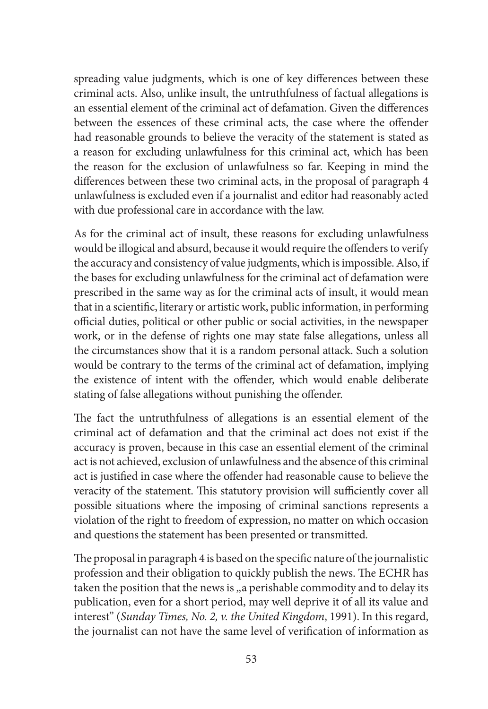spreading value judgments, which is one of key differences between these criminal acts. Also, unlike insult, the untruthfulness of factual allegations is an essential element of the criminal act of defamation. Given the differences between the essences of these criminal acts, the case where the offender had reasonable grounds to believe the veracity of the statement is stated as a reason for excluding unlawfulness for this criminal act, which has been the reason for the exclusion of unlawfulness so far. Keeping in mind the differences between these two criminal acts, in the proposal of paragraph 4 unlawfulness is excluded even if a journalist and editor had reasonably acted with due professional care in accordance with the law.

As for the criminal act of insult, these reasons for excluding unlawfulness would be illogical and absurd, because it would require the offenders to verify the accuracy and consistency of value judgments, which is impossible. Also, if the bases for excluding unlawfulness for the criminal act of defamation were prescribed in the same way as for the criminal acts of insult, it would mean that in a scientific, literary or artistic work, public information, in performing official duties, political or other public or social activities, in the newspaper work, or in the defense of rights one may state false allegations, unless all the circumstances show that it is a random personal attack. Such a solution would be contrary to the terms of the criminal act of defamation, implying the existence of intent with the offender, which would enable deliberate stating of false allegations without punishing the offender.

The fact the untruthfulness of allegations is an essential element of the criminal act of defamation and that the criminal act does not exist if the accuracy is proven, because in this case an essential element of the criminal act is not achieved, exclusion of unlawfulness and the absence of this criminal act is justified in case where the offender had reasonable cause to believe the veracity of the statement. This statutory provision will sufficiently cover all possible situations where the imposing of criminal sanctions represents a violation of the right to freedom of expression, no matter on which occasion and questions the statement has been presented or transmitted.

The proposal in paragraph 4 is based on the specific nature of the journalistic profession and their obligation to quickly publish the news. The ECHR has taken the position that the news is "a perishable commodity and to delay its publication, even for a short period, may well deprive it of all its value and interest'' (*Sunday Times, No. 2, v. the United Kingdom*, 1991). In this regard, the journalist can not have the same level of verification of information as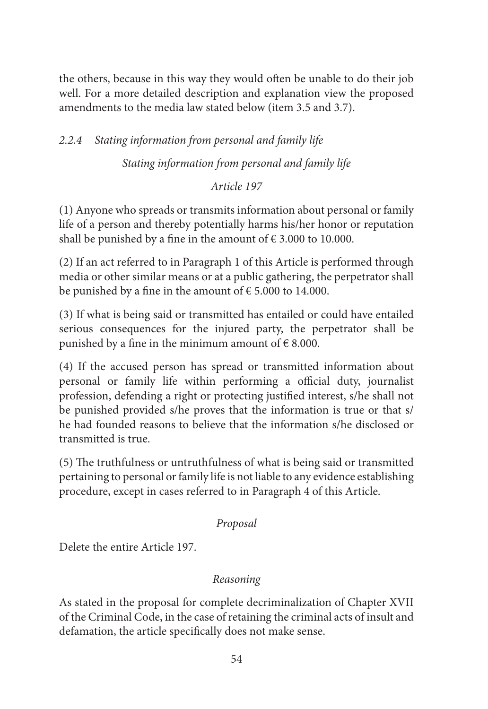the others, because in this way they would often be unable to do their job well. For a more detailed description and explanation view the proposed amendments to the media law stated below (item 3.5 and 3.7).

# *2.2.4 Stating information from personal and family life*

*Stating information from personal and family life* 

#### *Article 197*

(1) Anyone who spreads or transmits information about personal or family life of a person and thereby potentially harms his/her honor or reputation shall be punished by a fine in the amount of  $\epsilon$  3.000 to 10.000.

(2) If an act referred to in Paragraph 1 of this Article is performed through media or other similar means or at a public gathering, the perpetrator shall be punished by a fine in the amount of  $\epsilon$  5.000 to 14.000.

(3) If what is being said or transmitted has entailed or could have entailed serious consequences for the injured party, the perpetrator shall be punished by a fine in the minimum amount of  $\epsilon$  8.000.

(4) If the accused person has spread or transmitted information about personal or family life within performing a official duty, journalist profession, defending a right or protecting justified interest, s/he shall not be punished provided s/he proves that the information is true or that s/ he had founded reasons to believe that the information s/he disclosed or transmitted is true.

(5) The truthfulness or untruthfulness of what is being said or transmitted pertaining to personal or family life is not liable to any evidence establishing procedure, except in cases referred to in Paragraph 4 of this Article.

#### *Proposal*

Delete the entire Article 197.

## *Reasoning*

As stated in the proposal for complete decriminalization of Chapter XVII of the Criminal Code, in the case of retaining the criminal acts of insult and defamation, the article specifically does not make sense.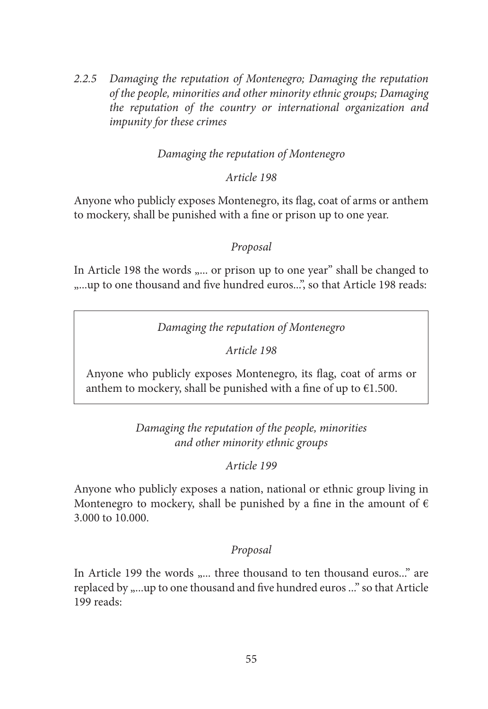*2.2.5 Damaging the reputation of Montenegro; Damaging the reputation of the people, minorities and other minority ethnic groups; Damaging the reputation of the country or international organization and impunity for these crimes*

#### *Damaging the reputation of Montenegro*

#### *Article 198*

Anyone who publicly exposes Montenegro, its flag, coat of arms or anthem to mockery, shall be punished with a fine or prison up to one year.

#### *Proposal*

In Article 198 the words "... or prison up to one year" shall be changed to ...up to one thousand and five hundred euros...", so that Article 198 reads:

*Damaging the reputation of Montenegro*

*Article 198*

Anyone who publicly exposes Montenegro, its flag, coat of arms or anthem to mockery, shall be punished with a fine of up to  $€1.500$ .

> *Damaging the reputation of the people, minorities and other minority ethnic groups*

> > *Article 199*

Anyone who publicly exposes a nation, national or ethnic group living in Montenegro to mockery, shall be punished by a fine in the amount of  $\epsilon$ 3.000 to 10.000.

## *Proposal*

In Article 199 the words ".... three thousand to ten thousand euros..." are replaced by ....up to one thousand and five hundred euros ..." so that Article 199 reads: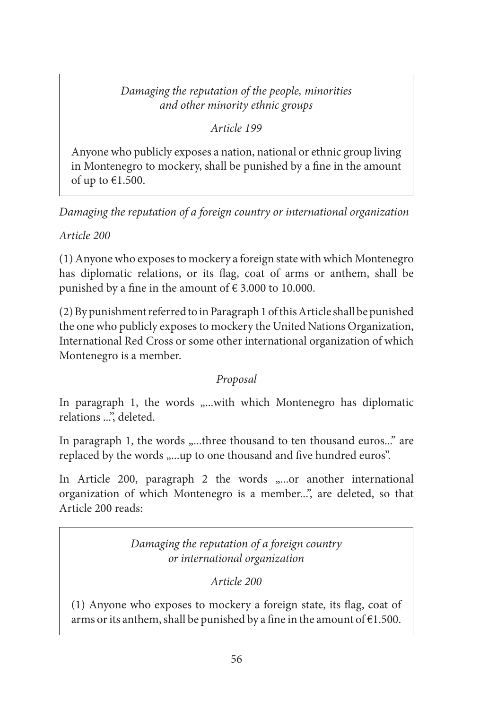# *Damaging the reputation of the people, minorities and other minority ethnic groups*

## *Article 199*

Anyone who publicly exposes a nation, national or ethnic group living in Montenegro to mockery, shall be punished by a fine in the amount of up to €1.500.

*Damaging the reputation of a foreign country or international organization*

*Article 200*

(1) Anyone who exposes to mockery a foreign state with which Montenegro has diplomatic relations, or its flag, coat of arms or anthem, shall be punished by a fine in the amount of  $\epsilon$  3.000 to 10.000.

(2) By punishment referred to in Paragraph 1 of this Article shall be punished the one who publicly exposes to mockery the United Nations Organization, International Red Cross or some other international organization of which Montenegro is a member.

# *Proposal*

In paragraph 1, the words "...with which Montenegro has diplomatic relations ...", deleted.

In paragraph 1, the words "...three thousand to ten thousand euros..." are replaced by the words "...up to one thousand and five hundred euros".

In Article 200, paragraph 2 the words  $, \ldots$  another international organization of which Montenegro is a member...", are deleted, so that Article 200 reads:

> *Damaging the reputation of a foreign country or international organization*

> > *Article 200*

(1) Anyone who exposes to mockery a foreign state, its flag, coat of arms or its anthem, shall be punished by a fine in the amount of  $€1.500$ .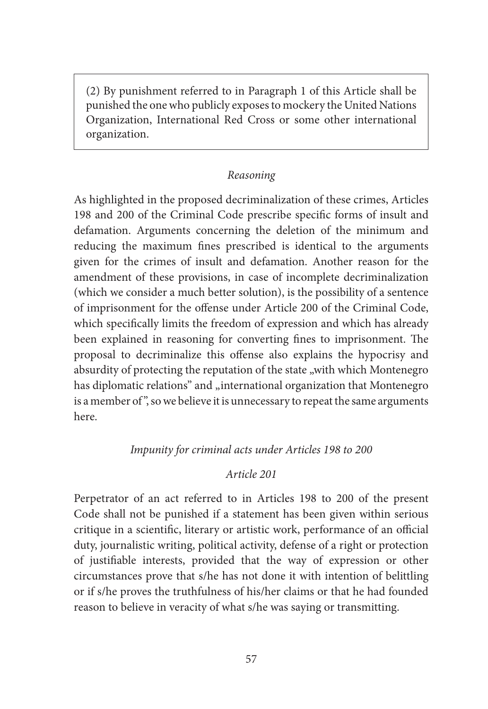(2) By punishment referred to in Paragraph 1 of this Article shall be punished the one who publicly exposes to mockery the United Nations Organization, International Red Cross or some other international organization.

#### *Reasoning*

As highlighted in the proposed decriminalization of these crimes, Articles 198 and 200 of the Criminal Code prescribe specific forms of insult and defamation. Arguments concerning the deletion of the minimum and reducing the maximum fines prescribed is identical to the arguments given for the crimes of insult and defamation. Another reason for the amendment of these provisions, in case of incomplete decriminalization (which we consider a much better solution), is the possibility of a sentence of imprisonment for the offense under Article 200 of the Criminal Code, which specifically limits the freedom of expression and which has already been explained in reasoning for converting fines to imprisonment. The proposal to decriminalize this offense also explains the hypocrisy and absurdity of protecting the reputation of the state "with which Montenegro has diplomatic relations" and "international organization that Montenegro is a member of", so we believe it is unnecessary to repeat the same arguments here.

#### *Impunity for criminal acts under Articles 198 to 200*

#### *Article 201*

Perpetrator of an act referred to in Articles 198 to 200 of the present Code shall not be punished if a statement has been given within serious critique in a scientific, literary or artistic work, performance of an official duty, journalistic writing, political activity, defense of a right or protection of justifiable interests, provided that the way of expression or other circumstances prove that s/he has not done it with intention of belittling or if s/he proves the truthfulness of his/her claims or that he had founded reason to believe in veracity of what s/he was saying or transmitting.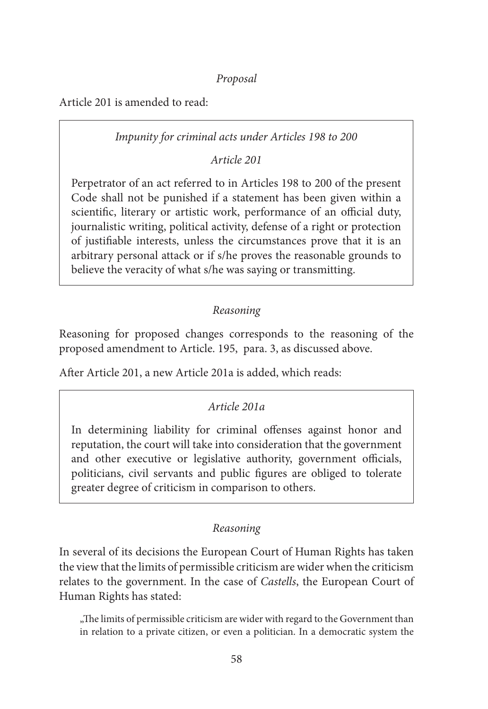*Proposal*

Article 201 is amended to read:

## *Impunity for criminal acts under Articles 198 to 200*

*Article 201* 

Perpetrator of an act referred to in Articles 198 to 200 of the present Code shall not be punished if a statement has been given within a scientific, literary or artistic work, performance of an official duty, journalistic writing, political activity, defense of a right or protection of justifiable interests, unless the circumstances prove that it is an arbitrary personal attack or if s/he proves the reasonable grounds to believe the veracity of what s/he was saying or transmitting.

## *Reasoning*

Reasoning for proposed changes corresponds to the reasoning of the proposed amendment to Article. 195, para. 3, as discussed above.

After Article 201, a new Article 201a is added, which reads:

# *Article 201a*

In determining liability for criminal offenses against honor and reputation, the court will take into consideration that the government and other executive or legislative authority, government officials, politicians, civil servants and public figures are obliged to tolerate greater degree of criticism in comparison to others.

# *Reasoning*

In several of its decisions the European Court of Human Rights has taken the view that the limits of permissible criticism are wider when the criticism relates to the government. In the case of *Castells*, the European Court of Human Rights has stated:

"The limits of permissible criticism are wider with regard to the Government than in relation to a private citizen, or even a politician. In a democratic system the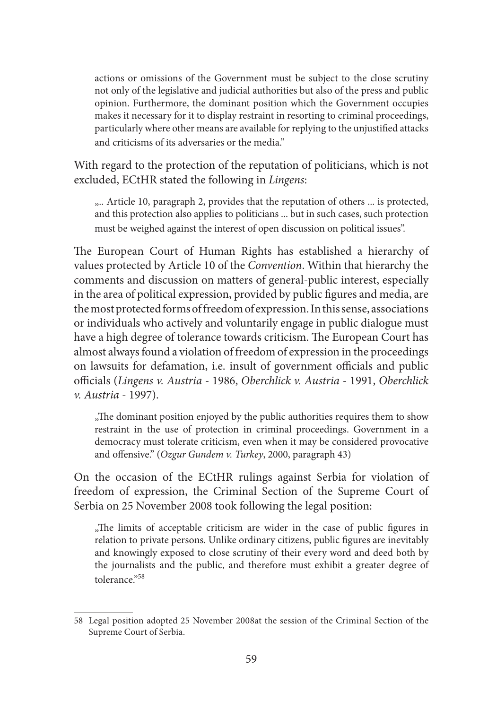actions or omissions of the Government must be subject to the close scrutiny not only of the legislative and judicial authorities but also of the press and public opinion. Furthermore, the dominant position which the Government occupies makes it necessary for it to display restraint in resorting to criminal proceedings, particularly where other means are available for replying to the unjustified attacks and criticisms of its adversaries or the media."

With regard to the protection of the reputation of politicians, which is not excluded, ECtHR stated the following in *Lingens*:

.... Article 10, paragraph 2, provides that the reputation of others ... is protected, and this protection also applies to politicians ... but in such cases, such protection must be weighed against the interest of open discussion on political issues''.

The European Court of Human Rights has established a hierarchy of values protected by Article 10 of the *Convention*. Within that hierarchy the comments and discussion on matters of general-public interest, especially in the area of political expression, provided by public figures and media, are the most protected forms of freedom of expression. In this sense, associations or individuals who actively and voluntarily engage in public dialogue must have a high degree of tolerance towards criticism. The European Court has almost always found a violation of freedom of expression in the proceedings on lawsuits for defamation, i.e. insult of government officials and public officials (*Lingens v. Austria* - 1986, *Oberchlick v. Austria* - 1991, *Oberchlick v. Austria* - 1997).

"The dominant position enjoyed by the public authorities requires them to show restraint in the use of protection in criminal proceedings. Government in a democracy must tolerate criticism, even when it may be considered provocative and offensive." (*Ozgur Gundem v. Turkey*, 2000, paragraph 43)

On the occasion of the ECtHR rulings against Serbia for violation of freedom of expression, the Criminal Section of the Supreme Court of Serbia on 25 November 2008 took following the legal position:

"The limits of acceptable criticism are wider in the case of public figures in relation to private persons. Unlike ordinary citizens, public figures are inevitably and knowingly exposed to close scrutiny of their every word and deed both by the journalists and the public, and therefore must exhibit a greater degree of tolerance."58

<sup>58</sup> Legal position adopted 25 November 2008at the session of the Criminal Section of the Supreme Court of Serbia.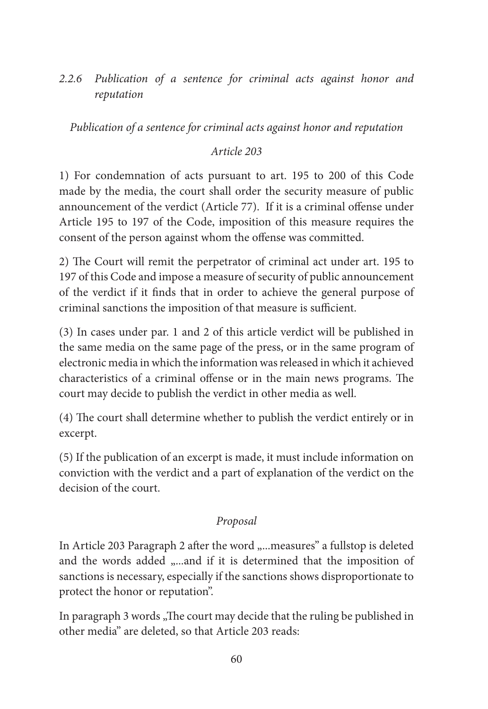*2.2.6 Publication of a sentence for criminal acts against honor and reputation*

*Publication of a sentence for criminal acts against honor and reputation*

*Article 203*

1) For condemnation of acts pursuant to art. 195 to 200 of this Code made by the media, the court shall order the security measure of public announcement of the verdict (Article 77). If it is a criminal offense under Article 195 to 197 of the Code, imposition of this measure requires the consent of the person against whom the offense was committed.

2) The Court will remit the perpetrator of criminal act under art. 195 to 197 of this Code and impose a measure of security of public announcement of the verdict if it finds that in order to achieve the general purpose of criminal sanctions the imposition of that measure is sufficient.

(3) In cases under par. 1 and 2 of this article verdict will be published in the same media on the same page of the press, or in the same program of electronic media in which the information was released in which it achieved characteristics of a criminal offense or in the main news programs. The court may decide to publish the verdict in other media as well.

(4) The court shall determine whether to publish the verdict entirely or in excerpt.

(5) If the publication of an excerpt is made, it must include information on conviction with the verdict and a part of explanation of the verdict on the decision of the court.

# *Proposal*

In Article 203 Paragraph 2 after the word "...measures" a fullstop is deleted and the words added "...and if it is determined that the imposition of sanctions is necessary, especially if the sanctions shows disproportionate to protect the honor or reputation".

In paragraph 3 words "The court may decide that the ruling be published in other media'' are deleted, so that Article 203 reads: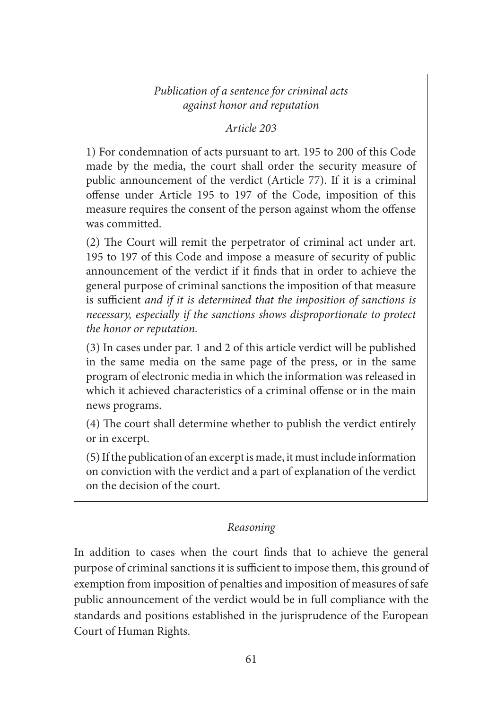# *Publication of a sentence for criminal acts against honor and reputation*

*Article 203*

1) For condemnation of acts pursuant to art. 195 to 200 of this Code made by the media, the court shall order the security measure of public announcement of the verdict (Article 77). If it is a criminal offense under Article 195 to 197 of the Code, imposition of this measure requires the consent of the person against whom the offense was committed.

(2) The Court will remit the perpetrator of criminal act under art. 195 to 197 of this Code and impose a measure of security of public announcement of the verdict if it finds that in order to achieve the general purpose of criminal sanctions the imposition of that measure is sufficient *and if it is determined that the imposition of sanctions is necessary, especially if the sanctions shows disproportionate to protect the honor or reputation.*

(3) In cases under par. 1 and 2 of this article verdict will be published in the same media on the same page of the press, or in the same program of electronic media in which the information was released in which it achieved characteristics of a criminal offense or in the main news programs.

(4) The court shall determine whether to publish the verdict entirely or in excerpt.

(5) If the publication of an excerpt is made, it must include information on conviction with the verdict and a part of explanation of the verdict on the decision of the court.

# *Reasoning*

In addition to cases when the court finds that to achieve the general purpose of criminal sanctions it is sufficient to impose them, this ground of exemption from imposition of penalties and imposition of measures of safe public announcement of the verdict would be in full compliance with the standards and positions established in the jurisprudence of the European Court of Human Rights.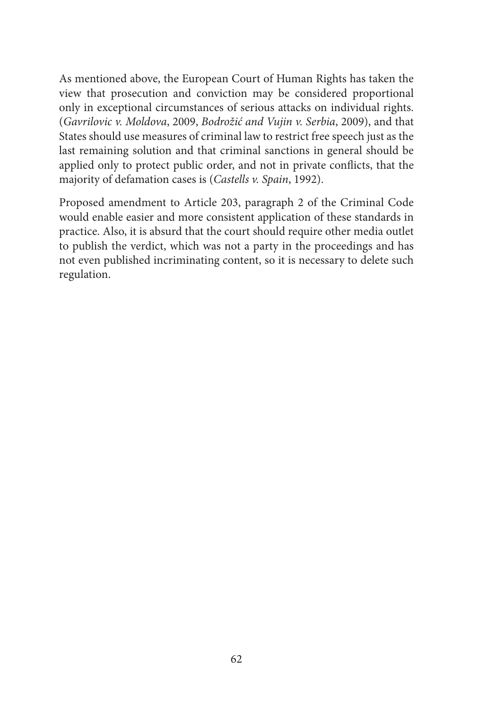As mentioned above, the European Court of Human Rights has taken the view that prosecution and conviction may be considered proportional only in exceptional circumstances of serious attacks on individual rights. (*Gavrilovic v. Moldova*, 2009, *Bodrožić and Vujin v. Serbia*, 2009), and that States should use measures of criminal law to restrict free speech just as the last remaining solution and that criminal sanctions in general should be applied only to protect public order, and not in private conflicts, that the majority of defamation cases is (*Castells v. Spain*, 1992).

Proposed amendment to Article 203, paragraph 2 of the Criminal Code would enable easier and more consistent application of these standards in practice. Also, it is absurd that the court should require other media outlet to publish the verdict, which was not a party in the proceedings and has not even published incriminating content, so it is necessary to delete such regulation.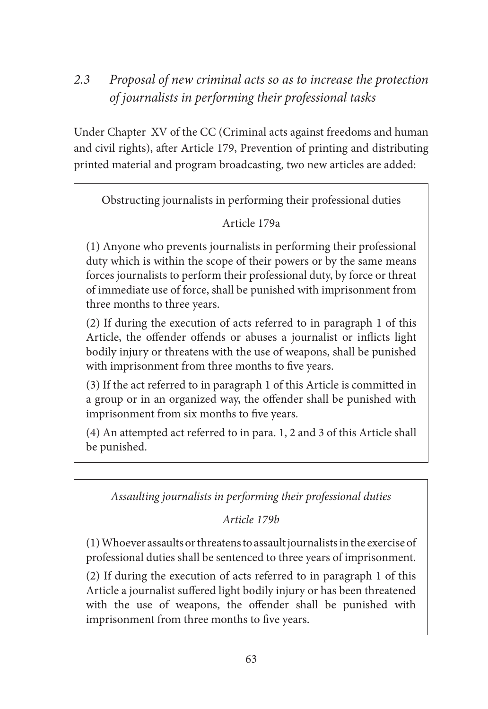# *2.3 Proposal of new criminal acts so as to increase the protection of journalists in performing their professional tasks*

Under Chapter XV of the CC (Criminal acts against freedoms and human and civil rights), after Article 179, Prevention of printing and distributing printed material and program broadcasting, two new articles are added:

Obstructing journalists in performing their professional duties

# Article 179a

(1) Anyone who prevents journalists in performing their professional duty which is within the scope of their powers or by the same means forces journalists to perform their professional duty, by force or threat of immediate use of force, shall be punished with imprisonment from three months to three years.

(2) If during the execution of acts referred to in paragraph 1 of this Article, the offender offends or abuses a journalist or inflicts light bodily injury or threatens with the use of weapons, shall be punished with imprisonment from three months to five years.

(3) If the act referred to in paragraph 1 of this Article is committed in a group or in an organized way, the offender shall be punished with imprisonment from six months to five years.

(4) An attempted act referred to in para. 1, 2 and 3 of this Article shall be punished.

*Assaulting journalists in performing their professional duties*

*Article 179b* 

(1) Whoever assaults or threatens to assault journalists in the exercise of professional duties shall be sentenced to three years of imprisonment.

(2) If during the execution of acts referred to in paragraph 1 of this Article a journalist suffered light bodily injury or has been threatened with the use of weapons, the offender shall be punished with imprisonment from three months to five years.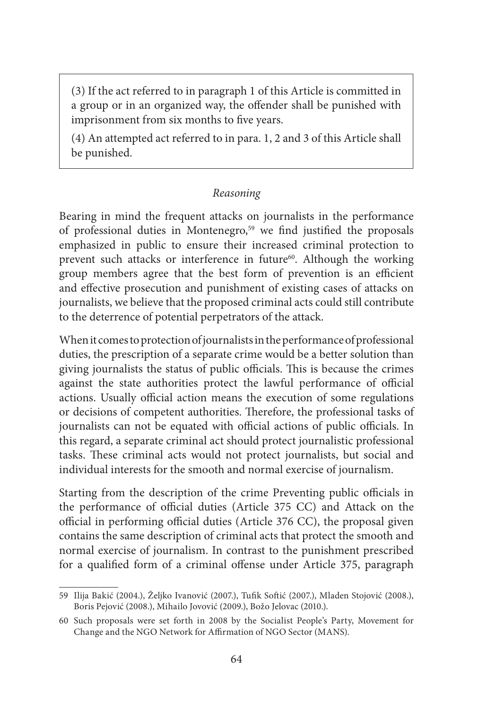(3) If the act referred to in paragraph 1 of this Article is committed in a group or in an organized way, the offender shall be punished with imprisonment from six months to five years.

(4) An attempted act referred to in para. 1, 2 and 3 of this Article shall be punished.

#### *Reasoning*

Bearing in mind the frequent attacks on journalists in the performance of professional duties in Montenegro,<sup>59</sup> we find justified the proposals emphasized in public to ensure their increased criminal protection to prevent such attacks or interference in future<sup>60</sup>. Although the working group members agree that the best form of prevention is an efficient and effective prosecution and punishment of existing cases of attacks on journalists, we believe that the proposed criminal acts could still contribute to the deterrence of potential perpetrators of the attack.

When it comes to protection of journalists in the performance of professional duties, the prescription of a separate crime would be a better solution than giving journalists the status of public officials. This is because the crimes against the state authorities protect the lawful performance of official actions. Usually official action means the execution of some regulations or decisions of competent authorities. Therefore, the professional tasks of journalists can not be equated with official actions of public officials. In this regard, a separate criminal act should protect journalistic professional tasks. These criminal acts would not protect journalists, but social and individual interests for the smooth and normal exercise of journalism.

Starting from the description of the crime Preventing public officials in the performance of official duties (Article 375 CC) and Attack on the official in performing official duties (Article 376 CC), the proposal given contains the same description of criminal acts that protect the smooth and normal exercise of journalism. In contrast to the punishment prescribed for a qualified form of a criminal offense under Article 375, paragraph

<sup>59</sup> Ilija Bakić (2004.), Željko Ivanović (2007.), Tufik Softić (2007.), Mladen Stojović (2008.), Boris Pejović (2008.), Mihailo Jovović (2009.), Božo Jelovac (2010.).

<sup>60</sup> Such proposals were set forth in 2008 by the Socialist People's Party, Movement for Change and the NGO Network for Affirmation of NGO Sector (MANS).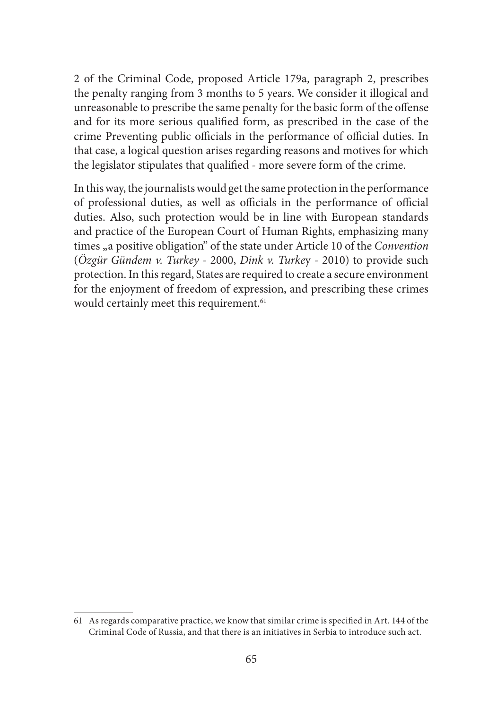2 of the Criminal Code, proposed Article 179a, paragraph 2, prescribes the penalty ranging from 3 months to 5 years. We consider it illogical and unreasonable to prescribe the same penalty for the basic form of the offense and for its more serious qualified form, as prescribed in the case of the crime Preventing public officials in the performance of official duties. In that case, a logical question arises regarding reasons and motives for which the legislator stipulates that qualified - more severe form of the crime.

In this way, the journalists would get the same protection in the performance of professional duties, as well as officials in the performance of official duties. Also, such protection would be in line with European standards and practice of the European Court of Human Rights, emphasizing many times "a positive obligation" of the state under Article 10 of the *Convention* (*Özgür Gündem v. Turkey* - 2000, *Dink v. Turke*y - 2010) to provide such protection. In this regard, States are required to create a secure environment for the enjoyment of freedom of expression, and prescribing these crimes would certainly meet this requirement.<sup>61</sup>

<sup>61</sup> As regards comparative practice, we know that similar crime is specified in Art. 144 of the Criminal Code of Russia, and that there is an initiatives in Serbia to introduce such act.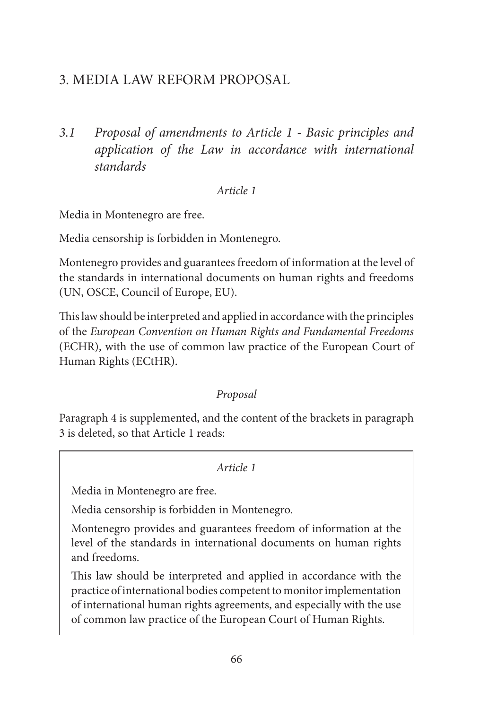# 3. MEDIA LAW REFORM PROPOSAL

*3.1 Proposal of amendments to Article 1 - Basic principles and application of the Law in accordance with international standards*

#### *Article 1*

Media in Montenegro are free.

Media censorship is forbidden in Montenegro.

Montenegro provides and guarantees freedom of information at the level of the standards in international documents on human rights and freedoms (UN, OSCE, Council of Europe, EU).

This law should be interpreted and applied in accordance with the principles of the *European Convention on Human Rights and Fundamental Freedoms*  (ECHR), with the use of common law practice of the European Court of Human Rights (ECtHR).

# *Proposal*

Paragraph 4 is supplemented, and the content of the brackets in paragraph 3 is deleted, so that Article 1 reads:

## *Article 1*

Media in Montenegro are free.

Media censorship is forbidden in Montenegro.

Montenegro provides and guarantees freedom of information at the level of the standards in international documents on human rights and freedoms.

This law should be interpreted and applied in accordance with the practice of international bodies competent to monitor implementation of international human rights agreements, and especially with the use of common law practice of the European Court of Human Rights.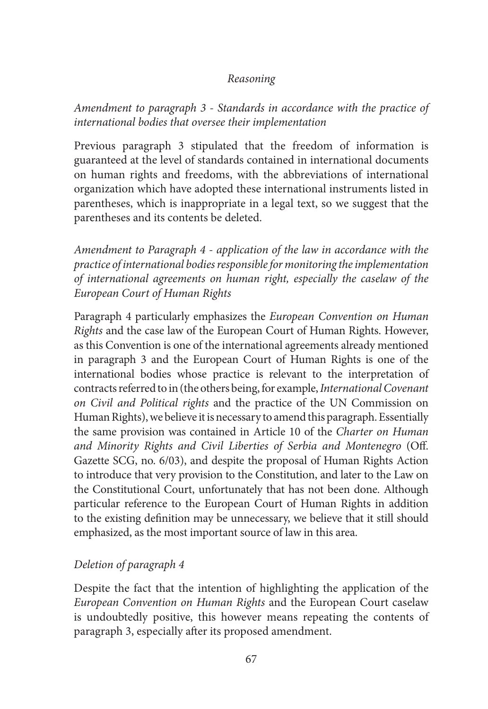#### *Reasoning*

*Amendment to paragraph 3 - Standards in accordance with the practice of international bodies that oversee their implementation*

Previous paragraph 3 stipulated that the freedom of information is guaranteed at the level of standards contained in international documents on human rights and freedoms, with the abbreviations of international organization which have adopted these international instruments listed in parentheses, which is inappropriate in a legal text, so we suggest that the parentheses and its contents be deleted.

*Amendment to Paragraph 4 - application of the law in accordance with the practice of international bodies responsible for monitoring the implementation of international agreements on human right, especially the caselaw of the European Court of Human Rights*

Paragraph 4 particularly emphasizes the *European Convention on Human Rights* and the case law of the European Court of Human Rights. However, as this Convention is one of the international agreements already mentioned in paragraph 3 and the European Court of Human Rights is one of the international bodies whose practice is relevant to the interpretation of contracts referred to in (the others being, for example, *International Covenant on Civil and Political rights* and the practice of the UN Commission on Human Rights), we believe it is necessary to amend this paragraph. Essentially the same provision was contained in Article 10 of the *Charter on Human and Minority Rights and Civil Liberties of Serbia and Montenegro* (Off. Gazette SCG, no. 6/03), and despite the proposal of Human Rights Action to introduce that very provision to the Constitution, and later to the Law on the Constitutional Court, unfortunately that has not been done. Although particular reference to the European Court of Human Rights in addition to the existing definition may be unnecessary, we believe that it still should emphasized, as the most important source of law in this area.

# *Deletion of paragraph 4*

Despite the fact that the intention of highlighting the application of the *European Convention on Human Rights* and the European Court caselaw is undoubtedly positive, this however means repeating the contents of paragraph 3, especially after its proposed amendment.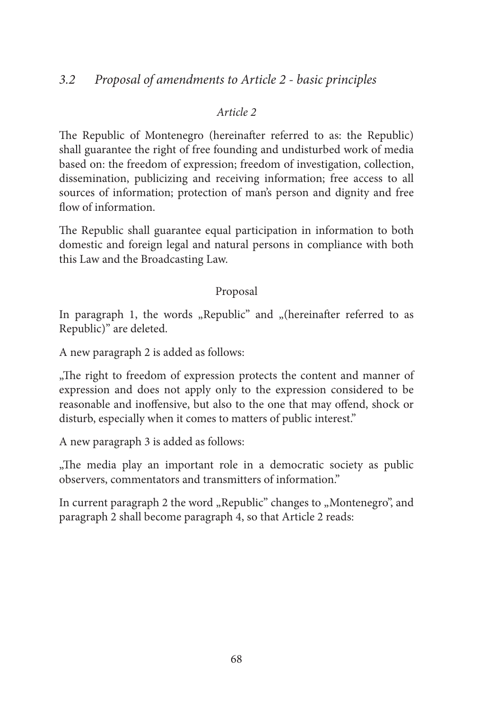# *3.2 Proposal of amendments to Article 2 - basic principles*

#### *Article 2*

The Republic of Montenegro (hereinafter referred to as: the Republic) shall guarantee the right of free founding and undisturbed work of media based on: the freedom of expression; freedom of investigation, collection, dissemination, publicizing and receiving information; free access to all sources of information; protection of man's person and dignity and free flow of information.

The Republic shall guarantee equal participation in information to both domestic and foreign legal and natural persons in compliance with both this Law and the Broadcasting Law.

#### Proposal

In paragraph 1, the words "Republic" and "(hereinafter referred to as Republic)" are deleted.

A new paragraph 2 is added as follows:

"The right to freedom of expression protects the content and manner of" expression and does not apply only to the expression considered to be reasonable and inoffensive, but also to the one that may offend, shock or disturb, especially when it comes to matters of public interest."

A new paragraph 3 is added as follows:

..The media play an important role in a democratic society as public observers, commentators and transmitters of information."

In current paragraph 2 the word "Republic" changes to "Montenegro", and paragraph 2 shall become paragraph 4, so that Article 2 reads: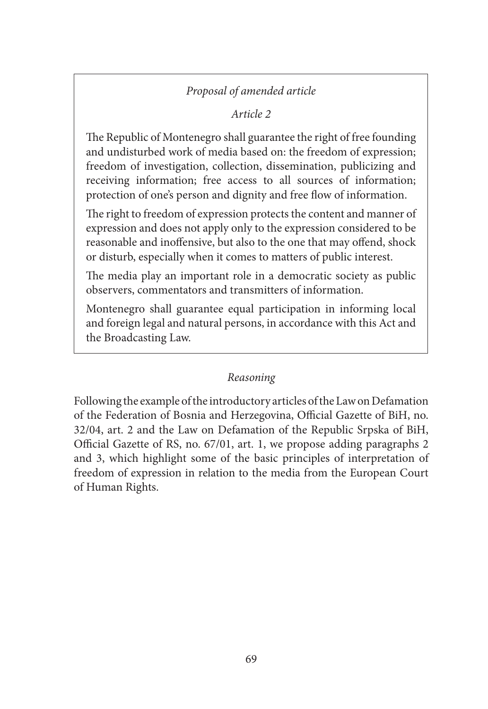# *Proposal of amended article*

# *Article 2*

The Republic of Montenegro shall guarantee the right of free founding and undisturbed work of media based on: the freedom of expression; freedom of investigation, collection, dissemination, publicizing and receiving information; free access to all sources of information; protection of one's person and dignity and free flow of information.

The right to freedom of expression protects the content and manner of expression and does not apply only to the expression considered to be reasonable and inoffensive, but also to the one that may offend, shock or disturb, especially when it comes to matters of public interest.

The media play an important role in a democratic society as public observers, commentators and transmitters of information.

Montenegro shall guarantee equal participation in informing local and foreign legal and natural persons, in accordance with this Act and the Broadcasting Law.

# *Reasoning*

Following the example of the introductory articles of the Law on Defamation of the Federation of Bosnia and Herzegovina, Official Gazette of BiH, no. 32/04, art. 2 and the Law on Defamation of the Republic Srpska of BiH, Official Gazette of RS, no. 67/01, art. 1, we propose adding paragraphs 2 and 3, which highlight some of the basic principles of interpretation of freedom of expression in relation to the media from the European Court of Human Rights.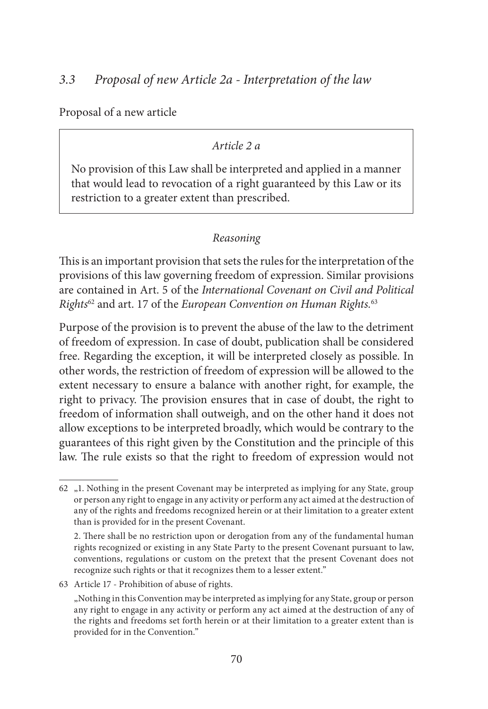Proposal of a new article

#### *Article 2 a*

No provision of this Law shall be interpreted and applied in a manner that would lead to revocation of a right guaranteed by this Law or its restriction to a greater extent than prescribed.

## *Reasoning*

This is an important provision that sets the rules for the interpretation of the provisions of this law governing freedom of expression. Similar provisions are contained in Art. 5 of the *International Covenant on Civil and Political Rights*62 and art. 17 of the *European Convention on Human Rights.*<sup>63</sup>

Purpose of the provision is to prevent the abuse of the law to the detriment of freedom of expression. In case of doubt, publication shall be considered free. Regarding the exception, it will be interpreted closely as possible. In other words, the restriction of freedom of expression will be allowed to the extent necessary to ensure a balance with another right, for example, the right to privacy. The provision ensures that in case of doubt, the right to freedom of information shall outweigh, and on the other hand it does not allow exceptions to be interpreted broadly, which would be contrary to the guarantees of this right given by the Constitution and the principle of this law. The rule exists so that the right to freedom of expression would not

63 Article 17 - Prohibition of abuse of rights.

<sup>62</sup> "1. Nothing in the present Covenant may be interpreted as implying for any State, group or person any right to engage in any activity or perform any act aimed at the destruction of any of the rights and freedoms recognized herein or at their limitation to a greater extent than is provided for in the present Covenant.

<sup>2.</sup> There shall be no restriction upon or derogation from any of the fundamental human rights recognized or existing in any State Party to the present Covenant pursuant to law, conventions, regulations or custom on the pretext that the present Covenant does not recognize such rights or that it recognizes them to a lesser extent."

<sup>&</sup>quot;Nothing in this Convention may be interpreted as implying for any State, group or person any right to engage in any activity or perform any act aimed at the destruction of any of the rights and freedoms set forth herein or at their limitation to a greater extent than is provided for in the Convention."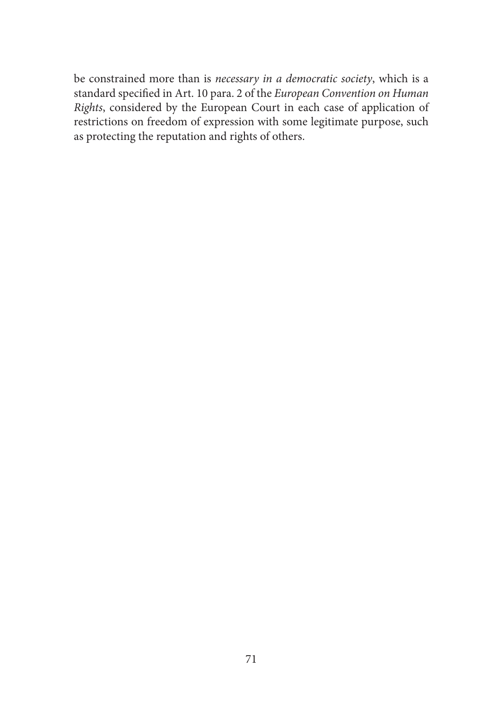be constrained more than is *necessary in a democratic society*, which is a standard specified in Art. 10 para. 2 of the *European Convention on Human Rights*, considered by the European Court in each case of application of restrictions on freedom of expression with some legitimate purpose, such as protecting the reputation and rights of others.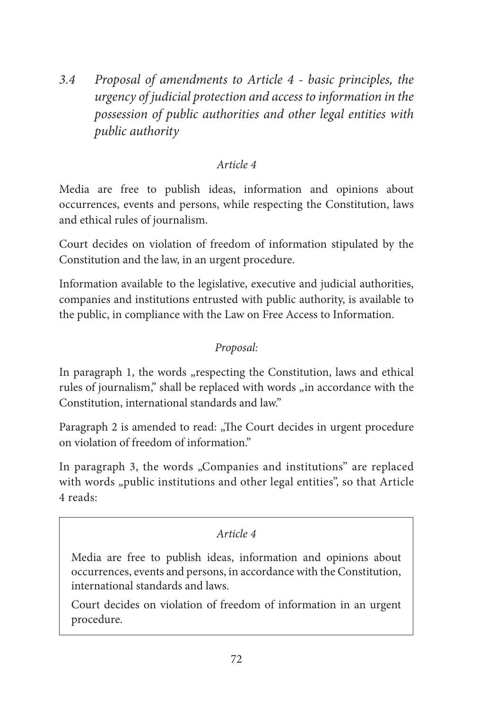*3.4 Proposal of amendments to Article 4 - basic principles, the urgency of judicial protection and access to information in the possession of public authorities and other legal entities with public authority* 

# *Article 4*

Media are free to publish ideas, information and opinions about occurrences, events and persons, while respecting the Constitution, laws and ethical rules of journalism.

Court decides on violation of freedom of information stipulated by the Constitution and the law, in an urgent procedure.

Information available to the legislative, executive and judicial authorities, companies and institutions entrusted with public authority, is available to the public, in compliance with the Law on Free Access to Information.

# *Proposal:*

In paragraph 1, the words "respecting the Constitution, laws and ethical rules of journalism," shall be replaced with words "in accordance with the Constitution, international standards and law."

Paragraph 2 is amended to read: "The Court decides in urgent procedure on violation of freedom of information."

In paragraph 3, the words "Companies and institutions" are replaced with words "public institutions and other legal entities", so that Article 4 reads:

## *Article 4*

Media are free to publish ideas, information and opinions about occurrences, events and persons, in accordance with the Constitution, international standards and laws.

Court decides on violation of freedom of information in an urgent procedure.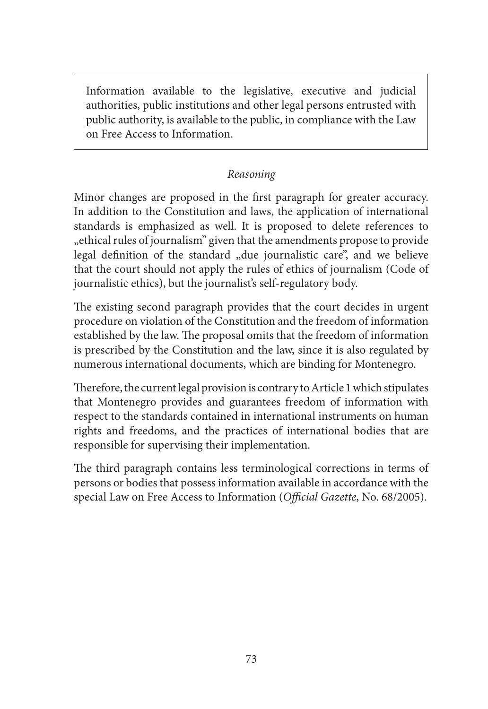Information available to the legislative, executive and judicial authorities, public institutions and other legal persons entrusted with public authority, is available to the public, in compliance with the Law on Free Access to Information.

## *Reasoning*

Minor changes are proposed in the first paragraph for greater accuracy. In addition to the Constitution and laws, the application of international standards is emphasized as well. It is proposed to delete references to "ethical rules of journalism" given that the amendments propose to provide legal definition of the standard "due journalistic care", and we believe that the court should not apply the rules of ethics of journalism (Code of journalistic ethics), but the journalist's self-regulatory body.

The existing second paragraph provides that the court decides in urgent procedure on violation of the Constitution and the freedom of information established by the law. The proposal omits that the freedom of information is prescribed by the Constitution and the law, since it is also regulated by numerous international documents, which are binding for Montenegro.

Therefore, the current legal provision is contrary to Article 1 which stipulates that Montenegro provides and guarantees freedom of information with respect to the standards contained in international instruments on human rights and freedoms, and the practices of international bodies that are responsible for supervising their implementation.

The third paragraph contains less terminological corrections in terms of persons or bodies that possess information available in accordance with the special Law on Free Access to Information (*Official Gazette*, No. 68/2005).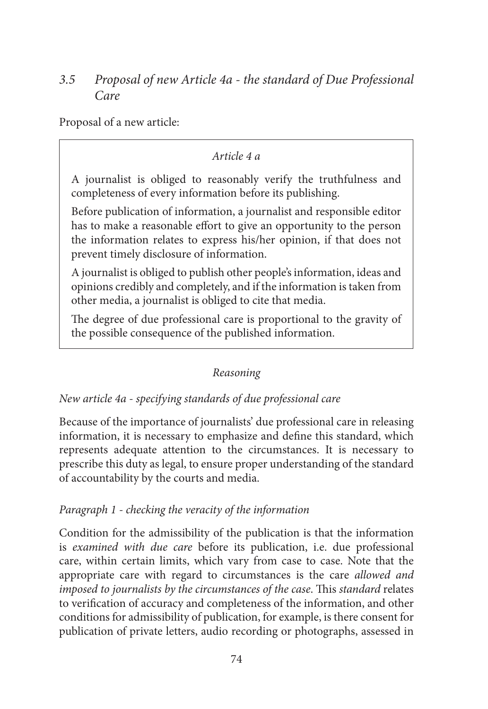# *3.5 Proposal of new Article 4a - the standard of Due Professional Care*

Proposal of a new article:

## *Article 4 a*

A journalist is obliged to reasonably verify the truthfulness and completeness of every information before its publishing.

Before publication of information, a journalist and responsible editor has to make a reasonable effort to give an opportunity to the person the information relates to express his/her opinion, if that does not prevent timely disclosure of information.

A journalist is obliged to publish other people's information, ideas and opinions credibly and completely, and if the information is taken from other media, a journalist is obliged to cite that media.

The degree of due professional care is proportional to the gravity of the possible consequence of the published information.

# *Reasoning*

# *New article 4a - specifying standards of due professional care*

Because of the importance of journalists' due professional care in releasing information, it is necessary to emphasize and define this standard, which represents adequate attention to the circumstances. It is necessary to prescribe this duty as legal, to ensure proper understanding of the standard of accountability by the courts and media.

## *Paragraph 1 - checking the veracity of the information*

Condition for the admissibility of the publication is that the information is *examined with due care* before its publication, i.e. due professional care, within certain limits, which vary from case to case. Note that the appropriate care with regard to circumstances is the care *allowed and imposed to journalists by the circumstances of the case*. This *standard* relates to verification of accuracy and completeness of the information, and other conditions for admissibility of publication, for example, is there consent for publication of private letters, audio recording or photographs, assessed in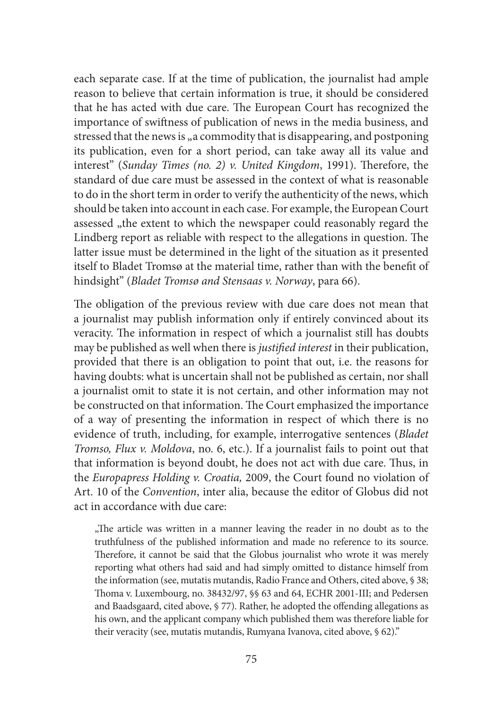each separate case. If at the time of publication, the journalist had ample reason to believe that certain information is true, it should be considered that he has acted with due care. The European Court has recognized the importance of swiftness of publication of news in the media business, and stressed that the news is "a commodity that is disappearing, and postponing its publication, even for a short period, can take away all its value and interest" (*Sunday Times (no. 2) v. United Kingdom*, 1991). Therefore, the standard of due care must be assessed in the context of what is reasonable to do in the short term in order to verify the authenticity of the news, which should be taken into account in each case. For example, the European Court assessed "the extent to which the newspaper could reasonably regard the Lindberg report as reliable with respect to the allegations in question. The latter issue must be determined in the light of the situation as it presented itself to Bladet Tromsø at the material time, rather than with the benefit of hindsight" (*Bladet Tromsø and Stensaas v. Norway*, para 66).

The obligation of the previous review with due care does not mean that a journalist may publish information only if entirely convinced about its veracity. The information in respect of which a journalist still has doubts may be published as well when there is *justified interest* in their publication, provided that there is an obligation to point that out, i.e. the reasons for having doubts: what is uncertain shall not be published as certain, nor shall a journalist omit to state it is not certain, and other information may not be constructed on that information. The Court emphasized the importance of a way of presenting the information in respect of which there is no evidence of truth, including, for example, interrogative sentences (*Bladet Tromso, Flux v. Moldova*, no. 6, etc.). If a journalist fails to point out that that information is beyond doubt, he does not act with due care. Thus, in the *Europapress Holding v. Croatia,* 2009, the Court found no violation of Art. 10 of the *Convention*, inter alia, because the editor of Globus did not act in accordance with due care:

"The article was written in a manner leaving the reader in no doubt as to the truthfulness of the published information and made no reference to its source. Therefore, it cannot be said that the Globus journalist who wrote it was merely reporting what others had said and had simply omitted to distance himself from the information (see, mutatis mutandis, Radio France and Others, cited above, § 38; Thoma v. Luxembourg, no. 38432/97, §§ 63 and 64, ECHR 2001-III; and Pedersen and Baadsgaard, cited above, § 77). Rather, he adopted the offending allegations as his own, and the applicant company which published them was therefore liable for their veracity (see, mutatis mutandis, Rumyana Ivanova, cited above, § 62)."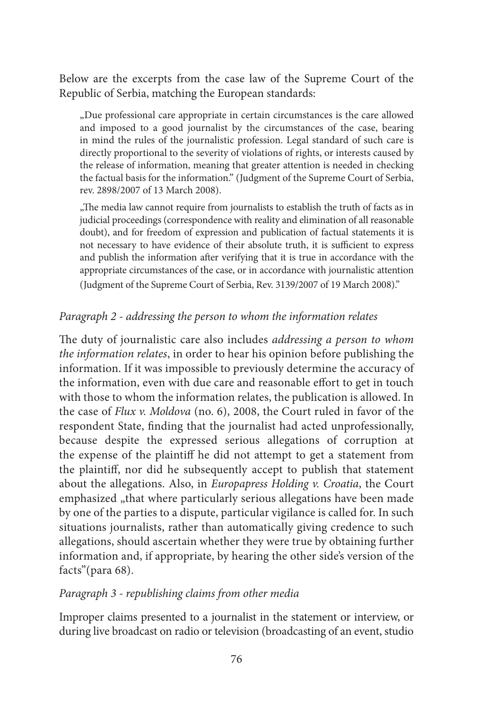Below are the excerpts from the case law of the Supreme Court of the Republic of Serbia, matching the European standards:

"Due professional care appropriate in certain circumstances is the care allowed and imposed to a good journalist by the circumstances of the case, bearing in mind the rules of the journalistic profession. Legal standard of such care is directly proportional to the severity of violations of rights, or interests caused by the release of information, meaning that greater attention is needed in checking the factual basis for the information." (Judgment of the Supreme Court of Serbia, rev. 2898/2007 of 13 March 2008).

"The media law cannot require from journalists to establish the truth of facts as in judicial proceedings (correspondence with reality and elimination of all reasonable doubt), and for freedom of expression and publication of factual statements it is not necessary to have evidence of their absolute truth, it is sufficient to express and publish the information after verifying that it is true in accordance with the appropriate circumstances of the case, or in accordance with journalistic attention (Judgment of the Supreme Court of Serbia, Rev. 3139/2007 of 19 March 2008)."

### *Paragraph 2 - addressing the person to whom the information relates*

The duty of journalistic care also includes *addressing a person to whom the information relates*, in order to hear his opinion before publishing the information. If it was impossible to previously determine the accuracy of the information, even with due care and reasonable effort to get in touch with those to whom the information relates, the publication is allowed. In the case of *Flux v. Moldova* (no. 6), 2008, the Court ruled in favor of the respondent State, finding that the journalist had acted unprofessionally, because despite the expressed serious allegations of corruption at the expense of the plaintiff he did not attempt to get a statement from the plaintiff, nor did he subsequently accept to publish that statement about the allegations. Also, in *Europapress Holding v. Croatia*, the Court emphasized "that where particularly serious allegations have been made by one of the parties to a dispute, particular vigilance is called for. In such situations journalists, rather than automatically giving credence to such allegations, should ascertain whether they were true by obtaining further information and, if appropriate, by hearing the other side's version of the facts"(para 68).

### *Paragraph 3 - republishing claims from other media*

Improper claims presented to a journalist in the statement or interview, or during live broadcast on radio or television (broadcasting of an event, studio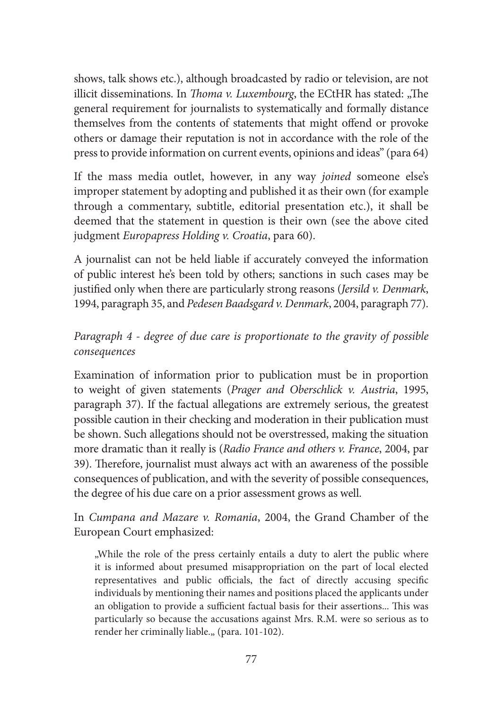shows, talk shows etc.), although broadcasted by radio or television, are not illicit disseminations. In *Thoma v. Luxembourg*, the ECtHR has stated: "The general requirement for journalists to systematically and formally distance themselves from the contents of statements that might offend or provoke others or damage their reputation is not in accordance with the role of the press to provide information on current events, opinions and ideas" (para 64)

If the mass media outlet, however, in any way *joined* someone else's improper statement by adopting and published it as their own (for example through a commentary, subtitle, editorial presentation etc.), it shall be deemed that the statement in question is their own (see the above cited judgment *Europapress Holding v. Croatia*, para 60).

A journalist can not be held liable if accurately conveyed the information of public interest he's been told by others; sanctions in such cases may be justified only when there are particularly strong reasons (*Jersild v. Denmark*, 1994, paragraph 35, and *Pedesen Baadsgard v. Denmark*, 2004, paragraph 77).

# *Paragraph 4 - degree of due care is proportionate to the gravity of possible consequences*

Examination of information prior to publication must be in proportion to weight of given statements (*Prager and Oberschlick v. Austria*, 1995, paragraph 37). If the factual allegations are extremely serious, the greatest possible caution in their checking and moderation in their publication must be shown. Such allegations should not be overstressed, making the situation more dramatic than it really is (*Radio France and others v. France*, 2004, par 39). Therefore, journalist must always act with an awareness of the possible consequences of publication, and with the severity of possible consequences, the degree of his due care on a prior assessment grows as well.

In *Cumpana and Mazare v. Romania*, 2004, the Grand Chamber of the European Court emphasized:

"While the role of the press certainly entails a duty to alert the public where it is informed about presumed misappropriation on the part of local elected representatives and public officials, the fact of directly accusing specific individuals by mentioning their names and positions placed the applicants under an obligation to provide a sufficient factual basis for their assertions... This was particularly so because the accusations against Mrs. R.M. were so serious as to render her criminally liable.,, (para. 101-102).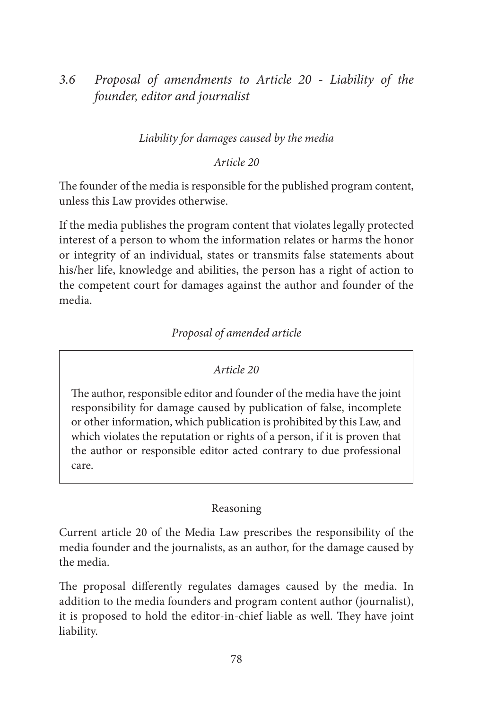*3.6 Proposal of amendments to Article 20 - Liability of the founder, editor and journalist*

## *Liability for damages caused by the media*

#### *Article 20*

The founder of the media is responsible for the published program content, unless this Law provides otherwise.

If the media publishes the program content that violates legally protected interest of a person to whom the information relates or harms the honor or integrity of an individual, states or transmits false statements about his/her life, knowledge and abilities, the person has a right of action to the competent court for damages against the author and founder of the media.

## *Proposal of amended article*

#### *Article 20*

The author, responsible editor and founder of the media have the joint responsibility for damage caused by publication of false, incomplete or other information, which publication is prohibited by this Law, and which violates the reputation or rights of a person, if it is proven that the author or responsible editor acted contrary to due professional care.

#### Reasoning

Current article 20 of the Media Law prescribes the responsibility of the media founder and the journalists, as an author, for the damage caused by the media.

The proposal differently regulates damages caused by the media. In addition to the media founders and program content author (journalist), it is proposed to hold the editor-in-chief liable as well. They have joint liability.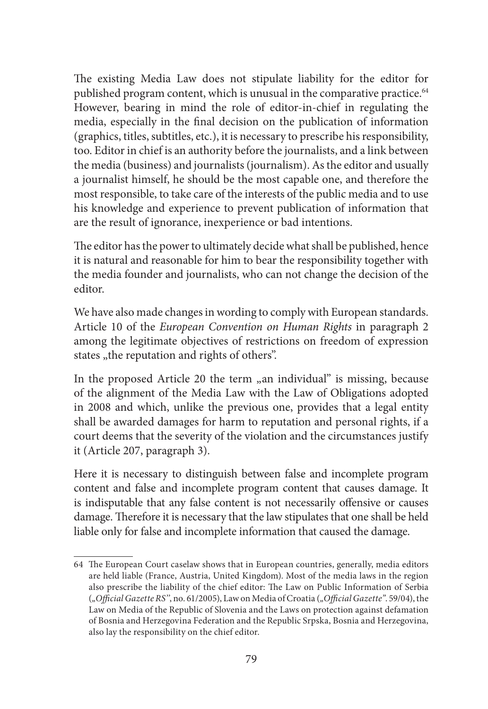The existing Media Law does not stipulate liability for the editor for published program content, which is unusual in the comparative practice.<sup>64</sup> However, bearing in mind the role of editor-in-chief in regulating the media, especially in the final decision on the publication of information (graphics, titles, subtitles, etc.), it is necessary to prescribe his responsibility, too. Editor in chief is an authority before the journalists, and a link between the media (business) and journalists (journalism). As the editor and usually a journalist himself, he should be the most capable one, and therefore the most responsible, to take care of the interests of the public media and to use his knowledge and experience to prevent publication of information that are the result of ignorance, inexperience or bad intentions.

The editor has the power to ultimately decide what shall be published, hence it is natural and reasonable for him to bear the responsibility together with the media founder and journalists, who can not change the decision of the editor.

We have also made changes in wording to comply with European standards. Article 10 of the *European Convention on Human Rights* in paragraph 2 among the legitimate objectives of restrictions on freedom of expression states "the reputation and rights of others".

In the proposed Article 20 the term  $_{\rm m}$  an individual" is missing, because of the alignment of the Media Law with the Law of Obligations adopted in 2008 and which, unlike the previous one, provides that a legal entity shall be awarded damages for harm to reputation and personal rights, if a court deems that the severity of the violation and the circumstances justify it (Article 207, paragraph 3).

Here it is necessary to distinguish between false and incomplete program content and false and incomplete program content that causes damage. It is indisputable that any false content is not necessarily offensive or causes damage. Therefore it is necessary that the law stipulates that one shall be held liable only for false and incomplete information that caused the damage.

<sup>64</sup> The European Court caselaw shows that in European countries, generally, media editors are held liable (France, Austria, United Kingdom). Most of the media laws in the region also prescribe the liability of the chief editor: The Law on Public Information of Serbia (*"Official Gazette RS''*, no. 61/2005), Law on Media of Croatia (*"Official Gazette"*. 59/04), the Law on Media of the Republic of Slovenia and the Laws on protection against defamation of Bosnia and Herzegovina Federation and the Republic Srpska, Bosnia and Herzegovina, also lay the responsibility on the chief editor.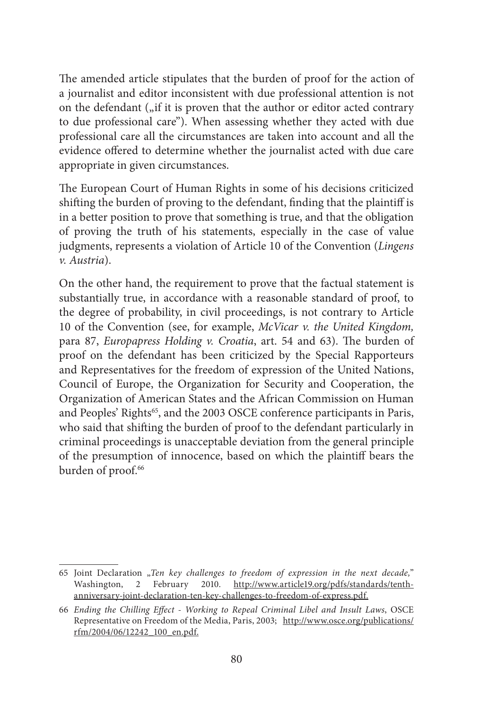The amended article stipulates that the burden of proof for the action of a journalist and editor inconsistent with due professional attention is not on the defendant  $\int$ , if it is proven that the author or editor acted contrary to due professional care"). When assessing whether they acted with due professional care all the circumstances are taken into account and all the evidence offered to determine whether the journalist acted with due care appropriate in given circumstances.

The European Court of Human Rights in some of his decisions criticized shifting the burden of proving to the defendant, finding that the plaintiff is in a better position to prove that something is true, and that the obligation of proving the truth of his statements, especially in the case of value judgments, represents a violation of Article 10 of the Convention (*Lingens v. Austria*).

On the other hand, the requirement to prove that the factual statement is substantially true, in accordance with a reasonable standard of proof, to the degree of probability, in civil proceedings, is not contrary to Article 10 of the Convention (see, for example, *McVicar v. the United Kingdom,*  para 87, *Europapress Holding v. Croatia*, art. 54 and 63). The burden of proof on the defendant has been criticized by the Special Rapporteurs and Representatives for the freedom of expression of the United Nations, Council of Europe, the Organization for Security and Cooperation, the Organization of American States and the African Commission on Human and Peoples' Rights<sup>65</sup>, and the 2003 OSCE conference participants in Paris, who said that shifting the burden of proof to the defendant particularly in criminal proceedings is unacceptable deviation from the general principle of the presumption of innocence, based on which the plaintiff bears the burden of proof.<sup>66</sup>

<sup>65</sup> Joint Declaration "*Ten key challenges to freedom of expression in the next decade,*" Washington, 2 February 2010. http://www.article19.org/pdfs/standards/tenthanniversary-joint-declaration-ten-key-challenges-to-freedom-of-express.pdf.

<sup>66</sup> *Ending the Chilling Effect - Working to Repeal Criminal Libel and Insult Laws*, OSCE Representative on Freedom of the Media, Paris, 2003; http://www.osce.org/publications/ rfm/2004/06/12242\_100\_en.pdf.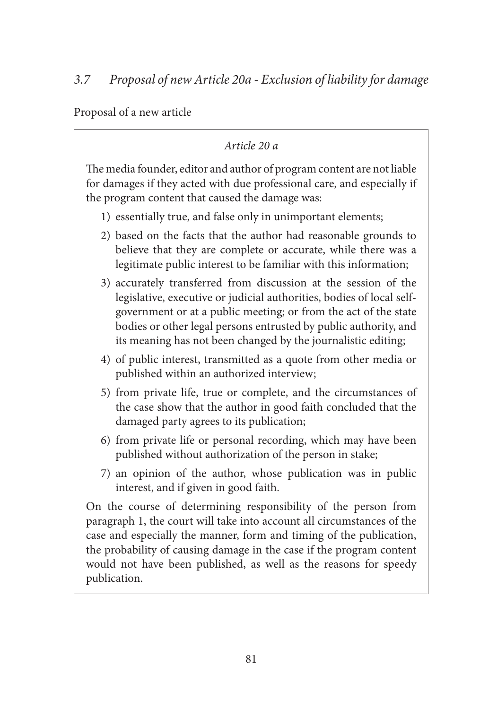Proposal of a new article

# *Article 20 a*

The media founder, editor and author of program content are not liable for damages if they acted with due professional care, and especially if the program content that caused the damage was:

- 1) essentially true, and false only in unimportant elements;
- 2) based on the facts that the author had reasonable grounds to believe that they are complete or accurate, while there was a legitimate public interest to be familiar with this information;
- 3) accurately transferred from discussion at the session of the legislative, executive or judicial authorities, bodies of local selfgovernment or at a public meeting; or from the act of the state bodies or other legal persons entrusted by public authority, and its meaning has not been changed by the journalistic editing;
- 4) of public interest, transmitted as a quote from other media or published within an authorized interview;
- 5) from private life, true or complete, and the circumstances of the case show that the author in good faith concluded that the damaged party agrees to its publication;
- 6) from private life or personal recording, which may have been published without authorization of the person in stake;
- 7) an opinion of the author, whose publication was in public interest, and if given in good faith.

On the course of determining responsibility of the person from paragraph 1, the court will take into account all circumstances of the case and especially the manner, form and timing of the publication, the probability of causing damage in the case if the program content would not have been published, as well as the reasons for speedy publication.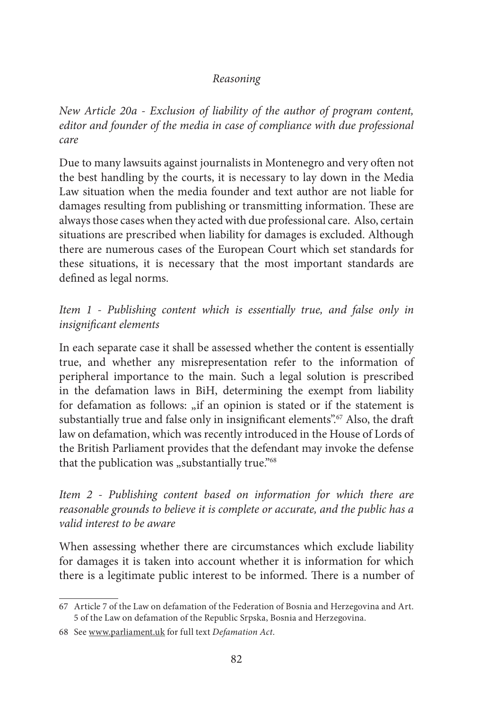## *Reasoning*

*New Article 20a - Exclusion of liability of the author of program content, editor and founder of the media in case of compliance with due professional care* 

Due to many lawsuits against journalists in Montenegro and very often not the best handling by the courts, it is necessary to lay down in the Media Law situation when the media founder and text author are not liable for damages resulting from publishing or transmitting information. These are always those cases when they acted with due professional care. Also, certain situations are prescribed when liability for damages is excluded. Although there are numerous cases of the European Court which set standards for these situations, it is necessary that the most important standards are defined as legal norms.

*Item 1 - Publishing content which is essentially true, and false only in insignificant elements*

In each separate case it shall be assessed whether the content is essentially true, and whether any misrepresentation refer to the information of peripheral importance to the main. Such a legal solution is prescribed in the defamation laws in BiH, determining the exempt from liability for defamation as follows: "if an opinion is stated or if the statement is substantially true and false only in insignificant elements".<sup>67</sup> Also, the draft law on defamation, which was recently introduced in the House of Lords of the British Parliament provides that the defendant may invoke the defense that the publication was "substantially true."<sup>68</sup>

*Item 2 - Publishing content based on information for which there are reasonable grounds to believe it is complete or accurate, and the public has a valid interest to be aware* 

When assessing whether there are circumstances which exclude liability for damages it is taken into account whether it is information for which there is a legitimate public interest to be informed. There is a number of

<sup>67</sup> Article 7 of the Law on defamation of the Federation of Bosnia and Herzegovina and Art. 5 of the Law on defamation of the Republic Srpska, Bosnia and Herzegovina.

<sup>68</sup> See www.parliament.uk for full text *Defamation Act*.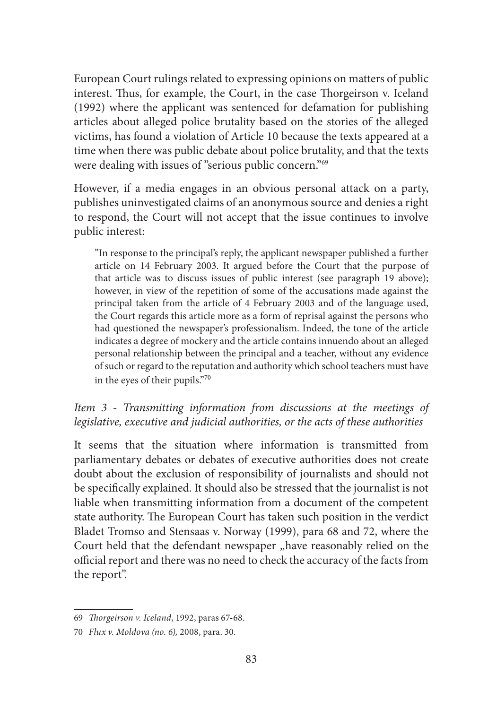European Court rulings related to expressing opinions on matters of public interest. Thus, for example, the Court, in the case Thorgeirson v. Iceland (1992) where the applicant was sentenced for defamation for publishing articles about alleged police brutality based on the stories of the alleged victims, has found a violation of Article 10 because the texts appeared at a time when there was public debate about police brutality, and that the texts were dealing with issues of "serious public concern."69

However, if a media engages in an obvious personal attack on a party, publishes uninvestigated claims of an anonymous source and denies a right to respond, the Court will not accept that the issue continues to involve public interest:

"In response to the principal's reply, the applicant newspaper published a further article on 14 February 2003. It argued before the Court that the purpose of that article was to discuss issues of public interest (see paragraph 19 above); however, in view of the repetition of some of the accusations made against the principal taken from the article of 4 February 2003 and of the language used, the Court regards this article more as a form of reprisal against the persons who had questioned the newspaper's professionalism. Indeed, the tone of the article indicates a degree of mockery and the article contains innuendo about an alleged personal relationship between the principal and a teacher, without any evidence of such or regard to the reputation and authority which school teachers must have in the eyes of their pupils."70

## *Item 3 - Transmitting information from discussions at the meetings of legislative, executive and judicial authorities, or the acts of these authorities*

It seems that the situation where information is transmitted from parliamentary debates or debates of executive authorities does not create doubt about the exclusion of responsibility of journalists and should not be specifically explained. It should also be stressed that the journalist is not liable when transmitting information from a document of the competent state authority. The European Court has taken such position in the verdict Bladet Tromso and Stensaas v. Norway (1999), para 68 and 72, where the Court held that the defendant newspaper "have reasonably relied on the official report and there was no need to check the accuracy of the facts from the report''.

<sup>69</sup> *Thorgeirson v. Iceland*, 1992, paras 67-68.

<sup>70</sup> *Flux v. Moldova (no. 6),* 2008, para. 30.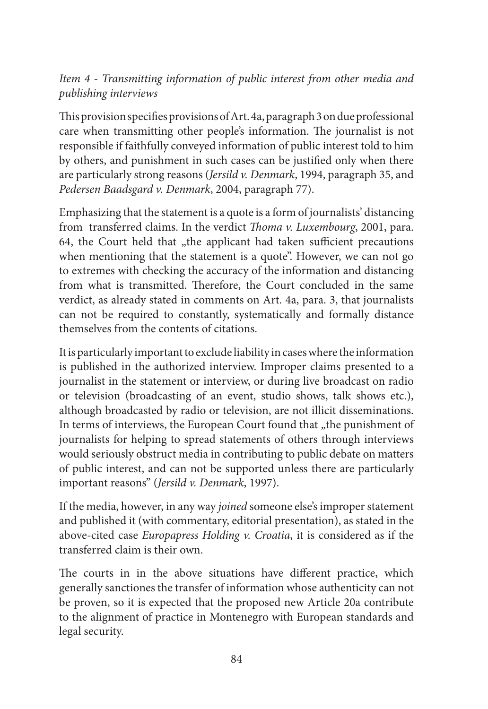# *Item 4 - Transmitting information of public interest from other media and publishing interviews*

This provision specifies provisions of Art. 4a, paragraph 3 on due professional care when transmitting other people's information. The journalist is not responsible if faithfully conveyed information of public interest told to him by others, and punishment in such cases can be justified only when there are particularly strong reasons (*Jersild v. Denmark*, 1994, paragraph 35, and *Pedersen Baadsgard v. Denmark*, 2004, paragraph 77).

Emphasizing that the statement is a quote is a form of journalists' distancing from transferred claims. In the verdict *Thoma v. Luxembourg*, 2001, para. 64, the Court held that "the applicant had taken sufficient precautions when mentioning that the statement is a quote". However, we can not go to extremes with checking the accuracy of the information and distancing from what is transmitted. Therefore, the Court concluded in the same verdict, as already stated in comments on Art. 4a, para. 3, that journalists can not be required to constantly, systematically and formally distance themselves from the contents of citations.

It is particularly important to exclude liability in cases where the information is published in the authorized interview. Improper claims presented to a journalist in the statement or interview, or during live broadcast on radio or television (broadcasting of an event, studio shows, talk shows etc.), although broadcasted by radio or television, are not illicit disseminations. In terms of interviews, the European Court found that "the punishment of journalists for helping to spread statements of others through interviews would seriously obstruct media in contributing to public debate on matters of public interest, and can not be supported unless there are particularly important reasons" (*Jersild v. Denmark*, 1997).

If the media, however, in any way *joined* someone else's improper statement and published it (with commentary, editorial presentation), as stated in the above-cited case *Europapress Holding v. Croatia*, it is considered as if the transferred claim is their own.

The courts in in the above situations have different practice, which generally sanctiones the transfer of information whose authenticity can not be proven, so it is expected that the proposed new Article 20a contribute to the alignment of practice in Montenegro with European standards and legal security.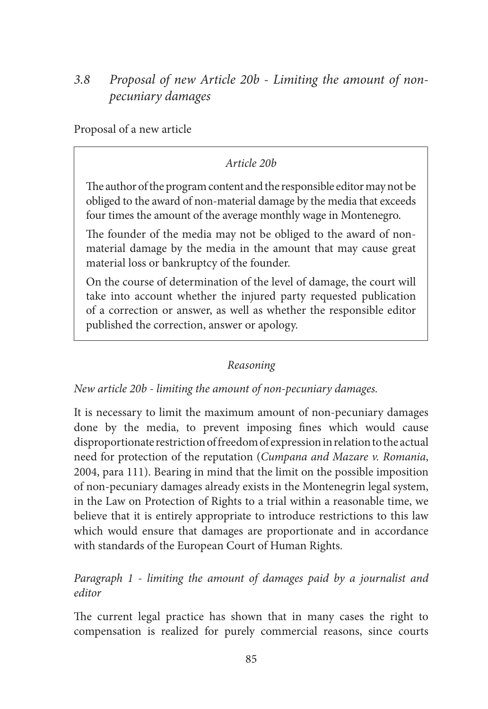# *3.8 Proposal of new Article 20b - Limiting the amount of nonpecuniary damages*

Proposal of a new article

## *Article 20b*

The author of the program content and the responsible editor may not be obliged to the award of non-material damage by the media that exceeds four times the amount of the average monthly wage in Montenegro.

The founder of the media may not be obliged to the award of nonmaterial damage by the media in the amount that may cause great material loss or bankruptcy of the founder.

On the course of determination of the level of damage, the court will take into account whether the injured party requested publication of a correction or answer, as well as whether the responsible editor published the correction, answer or apology.

### *Reasoning*

#### *New article 20b - limiting the amount of non-pecuniary damages.*

It is necessary to limit the maximum amount of non-pecuniary damages done by the media, to prevent imposing fines which would cause disproportionate restriction of freedom of expression in relation to the actual need for protection of the reputation (*Cumpana and Mazare v. Romania*, 2004, para 111). Bearing in mind that the limit on the possible imposition of non-pecuniary damages already exists in the Montenegrin legal system, in the Law on Protection of Rights to a trial within a reasonable time, we believe that it is entirely appropriate to introduce restrictions to this law which would ensure that damages are proportionate and in accordance with standards of the European Court of Human Rights.

## *Paragraph 1 - limiting the amount of damages paid by a journalist and editor*

The current legal practice has shown that in many cases the right to compensation is realized for purely commercial reasons, since courts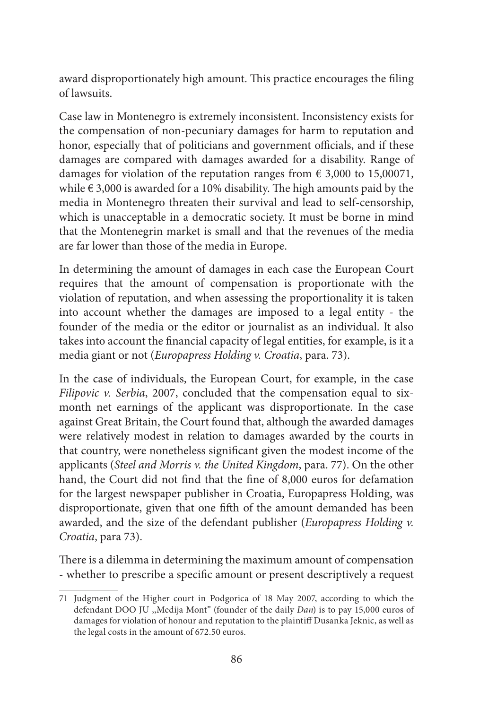award disproportionately high amount. This practice encourages the filing of lawsuits.

Case law in Montenegro is extremely inconsistent. Inconsistency exists for the compensation of non-pecuniary damages for harm to reputation and honor, especially that of politicians and government officials, and if these damages are compared with damages awarded for a disability. Range of damages for violation of the reputation ranges from  $\epsilon$  3,000 to 15,00071, while  $\epsilon$  3,000 is awarded for a 10% disability. The high amounts paid by the media in Montenegro threaten their survival and lead to self-censorship, which is unacceptable in a democratic society. It must be borne in mind that the Montenegrin market is small and that the revenues of the media are far lower than those of the media in Europe.

In determining the amount of damages in each case the European Court requires that the amount of compensation is proportionate with the violation of reputation, and when assessing the proportionality it is taken into account whether the damages are imposed to a legal entity - the founder of the media or the editor or journalist as an individual. It also takes into account the financial capacity of legal entities, for example, is it a media giant or not (*Europapress Holding v. Croatia*, para. 73).

In the case of individuals, the European Court, for example, in the case *Filipovic v. Serbia*, 2007, concluded that the compensation equal to sixmonth net earnings of the applicant was disproportionate. In the case against Great Britain, the Court found that, although the awarded damages were relatively modest in relation to damages awarded by the courts in that country, were nonetheless significant given the modest income of the applicants (*Steel and Morris v. the United Kingdom*, para. 77). On the other hand, the Court did not find that the fine of 8,000 euros for defamation for the largest newspaper publisher in Croatia, Europapress Holding, was disproportionate, given that one fifth of the amount demanded has been awarded, and the size of the defendant publisher (*Europapress Holding v. Croatia*, para 73).

There is a dilemma in determining the maximum amount of compensation - whether to prescribe a specific amount or present descriptively a request

<sup>71</sup> Judgment of the Higher court in Podgorica of 18 May 2007, according to which the defendant DOO JU ,,Medija Mont" (founder of the daily *Dan*) is to pay 15,000 euros of damages for violation of honour and reputation to the plaintiff Dusanka Jeknic, as well as the legal costs in the amount of 672.50 euros.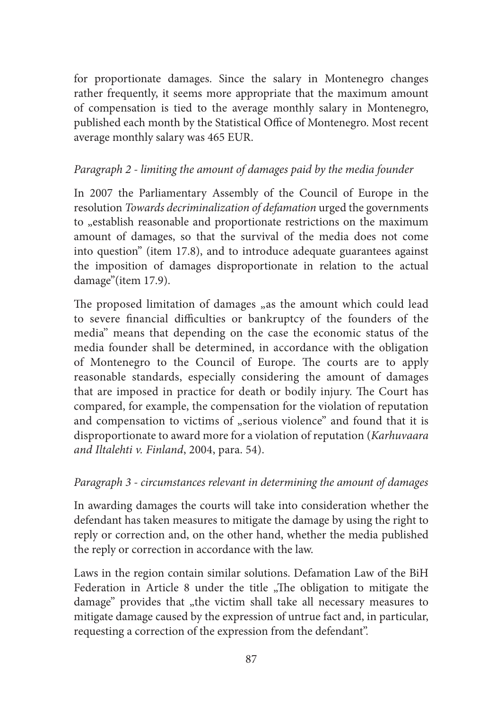for proportionate damages. Since the salary in Montenegro changes rather frequently, it seems more appropriate that the maximum amount of compensation is tied to the average monthly salary in Montenegro, published each month by the Statistical Office of Montenegro. Most recent average monthly salary was 465 EUR.

## *Paragraph 2 - limiting the amount of damages paid by the media founder*

In 2007 the Parliamentary Assembly of the Council of Europe in the resolution *Towards decriminalization of defamation* urged the governments to <sub>"</sub>establish reasonable and proportionate restrictions on the maximum amount of damages, so that the survival of the media does not come into question" (item 17.8), and to introduce adequate guarantees against the imposition of damages disproportionate in relation to the actual damage"(item 17.9).

The proposed limitation of damages <sub>n</sub>as the amount which could lead to severe financial difficulties or bankruptcy of the founders of the media'' means that depending on the case the economic status of the media founder shall be determined, in accordance with the obligation of Montenegro to the Council of Europe. The courts are to apply reasonable standards, especially considering the amount of damages that are imposed in practice for death or bodily injury. The Court has compared, for example, the compensation for the violation of reputation and compensation to victims of "serious violence" and found that it is disproportionate to award more for a violation of reputation (*Karhuvaara and Iltalehti v. Finland*, 2004, para. 54).

## *Paragraph 3 - circumstances relevant in determining the amount of damages*

In awarding damages the courts will take into consideration whether the defendant has taken measures to mitigate the damage by using the right to reply or correction and, on the other hand, whether the media published the reply or correction in accordance with the law.

Laws in the region contain similar solutions. Defamation Law of the BiH Federation in Article 8 under the title  $\sqrt{n}$ The obligation to mitigate the damage" provides that "the victim shall take all necessary measures to mitigate damage caused by the expression of untrue fact and, in particular, requesting a correction of the expression from the defendant''.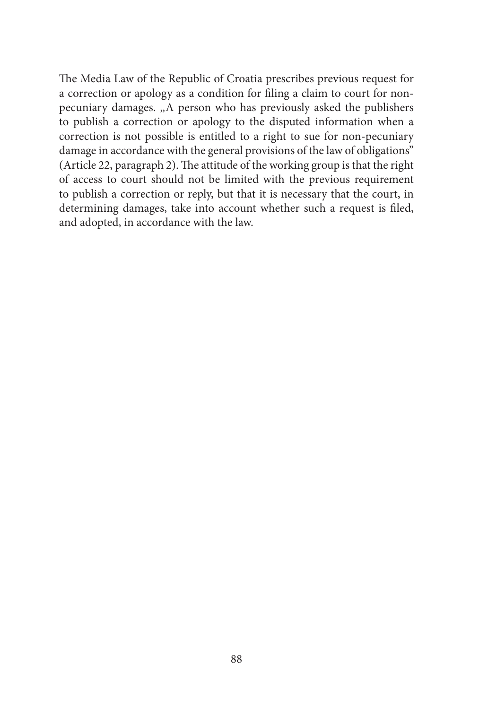The Media Law of the Republic of Croatia prescribes previous request for a correction or apology as a condition for filing a claim to court for nonpecuniary damages. "A person who has previously asked the publishers to publish a correction or apology to the disputed information when a correction is not possible is entitled to a right to sue for non-pecuniary damage in accordance with the general provisions of the law of obligations'' (Article 22, paragraph 2). The attitude of the working group is that the right of access to court should not be limited with the previous requirement to publish a correction or reply, but that it is necessary that the court, in determining damages, take into account whether such a request is filed, and adopted, in accordance with the law.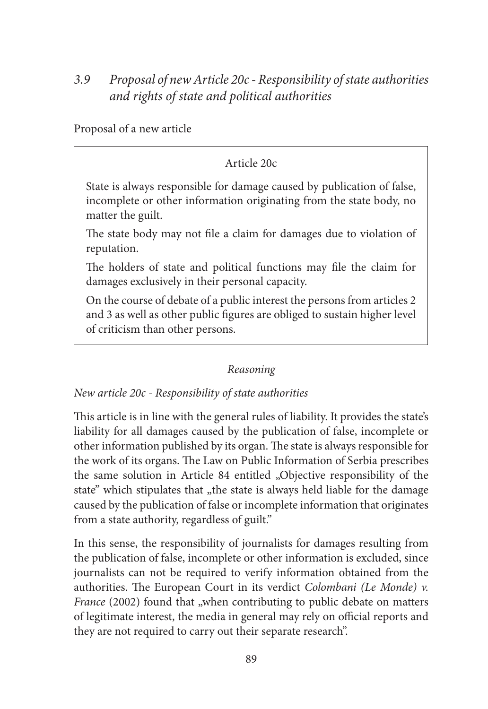# *3.9 Proposal of new Article 20c - Responsibility of state authorities and rights of state and political authorities*

Proposal of a new article

## Article 20c

State is always responsible for damage caused by publication of false, incomplete or other information originating from the state body, no matter the guilt.

The state body may not file a claim for damages due to violation of reputation.

The holders of state and political functions may file the claim for damages exclusively in their personal capacity.

On the course of debate of a public interest the persons from articles 2 and 3 as well as other public figures are obliged to sustain higher level of criticism than other persons.

### *Reasoning*

## *New article 20c - Responsibility of state authorities*

This article is in line with the general rules of liability. It provides the state's liability for all damages caused by the publication of false, incomplete or other information published by its organ. The state is always responsible for the work of its organs. The Law on Public Information of Serbia prescribes the same solution in Article 84 entitled "Objective responsibility of the state" which stipulates that "the state is always held liable for the damage caused by the publication of false or incomplete information that originates from a state authority, regardless of guilt."

In this sense, the responsibility of journalists for damages resulting from the publication of false, incomplete or other information is excluded, since journalists can not be required to verify information obtained from the authorities. The European Court in its verdict *Colombani (Le Monde) v. France* (2002) found that "when contributing to public debate on matters of legitimate interest, the media in general may rely on official reports and they are not required to carry out their separate research''.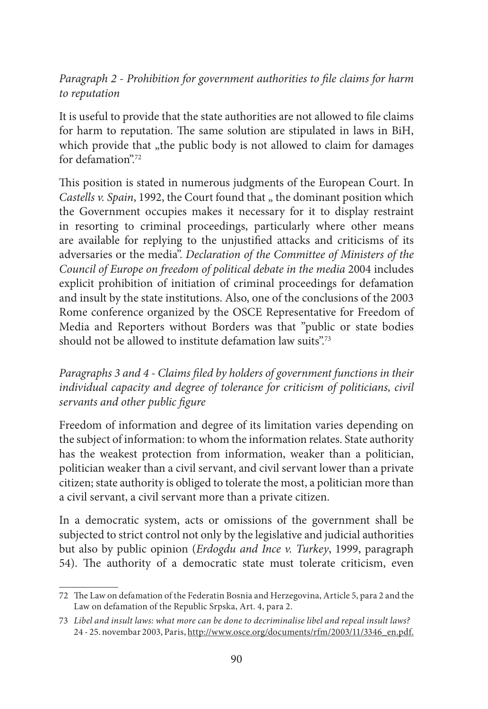*Paragraph 2 - Prohibition for government authorities to file claims for harm to reputation*

It is useful to provide that the state authorities are not allowed to file claims for harm to reputation. The same solution are stipulated in laws in BiH, which provide that "the public body is not allowed to claim for damages" for defamation"<sup>72</sup>

This position is stated in numerous judgments of the European Court. In *Castells v. Spain*, 1992, the Court found that " the dominant position which the Government occupies makes it necessary for it to display restraint in resorting to criminal proceedings, particularly where other means are available for replying to the unjustified attacks and criticisms of its adversaries or the media". *Declaration of the Committee of Ministers of the Council of Europe on freedom of political debate in the media* 2004 includes explicit prohibition of initiation of criminal proceedings for defamation and insult by the state institutions. Also, one of the conclusions of the 2003 Rome conference organized by the OSCE Representative for Freedom of Media and Reporters without Borders was that "public or state bodies should not be allowed to institute defamation law suits".<sup>73</sup>

*Paragraphs 3 and 4 - Claims filed by holders of government functions in their individual capacity and degree of tolerance for criticism of politicians, civil servants and other public figure*

Freedom of information and degree of its limitation varies depending on the subject of information: to whom the information relates. State authority has the weakest protection from information, weaker than a politician, politician weaker than a civil servant, and civil servant lower than a private citizen; state authority is obliged to tolerate the most, a politician more than a civil servant, a civil servant more than a private citizen.

In a democratic system, acts or omissions of the government shall be subjected to strict control not only by the legislative and judicial authorities but also by public opinion (*Erdogdu and Ince v. Turkey*, 1999, paragraph 54). The authority of a democratic state must tolerate criticism, even

<sup>72</sup> The Law on defamation of the Federatin Bosnia and Herzegovina, Article 5, para 2 and the Law on defamation of the Republic Srpska, Art. 4, para 2.

<sup>73</sup> *Libel and insult laws: what more can be done to decriminalise libel and repeal insult laws?*  24 - 25. novembar 2003, Paris, http://www.osce.org/documents/rfm/2003/11/3346\_en.pdf.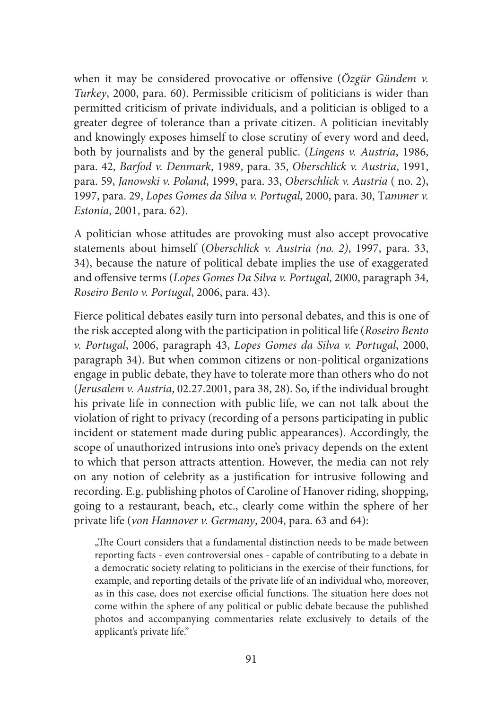when it may be considered provocative or offensive (*Özgür Gündem v. Turkey*, 2000, para. 60). Permissible criticism of politicians is wider than permitted criticism of private individuals, and a politician is obliged to a greater degree of tolerance than a private citizen. A politician inevitably and knowingly exposes himself to close scrutiny of every word and deed, both by journalists and by the general public. (*Lingens v. Austria*, 1986, para. 42, *Barfod v. Denmark*, 1989, para. 35, *Oberschlick v. Austria*, 1991, para. 59, *Janowski v. Poland*, 1999, para. 33, *Oberschlick v. Austria* ( no. 2), 1997, para. 29, *Lopes Gomes da Silva v. Portugal*, 2000, para. 30, T*ammer v. Estonia*, 2001, para. 62).

A politician whose attitudes are provoking must also accept provocative statements about himself (*Oberschlick v. Austria (no. 2)*, 1997, para. 33, 34), because the nature of political debate implies the use of exaggerated and offensive terms (*Lopes Gomes Da Silva v. Portugal*, 2000, paragraph 34, *Roseiro Bento v. Portugal*, 2006, para. 43).

Fierce political debates easily turn into personal debates, and this is one of the risk accepted along with the participation in political life (*Roseiro Bento v. Portugal*, 2006, paragraph 43, *Lopes Gomes da Silva v. Portugal*, 2000, paragraph 34). But when common citizens or non-political organizations engage in public debate, they have to tolerate more than others who do not (*Jerusalem v. Austria*, 02.27.2001, para 38, 28). So, if the individual brought his private life in connection with public life, we can not talk about the violation of right to privacy (recording of a persons participating in public incident or statement made during public appearances). Accordingly, the scope of unauthorized intrusions into one's privacy depends on the extent to which that person attracts attention. However, the media can not rely on any notion of celebrity as a justification for intrusive following and recording. E.g. publishing photos of Caroline of Hanover riding, shopping, going to a restaurant, beach, etc., clearly come within the sphere of her private life (*von Hannover v. Germany*, 2004, para. 63 and 64):

"The Court considers that a fundamental distinction needs to be made between reporting facts - even controversial ones - capable of contributing to a debate in a democratic society relating to politicians in the exercise of their functions, for example, and reporting details of the private life of an individual who, moreover, as in this case, does not exercise official functions. The situation here does not come within the sphere of any political or public debate because the published photos and accompanying commentaries relate exclusively to details of the applicant's private life."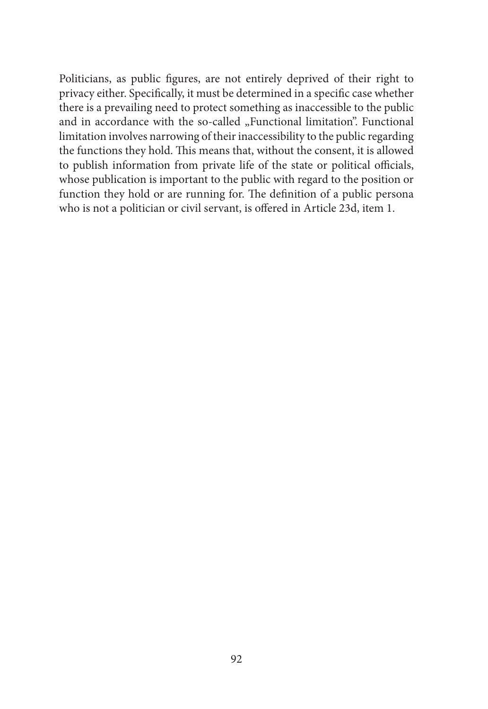Politicians, as public figures, are not entirely deprived of their right to privacy either. Specifically, it must be determined in a specific case whether there is a prevailing need to protect something as inaccessible to the public and in accordance with the so-called "Functional limitation". Functional limitation involves narrowing of their inaccessibility to the public regarding the functions they hold. This means that, without the consent, it is allowed to publish information from private life of the state or political officials, whose publication is important to the public with regard to the position or function they hold or are running for. The definition of a public persona who is not a politician or civil servant, is offered in Article 23d, item 1.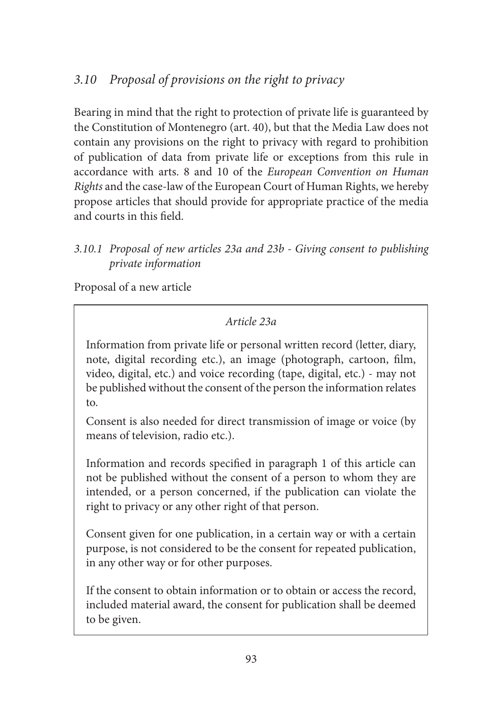# *3.10 Proposal of provisions on the right to privacy*

Bearing in mind that the right to protection of private life is guaranteed by the Constitution of Montenegro (art. 40), but that the Media Law does not contain any provisions on the right to privacy with regard to prohibition of publication of data from private life or exceptions from this rule in accordance with arts. 8 and 10 of the *European Convention on Human Rights* and the case-law of the European Court of Human Rights, we hereby propose articles that should provide for appropriate practice of the media and courts in this field.

# *3.10.1 Proposal of new articles 23a and 23b - Giving consent to publishing private information*

Proposal of a new article

# *Article 23a*

Information from private life or personal written record (letter, diary, note, digital recording etc.), an image (photograph, cartoon, film, video, digital, etc.) and voice recording (tape, digital, etc.) - may not be published without the consent of the person the information relates to.

Consent is also needed for direct transmission of image or voice (by means of television, radio etc.).

Information and records specified in paragraph 1 of this article can not be published without the consent of a person to whom they are intended, or a person concerned, if the publication can violate the right to privacy or any other right of that person.

Consent given for one publication, in a certain way or with a certain purpose, is not considered to be the consent for repeated publication, in any other way or for other purposes.

If the consent to obtain information or to obtain or access the record, included material award, the consent for publication shall be deemed to be given.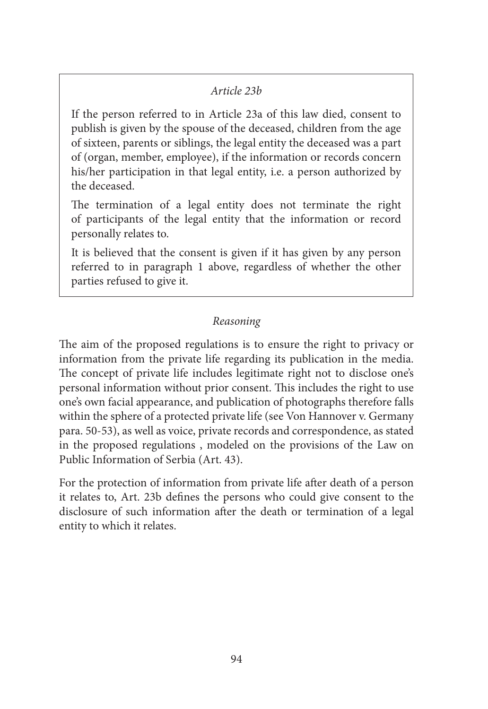## *Article 23b*

If the person referred to in Article 23a of this law died, consent to publish is given by the spouse of the deceased, children from the age of sixteen, parents or siblings, the legal entity the deceased was a part of (organ, member, employee), if the information or records concern his/her participation in that legal entity, i.e. a person authorized by the deceased.

The termination of a legal entity does not terminate the right of participants of the legal entity that the information or record personally relates to.

It is believed that the consent is given if it has given by any person referred to in paragraph 1 above, regardless of whether the other parties refused to give it.

# *Reasoning*

The aim of the proposed regulations is to ensure the right to privacy or information from the private life regarding its publication in the media. The concept of private life includes legitimate right not to disclose one's personal information without prior consent. This includes the right to use one's own facial appearance, and publication of photographs therefore falls within the sphere of a protected private life (see Von Hannover v. Germany para. 50-53), as well as voice, private records and correspondence, as stated in the proposed regulations , modeled on the provisions of the Law on Public Information of Serbia (Art. 43).

For the protection of information from private life after death of a person it relates to, Art. 23b defines the persons who could give consent to the disclosure of such information after the death or termination of a legal entity to which it relates.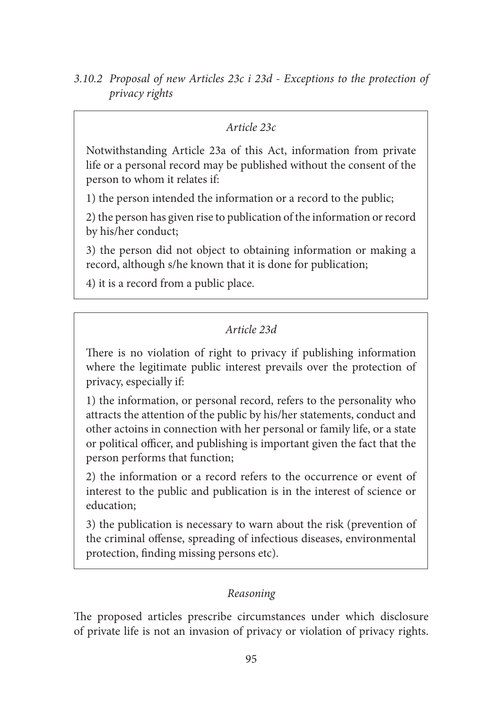## *Article 23c*

Notwithstanding Article 23a of this Act, information from private life or a personal record may be published without the consent of the person to whom it relates if:

1) the person intended the information or a record to the public;

2) the person has given rise to publication of the information or record by his/her conduct;

3) the person did not object to obtaining information or making a record, although s/he known that it is done for publication;

4) it is a record from a public place.

# *Article 23d*

There is no violation of right to privacy if publishing information where the legitimate public interest prevails over the protection of privacy, especially if:

1) the information, or personal record, refers to the personality who attracts the attention of the public by his/her statements, conduct and other actoins in connection with her personal or family life, or a state or political officer, and publishing is important given the fact that the person performs that function;

2) the information or a record refers to the occurrence or event of interest to the public and publication is in the interest of science or education;

3) the publication is necessary to warn about the risk (prevention of the criminal offense, spreading of infectious diseases, environmental protection, finding missing persons etc).

# *Reasoning*

The proposed articles prescribe circumstances under which disclosure of private life is not an invasion of privacy or violation of privacy rights.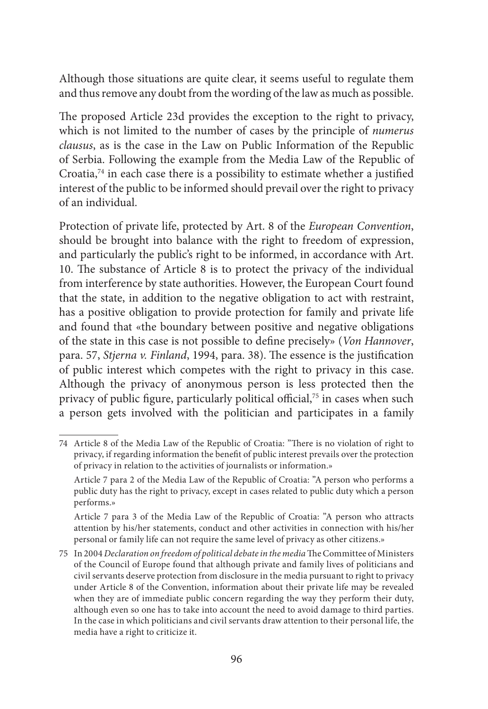Although those situations are quite clear, it seems useful to regulate them and thus remove any doubt from the wording of the law as much as possible.

The proposed Article 23d provides the exception to the right to privacy, which is not limited to the number of cases by the principle of *numerus clausus*, as is the case in the Law on Public Information of the Republic of Serbia. Following the example from the Media Law of the Republic of Croatia, $74$  in each case there is a possibility to estimate whether a justified interest of the public to be informed should prevail over the right to privacy of an individual.

Protection of private life, protected by Art. 8 of the *European Convention*, should be brought into balance with the right to freedom of expression, and particularly the public's right to be informed, in accordance with Art. 10. The substance of Article 8 is to protect the privacy of the individual from interference by state authorities. However, the European Court found that the state, in addition to the negative obligation to act with restraint, has a positive obligation to provide protection for family and private life and found that «the boundary between positive and negative obligations of the state in this case is not possible to define precisely» (*Von Hannover*, para. 57, *Stjerna v. Finland*, 1994, para. 38). The essence is the justification of public interest which competes with the right to privacy in this case. Although the privacy of anonymous person is less protected then the privacy of public figure, particularly political official,<sup>75</sup> in cases when such a person gets involved with the politician and participates in a family

<sup>74</sup> Article 8 of the Media Law of the Republic of Croatia: "There is no violation of right to privacy, if regarding information the benefit of public interest prevails over the protection of privacy in relation to the activities of journalists or information.»

Article 7 para 2 of the Media Law of the Republic of Croatia: "A person who performs a public duty has the right to privacy, except in cases related to public duty which a person performs.»

Article 7 para 3 of the Media Law of the Republic of Croatia: "A person who attracts attention by his/her statements, conduct and other activities in connection with his/her personal or family life can not require the same level of privacy as other citizens.»

<sup>75</sup> In 2004 *Declaration on freedom of political debate in the media* The Committee of Ministers of the Council of Europe found that although private and family lives of politicians and civil servants deserve protection from disclosure in the media pursuant to right to privacy under Article 8 of the Convention, information about their private life may be revealed when they are of immediate public concern regarding the way they perform their duty, although even so one has to take into account the need to avoid damage to third parties. In the case in which politicians and civil servants draw attention to their personal life, the media have a right to criticize it.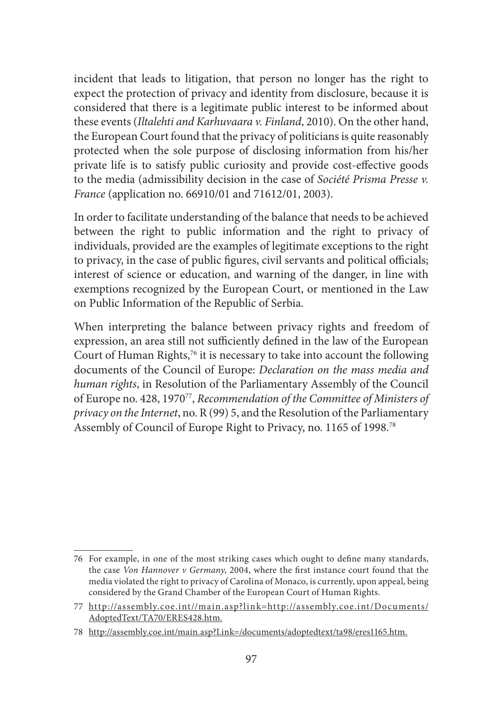incident that leads to litigation, that person no longer has the right to expect the protection of privacy and identity from disclosure, because it is considered that there is a legitimate public interest to be informed about these events (*Iltalehti and Karhuvaara v. Finland*, 2010). On the other hand, the European Court found that the privacy of politicians is quite reasonably protected when the sole purpose of disclosing information from his/her private life is to satisfy public curiosity and provide cost-effective goods to the media (admissibility decision in the case of *Société Prisma Presse v. France* (application no. 66910/01 and 71612/01, 2003).

In order to facilitate understanding of the balance that needs to be achieved between the right to public information and the right to privacy of individuals, provided are the examples of legitimate exceptions to the right to privacy, in the case of public figures, civil servants and political officials; interest of science or education, and warning of the danger, in line with exemptions recognized by the European Court, or mentioned in the Law on Public Information of the Republic of Serbia.

When interpreting the balance between privacy rights and freedom of expression, an area still not sufficiently defined in the law of the European Court of Human Rights,<sup>76</sup> it is necessary to take into account the following documents of the Council of Europe: *Declaration on the mass media and human rights*, in Resolution of the Parliamentary Assembly of the Council of Europe no. 428, 197077, *Recommendation of the Committee of Ministers of privacy on the Internet*, no. R (99) 5, and the Resolution of the Parliamentary Assembly of Council of Europe Right to Privacy, no. 1165 of 1998.78

<sup>76</sup> For example, in one of the most striking cases which ought to define many standards, the case *Von Hannover v Germany*, 2004, where the first instance court found that the media violated the right to privacy of Carolina of Monaco, is currently, upon appeal, being considered by the Grand Chamber of the European Court of Human Rights.

<sup>77</sup> http://assembly.coe.int//main.asp?link=http://assembly.coe.int/Documents/ AdoptedText/TA70/ERES428.htm.

<sup>78</sup> http://assembly.coe.int/main.asp?Link=/documents/adoptedtext/ta98/eres1165.htm.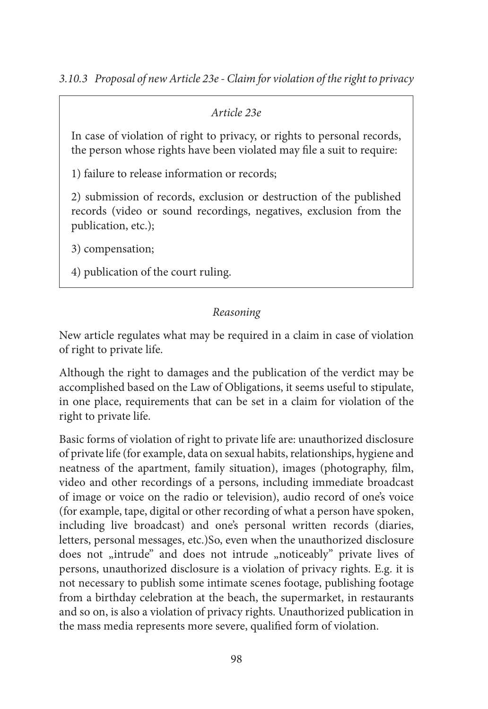## *Article 23e*

In case of violation of right to privacy, or rights to personal records, the person whose rights have been violated may file a suit to require:

1) failure to release information or records;

2) submission of records, exclusion or destruction of the published records (video or sound recordings, negatives, exclusion from the publication, etc.);

3) compensation;

4) publication of the court ruling.

# *Reasoning*

New article regulates what may be required in a claim in case of violation of right to private life.

Although the right to damages and the publication of the verdict may be accomplished based on the Law of Obligations, it seems useful to stipulate, in one place, requirements that can be set in a claim for violation of the right to private life.

Basic forms of violation of right to private life are: unauthorized disclosure of private life (for example, data on sexual habits, relationships, hygiene and neatness of the apartment, family situation), images (photography, film, video and other recordings of a persons, including immediate broadcast of image or voice on the radio or television), audio record of one's voice (for example, tape, digital or other recording of what a person have spoken, including live broadcast) and one's personal written records (diaries, letters, personal messages, etc.)So, even when the unauthorized disclosure does not "intrude" and does not intrude "noticeably" private lives of persons, unauthorized disclosure is a violation of privacy rights. E.g. it is not necessary to publish some intimate scenes footage, publishing footage from a birthday celebration at the beach, the supermarket, in restaurants and so on, is also a violation of privacy rights. Unauthorized publication in the mass media represents more severe, qualified form of violation.